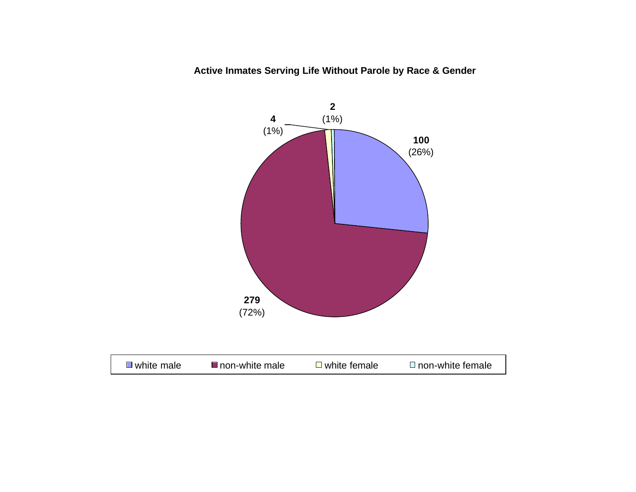**Active Inmates Serving Life Without Parole by Race & Gender**

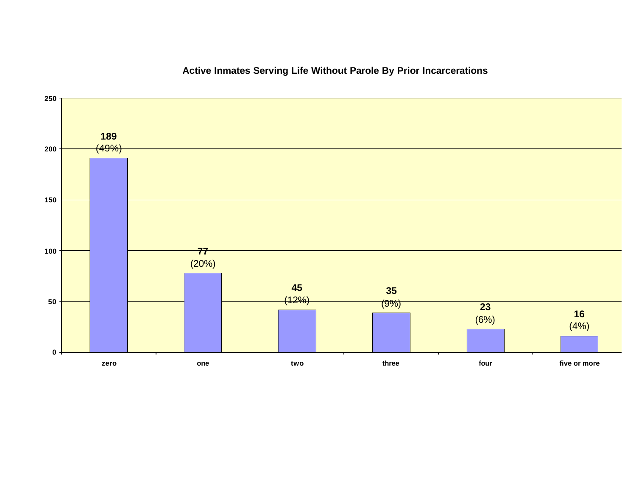

### **Active Inmates Serving Life Without Parole By Prior Incarcerations**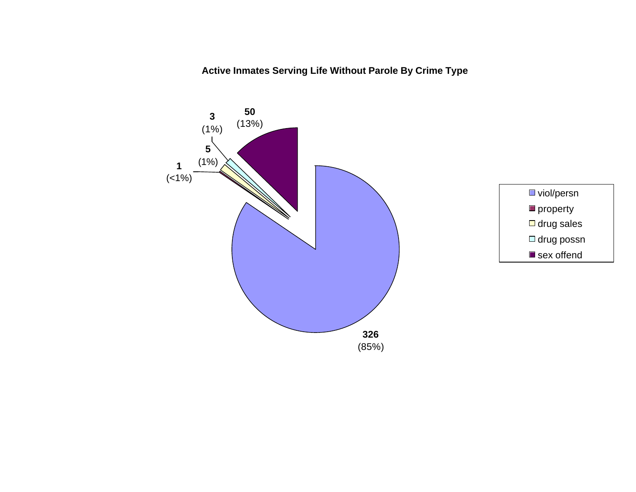**Active Inmates Serving Life Without Parole By Crime Type**



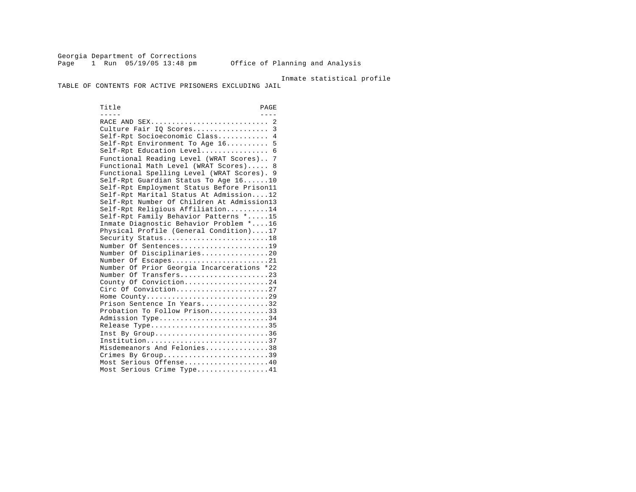Georgia Department of Corrections Page 1 Run 05/19/05 13:48 pm Office of Planning and Analysis

#### Inmate statistical profile

TABLE OF CONTENTS FOR ACTIVE PRISONERS EXCLUDING JAIL

Title PAGE ----- ---- RACE AND SEX............................ 2 Culture Fair IQ Scores.................. 3 Self-Rpt Socioeconomic Class............ 4 Self-Rpt Environment To Age 16.......... 5 Self-Rpt Education Level.................. 6 Functional Reading Level (WRAT Scores).. 7 Functional Math Level (WRAT Scores)..... 8 Functional Spelling Level (WRAT Scores). 9 Self-Rpt Guardian Status To Age 16......10 Self-Rpt Employment Status Before Prison11 Self-Rpt Marital Status At Admission....12 Self-Rpt Number Of Children At Admission13 Self-Rpt Religious Affiliation..........14 Self-Rpt Family Behavior Patterns \*.....15 Inmate Diagnostic Behavior Problem \*....16 Physical Profile (General Condition)....17 Security Status............................18 Number Of Sentences......................19 Number Of Disciplinaries................20 Number Of Escapes.........................21 Number Of Prior Georgia Incarcerations \*22 Number Of Transfers.......................23 County Of Conviction....................24 Circ Of Conviction........................27 Home County.............................29 Prison Sentence In Years................32 Probation To Follow Prison..............33 Admission Type.............................34 Release Type...............................35 Inst By Group..............................36 Institution.............................37 Misdemeanors And Felonies...............38 Crimes By Group.............................39 Most Serious Offense....................40 Most Serious Crime Type.................41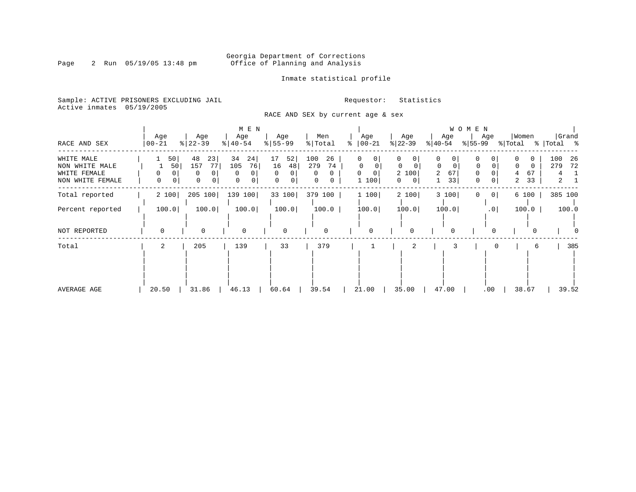Inmate statistical profile

Sample: ACTIVE PRISONERS EXCLUDING JAIL **Requestor:** Statistics Active inmates 05/19/2005

RACE AND SEX by current age & sex

|                                                                  |                    |                                                  | M E N                                                      |                                                 |                                                          |                                     |                                                           |                                                     | WOMEN                 |                                            |                                               |
|------------------------------------------------------------------|--------------------|--------------------------------------------------|------------------------------------------------------------|-------------------------------------------------|----------------------------------------------------------|-------------------------------------|-----------------------------------------------------------|-----------------------------------------------------|-----------------------|--------------------------------------------|-----------------------------------------------|
| RACE AND SEX                                                     | Age<br>$00 - 21$   | Age<br>$ 22-39$                                  | Age<br>$ 40-54 $                                           | Age<br>$8 55-99$                                | Men<br>% Total                                           | Age<br>$ 00-21$<br>°                | Age<br>$ 22-39 $                                          | Age<br>$ 40-54 $                                    | Age<br>% 55-99        | Women<br>% Total                           | Grand<br>%   Total %                          |
| WHITE MALE<br>NON WHITE MALE<br>WHITE FEMALE<br>NON WHITE FEMALE | 50<br>50<br>0<br>0 | 48<br>23<br>77<br>157<br>0<br>$\Omega$<br>0<br>0 | 34<br>24 <br>76<br>105<br><sup>0</sup><br>$\mathbf 0$<br>0 | 17<br>52<br>16<br>48<br>$\Omega$<br>0<br>0<br>0 | 100<br>26<br>279<br>74<br>$\Omega$<br>$\Omega$<br>0<br>0 | 0<br>$\mathbf 0$<br>0<br>0<br>1 100 | 0<br>$\Omega$<br>$\Omega$<br>2 100<br>$\overline{0}$<br>0 | 0<br>$\mathbf 0$<br>0<br>67<br>$\overline{a}$<br>33 | 0<br>0<br>0<br>0<br>0 | $\Omega$<br>$\Omega$<br>67<br>4<br>33<br>2 | 100<br>26<br>279<br>72<br>4<br>$\overline{a}$ |
| Total reported                                                   | 2 100              | 205 100                                          | 139 100                                                    | 33 100                                          | 379 100                                                  | 1 100                               | 2 100                                                     | 3 100                                               | 0 <br>0               | 6 100                                      | 385 100                                       |
| Percent reported                                                 | 100.0              | 100.0                                            | 100.0                                                      | 100.0                                           | 100.0                                                    | 100.0                               | 100.0                                                     | 100.0                                               | .0 <sub>1</sub>       | 100.0                                      | 100.0                                         |
| NOT REPORTED                                                     | $\Omega$           | $\mathbf 0$                                      | $\mathbf 0$                                                | $\mathbf 0$                                     | 0                                                        | $\Omega$                            | 0                                                         | $\Omega$                                            |                       |                                            |                                               |
| Total                                                            | 2                  | 205                                              | 139                                                        | 33                                              | 379                                                      |                                     | 2                                                         |                                                     |                       | 6                                          | 385                                           |
| AVERAGE AGE                                                      | 20.50              | 31.86                                            | 46.13                                                      | 60.64                                           | 39.54                                                    | 21.00                               | 35.00                                                     | 47.00                                               | .00                   | 38.67                                      | 39.52                                         |

### Page 2 Run 05/19/05 13:48 pm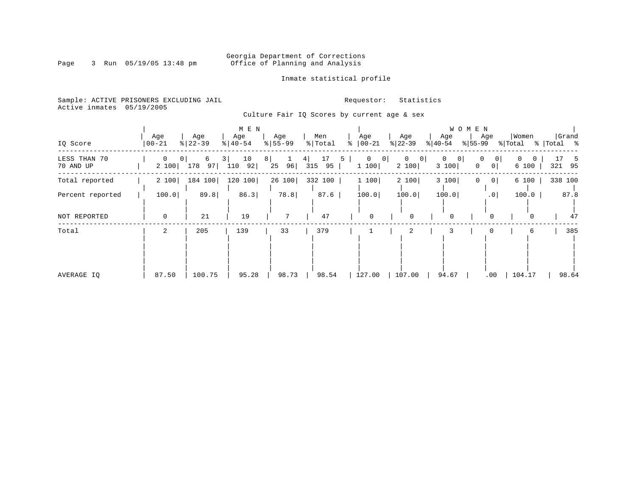### Georgia Department of Corrections<br>Page 3 Run 05/19/05 13:48 pm 6ffice of Planning and Analysis Office of Planning and Analysis

Inmate statistical profile

Sample: ACTIVE PRISONERS EXCLUDING JAIL **Requestor:** Statistics Active inmates 05/19/2005

Culture Fair IQ Scores by current age & sex

|                           |                      |                                  | M E N                        |                              |                            |                              |                                           |                          | W O M E N                              |                       |                      |
|---------------------------|----------------------|----------------------------------|------------------------------|------------------------------|----------------------------|------------------------------|-------------------------------------------|--------------------------|----------------------------------------|-----------------------|----------------------|
| IQ Score                  | Age<br>$ 00 - 21$    | Age<br>$ 22-39$                  | Age<br>$\frac{1}{6}$   40-54 | Age<br>$\frac{1}{6}$   55-99 | Men<br>% Total             | Age<br>ႜ<br>$ 00-21$         | Age<br>$ 22-39 $                          | Age<br>$ 40-54 $         | Age<br>$ 55-99 $                       | Women<br>% Total      | Grand<br>%   Total % |
| LESS THAN 70<br>70 AND UP | $\mathbf 0$<br>2 100 | 6<br>0 <sup>1</sup><br>178<br>97 | 10<br>3  <br>92 <br>110      | 8 <br>96 <br>25              | 17<br>4 <br>5<br>315<br>95 | $\mathbf{0}$<br> 0 <br>1 100 | $\overline{0}$<br>0 <sup>1</sup><br>2 100 | $\Omega$<br> 0 <br>3 100 | 0<br> 0 <br>0 <sup>1</sup><br>$\Omega$ | $\mathbf{0}$<br>6 100 | -5<br>321<br>- 95    |
| Total reported            | 2 100                | 184<br>100                       | 120<br>100                   | 26 100                       | 332 100                    | 1 100                        | 2 100                                     | 3 100                    | 0 <sup>1</sup>                         | 6 100                 | 338 100              |
| Percent reported          | 100.0                | 89.8                             | 86.3                         | 78.8                         | 87.6                       | 100.0                        | 100.0                                     | 100.0                    | .0 <sub>1</sub>                        | 100.0                 | 87.8                 |
| NOT REPORTED              | $\mathbf 0$          | 21                               | 19                           | 7                            | 47                         | 0                            | 0                                         | 0                        | $\Omega$                               | $\Omega$              | 47                   |
| Total                     | $\overline{a}$       | 205                              | 139                          | 33                           | 379                        |                              | 2                                         | 3                        |                                        | 6                     | 385                  |
| AVERAGE IO                | 87.50                | 100.75                           | 95.28                        | 98.73                        | 98.54                      | 127.00                       | 107.00                                    | 94.67                    | .00                                    | 104.17                | 98.64                |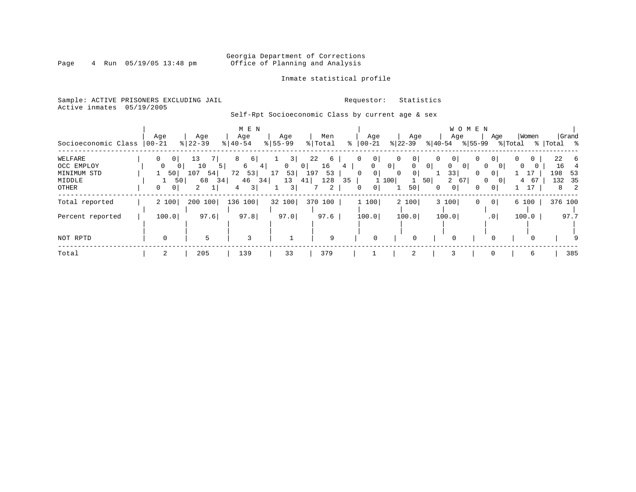### Georgia Department of Corrections<br>Page 4 Run 05/19/05 13:48 pm office of Planning and Analysis Office of Planning and Analysis

### Inmate statistical profile

Sample: ACTIVE PRISONERS EXCLUDING JAIL **Requestor:** Statistics Active inmates 05/19/2005

### Self-Rpt Socioeconomic Class by current age & sex

| Socioeconomic Class       | Age<br>  00-21             | Age<br>$8 22-39$     | M E N<br>Age<br>$8   40 - 54$ | Age<br>$8 55-99$   | Men<br>% Total                       | Age<br>$ 00 - 21$<br>ႜ    | Age<br>$ 22-39 $                                       | WOMEN<br>Age<br>$ 40-54 $<br>% 55-99             | Women<br>Age<br>% Total                         | Grand<br>%   Total %          |
|---------------------------|----------------------------|----------------------|-------------------------------|--------------------|--------------------------------------|---------------------------|--------------------------------------------------------|--------------------------------------------------|-------------------------------------------------|-------------------------------|
| WELFARE                   | $\Omega$<br>0 <sup>1</sup> | 13                   | 6                             | 3                  | 22<br>6                              | 0                         | 0 <sup>1</sup><br>$\mathbf 0$                          | 0<br>0 <sup>1</sup>                              | $\mathbf 0$<br>0 <sup>1</sup><br>0              | 22<br>- 6                     |
| OCC EMPLOY<br>MINIMUM STD | 0<br>50                    | 10<br>$107$ 54       | 6<br>4<br>53<br>72            | $\mathbf{0}$<br>17 | 16<br>0 <sup>1</sup><br>53 197<br>53 | 4<br>$\circ$<br>$\Omega$  | 0 <br>$\mathbf{0}$<br>0 <sup>1</sup><br>$\overline{0}$ | 0 <sup>1</sup><br>0<br>0 <sup>1</sup><br>33<br>0 | 0<br>0<br>$\mathbf{0}$                          | 16<br>198<br>53               |
| MIDDLE<br>OTHER           | 0<br>0 <sup>1</sup>        | 68<br>34<br>50 <br>2 | 46 34<br>3 <br>4              | 13<br>3            | 128<br>41 <br>2                      | 35<br>0 <sup>1</sup><br>0 | 50<br>1 100<br>50                                      | $2 \t 67$<br>0 <sup>1</sup><br>0<br>$\circ$      | 67<br>$\mathbf{0}$<br>4<br>17<br>$\overline{0}$ | 132 35<br>$\overline{2}$<br>8 |
| Total reported            | 2 100                      | 200 100              | 136 100                       | 32 100             | 370 100                              | 1 100                     | 2 100                                                  | 3 100<br>0                                       | 0 <br>6 100                                     | 376 100                       |
| Percent reported          | 100.0                      | 97.6                 | 97.8                          | 97.0               | 97.6                                 | 100.0                     | 100.0                                                  | 100.0                                            | .0 <sup>1</sup><br>100.0                        | 97.7                          |
| NOT RPTD                  | $\Omega$                   |                      | 3                             |                    | 9                                    | $\Omega$                  | $\Omega$                                               | $\overline{0}$                                   | $\Omega$<br>$\Omega$                            | 9                             |
| Total                     | 2                          | 205                  | 139                           | 33                 | 379                                  |                           | 2                                                      | 3                                                | 0<br>6                                          | 385                           |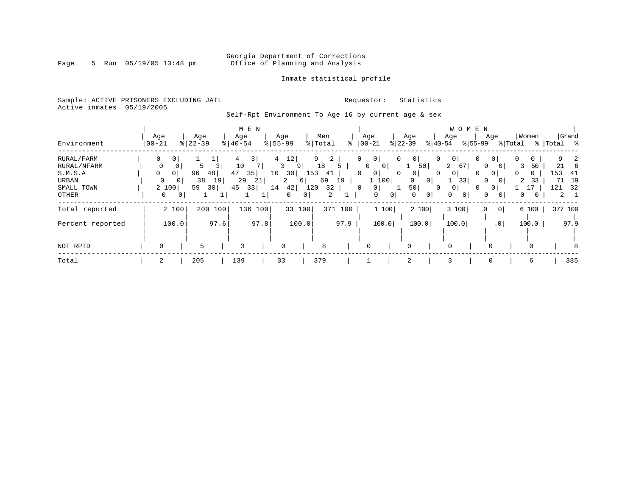### Georgia Department of Corrections<br>Page 5 Run 05/19/05 13:48 pm 6ffice of Planning and Analysis Office of Planning and Analysis

### Inmate statistical profile

Sample: ACTIVE PRISONERS EXCLUDING JAIL **Requestor:** Statistics Active inmates 05/19/2005

Self-Rpt Environment To Age 16 by current age & sex

|                  |             |                |               |         |                       | M E N   |                |          |       |                     |         |          |                                |                |                |                |                | W O M E N     |                |                 |          |          |             |              |
|------------------|-------------|----------------|---------------|---------|-----------------------|---------|----------------|----------|-------|---------------------|---------|----------|--------------------------------|----------------|----------------|----------------|----------------|---------------|----------------|-----------------|----------|----------|-------------|--------------|
|                  | Age         |                | Age           |         | Age                   |         |                | Age      |       | Men                 |         |          | Age                            |                | Age            |                | Age            |               | Age            |                 |          | Women    |             | Grand        |
| Environment      | $00 - 21$   |                | $8   22 - 39$ |         | $\frac{1}{6}$   40-54 |         | $8 55-99$      |          |       | % Total             | ႜ       |          | $ 00 - 21$                     |                | $ 22-39 $      | $ 40-54 $      |                | $ 55-99 $     |                |                 | % Total  |          | %   Total % |              |
| RURAL/FARM       | 0           | 0 <sup>1</sup> |               |         |                       | 3       | $\overline{4}$ | 12       |       | 9<br>$\overline{2}$ |         | 0        | 0 <sup>1</sup>                 | $\mathbf{0}$   | $\overline{0}$ | 0              | 0 <sup>1</sup> | 0             | 0 I            |                 | 0        | 0        |             | $\mathbf{z}$ |
| RURAL/NFARM      | 0           | 0              | 5             |         | 10                    |         |                | 9<br>3   |       | 18                  | 5       |          | $\mathbf{0}$<br>0 <sup>1</sup> |                | 50             |                | $\overline{a}$ | <sup>67</sup> | 0              | 0               | 3        | 50       | 21          | -6           |
| S.M.S.A          | $\Omega$    | 0 <sup>1</sup> | 96            | 48      | 47                    | 35      | 10             | 30       | 153   | 41                  |         | $\Omega$ | 0 <sup>1</sup>                 | $\overline{0}$ | 0 <sup>1</sup> | $\Omega$       | 0 <sup>1</sup> | 0             | 0 <sup>1</sup> |                 | $\Omega$ | $\Omega$ | 153         | 41           |
| URBAN            | $\mathbf 0$ | 0 I            | 38            | 19      | 29                    | 21      |                | 2        | 6     | 69                  | 19      |          | 1 100                          |                | 0              | 0 <sup>1</sup> |                | 33            | 0              |                 | 2        | 33       | 71          | 19           |
| SMALL TOWN       |             | 2 100          | 59            | 30      | 45                    | 33      | 14             | 42       | 120   | 32                  |         | $\Omega$ | 0 <sup>1</sup>                 |                | 50             | $\Omega$       | 0 <sup>1</sup> | 0             | $\mathbf{0}$   |                 |          |          | 121         | 32           |
| OTHER            | 0           | 0              |               |         |                       |         |                | 0        | 0     | $\overline{2}$      |         |          | 0                              | $\overline{0}$ | 0              | $\overline{0}$ | $\Omega$       | 0             | 0              | 0               | 0        |          |             | $2 \quad 1$  |
| Total reported   |             | 2 100          |               | 200 100 |                       | 136 100 |                | 33 100   |       |                     | 371 100 |          | 1 100                          |                | 2 100          |                | 3100           |               | 0              | 0               |          | 6 100    |             | 377 100      |
|                  |             |                |               |         |                       |         |                |          |       |                     |         |          |                                |                |                |                |                |               |                |                 |          |          |             |              |
| Percent reported |             | 100.0          |               | 97.6    |                       | 97.8    |                |          | 100.0 |                     | 97.9    |          | 100.0                          |                | 100.0          |                | 100.0          |               |                | .0 <sub>1</sub> |          | 100.0    |             | 97.9         |
|                  |             |                |               |         |                       |         |                |          |       |                     |         |          |                                |                |                |                |                |               |                |                 |          |          |             |              |
| NOT RPTD         | 0           |                | 5             |         | 3                     |         |                | $\Omega$ |       | 8                   |         |          | $\Omega$                       |                | 0              |                | $\Omega$       |               |                |                 |          | $\Omega$ |             |              |
| Total            | 2           |                | 205           |         | 139                   |         | 33             |          |       | 379                 |         |          |                                |                | 2              |                | 3              |               | 0              |                 |          | 6        |             | 385          |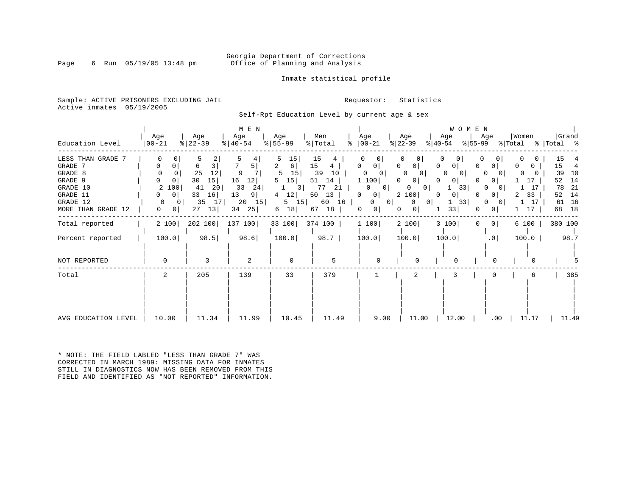### Georgia Department of Corrections<br>Page 6 Run 05/19/05 13:48 pm office of Planning and Analysis Office of Planning and Analysis

Inmate statistical profile

Sample: ACTIVE PRISONERS EXCLUDING JAIL **Requestor:** Statistics Active inmates 05/19/2005

Self-Rpt Education Level by current age & sex

| Education Level                                                                                              | Age<br>$ 00-21 $                                                               | Age<br>$ 22-39$                                                                              | M E N<br>Age<br>$ 40-54 $                                             | Age<br>$8 55-99$                                                                                    | Men<br>% Total                                                                     | Age<br>$8   00 - 21$                                                                                                                                                  | Age<br>$ 22-39 $                                                                                                                                                       | WOMEN<br>Age<br>% 55-99<br>$ 40-54 $                                                                                                                                    | Age<br>% Total                                                                                                                          | Women                                                                 | Grand<br>%   Total %                                                                   |
|--------------------------------------------------------------------------------------------------------------|--------------------------------------------------------------------------------|----------------------------------------------------------------------------------------------|-----------------------------------------------------------------------|-----------------------------------------------------------------------------------------------------|------------------------------------------------------------------------------------|-----------------------------------------------------------------------------------------------------------------------------------------------------------------------|------------------------------------------------------------------------------------------------------------------------------------------------------------------------|-------------------------------------------------------------------------------------------------------------------------------------------------------------------------|-----------------------------------------------------------------------------------------------------------------------------------------|-----------------------------------------------------------------------|----------------------------------------------------------------------------------------|
| LESS THAN GRADE 7<br>GRADE 7<br>GRADE 8<br>GRADE 9<br>GRADE 10<br>GRADE 11<br>GRADE 12<br>MORE THAN GRADE 12 | 0<br>0<br>$\Omega$<br>0<br>2 100<br>$\circ$<br>$\Omega$<br>$\Omega$<br>0<br> 0 | 5.<br>2<br>3 <br>6<br>25<br>12<br>15<br>30<br>41<br>20<br>33<br>16<br>35<br>17 <br>13 <br>27 | 5  <br>9<br>16<br>12 <br>33<br>24<br>13<br>9 <br>15<br>20<br>34<br>25 | 5<br>15  <br>2<br>6 <br>15<br>5<br>15<br>5<br>$\overline{3}$<br>12 <br>4<br>$5 \quad 15$<br>18<br>6 | 15<br>15<br>4<br>39<br>10<br>51<br>14<br>77<br>21<br>50<br>13<br>60 16<br>67<br>18 | 0<br>0 <sup>1</sup><br>0 <sup>1</sup><br>$\mathbf{0}$<br>1 100<br>$\mathbf{0}$<br>0 <sup>1</sup><br>$\mathbf{0}$<br>0 <sup>1</sup><br> 0 <br>$\Omega$<br>$\circ$<br>0 | 0<br>0<br>0<br>0 <sup>1</sup><br>0<br>$\mathbf{0}$<br>0<br>0<br>$\Omega$<br>0 <sup>1</sup><br>0<br>2 100<br>$\mathbf{0}$<br> 0 <br>$\mathbf{0}$<br>0 <sup>1</sup><br>0 | $\Omega$<br>0<br>0 <sup>1</sup><br>$\Omega$<br>$\Omega$<br>$\overline{0}$<br>0 <sup>1</sup><br>$\Omega$<br>33<br>0 <sup>1</sup><br>$\Omega$<br>33<br>$\mathbf{1}$<br>33 | 0<br>0 <sup>1</sup><br>$\Omega$<br>$\Omega$<br>0 <sup>1</sup><br>$\Omega$<br>$\Omega$<br>0 <sup>1</sup><br>0<br>- O I<br>0 <sup>1</sup> | 0<br>$\mathbf{0}$<br>$\Omega$<br>17<br>17<br>33<br>2<br>17<br>1<br>17 | 15<br>15<br>4<br>39<br>10<br>52<br>14<br>-21<br>78<br>52<br>14<br>16<br>61<br>18<br>68 |
| Total reported                                                                                               | 2 100                                                                          | 202 100                                                                                      | 137 100                                                               | 33 100 374 100                                                                                      |                                                                                    | 1 100                                                                                                                                                                 | 2 100                                                                                                                                                                  | 3 100<br>$\Omega$                                                                                                                                                       | 0 <sup>1</sup>                                                                                                                          | 6 100                                                                 | 380 100                                                                                |
| Percent reported                                                                                             | 100.0                                                                          | 98.5                                                                                         | 98.6                                                                  | 100.0                                                                                               | $98.7$                                                                             | 100.0                                                                                                                                                                 | 100.0                                                                                                                                                                  | 100.0                                                                                                                                                                   | .0 <sub>1</sub>                                                                                                                         | 100.0                                                                 | 98.7                                                                                   |
| NOT REPORTED                                                                                                 | 0                                                                              | 3                                                                                            | 2                                                                     | 0                                                                                                   | 5                                                                                  | $\Omega$                                                                                                                                                              | $\Omega$                                                                                                                                                               |                                                                                                                                                                         | <sup>0</sup>                                                                                                                            |                                                                       |                                                                                        |
| Total                                                                                                        | 2                                                                              | 205                                                                                          | 139                                                                   | 33                                                                                                  | 379                                                                                |                                                                                                                                                                       | 2                                                                                                                                                                      | 3                                                                                                                                                                       | $\Omega$                                                                                                                                | б                                                                     | 385                                                                                    |
| AVG EDUCATION LEVEL                                                                                          | 10.00                                                                          | 11.34                                                                                        | 11.99                                                                 | 10.45                                                                                               | 11.49                                                                              | 9.00                                                                                                                                                                  | 11.00                                                                                                                                                                  | 12.00                                                                                                                                                                   | $.00 \,$                                                                                                                                | 11.17                                                                 | 11.49                                                                                  |

\* NOTE: THE FIELD LABLED "LESS THAN GRADE 7" WAS CORRECTED IN MARCH 1989: MISSING DATA FOR INMATES STILL IN DIAGNOSTICS NOW HAS BEEN REMOVED FROM THIS FIELD AND IDENTIFIED AS "NOT REPORTED" INFORMATION.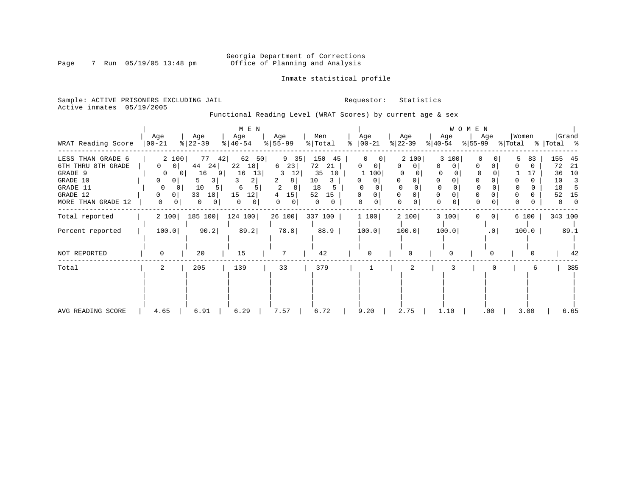### Georgia Department of Corrections<br>Page 7 Run 05/19/05 13:48 pm 6ffice of Planning and Analysis Office of Planning and Analysis

### Inmate statistical profile

Sample: ACTIVE PRISONERS EXCLUDING JAIL **Requestor:** Statistics Active inmates 05/19/2005

Functional Reading Level (WRAT Scores) by current age & sex

|                    | Age                            | Age             | M E N<br>Age  | Age                 | Men       | Age                      | Age           | Age         | WOMEN<br>Age |                | Women |              | Grand |
|--------------------|--------------------------------|-----------------|---------------|---------------------|-----------|--------------------------|---------------|-------------|--------------|----------------|-------|--------------|-------|
| WRAT Reading Score | 00-21                          | $ 22-39 $       | $8   40 - 54$ | $ 55-99 $           | % Total   | $\frac{1}{6}$   00-21    | $ 22-39 $     | $ 40-54 $   | % 55−99      | % Total        |       | %   Total %  |       |
| LESS THAN GRADE 6  | 2 100                          | 77<br>42        | 62<br>50      | $9 \quad 35$        | 150<br>45 | 0                        | 2 100         | 3 100       |              |                | 83    | 155          | 45    |
| 6TH THRU 8TH GRADE | $\mathbf{0}$<br>0 <sup>1</sup> | 44<br>24        | 22<br>18      | 23<br>6             | 72<br>21  | 0                        | $\Omega$<br>0 | 0           |              | 0              |       | 72           | 21    |
| GRADE 9            | $\overline{0}$                 | 16<br>91<br>0 I | 16<br>13      | 12<br>3             | 35<br>10  | 100<br>1                 |               |             |              |                | 17    | 36           | 10    |
| GRADE 10           | 0<br>0                         | 3<br>5          | 3<br>21       | 2<br>8              | 10<br>3   | $\mathbf{0}$<br>$\Omega$ |               | $\Omega$    |              |                |       | 10           | 3     |
| GRADE 11           | 0<br>0                         | 10<br>5         | 6             | $\overline{2}$      | 18        |                          | $\Omega$      | $\mathbf 0$ |              | $\Omega$       |       | 18           |       |
| GRADE 12           | 0<br>0                         | 33<br>18        | 15<br> 12     | 15<br>4             | 52<br>15  | 0<br>0                   |               | 0           |              |                |       | 52           | 15    |
| MORE THAN GRADE 12 | 0                              | 0<br>$\circ$    | 0<br>0        | 0<br>0 <sup>1</sup> | 0<br>0    | 0<br>0                   | 0             | $\mathbf 0$ |              | 0              | 0     | $\mathbf{0}$ |       |
| Total reported     | 2 100                          | 185 100         | 124 100       | 26 100              | 337 100   | 1 100                    | 2 100         | 3 100       |              | 0 <sup>1</sup> | 6 100 | 343 100      |       |
| Percent reported   | 100.0                          | 90.2            | 89.2          | 78.8                | 88.9      | 100.0                    | 100.0         | 100.0       |              | .0             | 100.0 |              | 89.1  |
| NOT REPORTED       | 0                              | 20              | 15            | 7                   | 42        | 0                        | 0             | $\Omega$    |              |                |       |              | 42    |
| Total              | 2                              | 205             | 139           | 33                  | 379       |                          |               |             |              |                | 6     |              | 385   |
|                    |                                |                 |               |                     |           |                          |               |             |              |                |       |              |       |
|                    |                                |                 |               |                     |           |                          |               |             |              |                |       |              |       |
|                    |                                |                 |               |                     |           |                          |               |             |              |                |       |              |       |
| AVG READING SCORE  | 4.65                           | 6.91            | 6.29          | 7.57                | 6.72      | 9.20                     | 2.75          | 1.10        |              | .00            | 3.00  |              | 6.65  |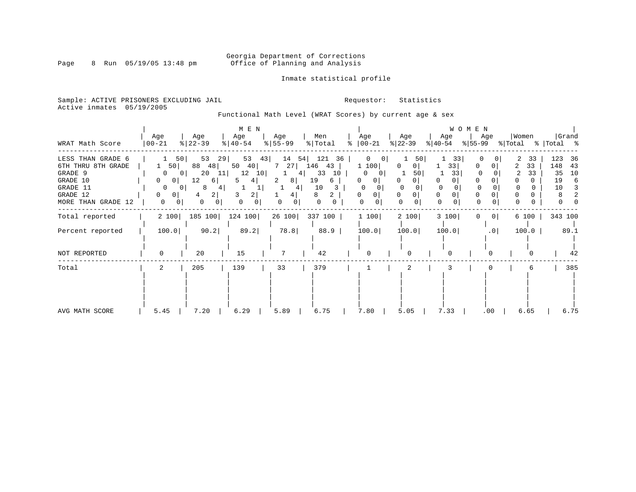### Georgia Department of Corrections<br>Page 8 Run 05/19/05 13:48 pm 6ffice of Planning and Analysis Office of Planning and Analysis

### Inmate statistical profile

Sample: ACTIVE PRISONERS EXCLUDING JAIL **Requestor:** Statistics Active inmates 05/19/2005

Functional Math Level (WRAT Scores) by current age & sex

|                                                                                                           | Age                                                                                                                                 | Age                                                                               | M E N<br>Age                                                                                | Age                                                    | Men                                                                                    | Age                                                                                        | Age                                           | Age                                                         | WOMEN<br>Age                      | Women                               | Grand                                               |
|-----------------------------------------------------------------------------------------------------------|-------------------------------------------------------------------------------------------------------------------------------------|-----------------------------------------------------------------------------------|---------------------------------------------------------------------------------------------|--------------------------------------------------------|----------------------------------------------------------------------------------------|--------------------------------------------------------------------------------------------|-----------------------------------------------|-------------------------------------------------------------|-----------------------------------|-------------------------------------|-----------------------------------------------------|
| WRAT Math Score<br>LESS THAN GRADE 6<br>6TH THRU 8TH GRADE<br>GRADE 9<br>GRADE 10<br>GRADE 11<br>GRADE 12 | $ 00-21$<br>50<br>1 50<br>$\mathbf{0}$<br>0 <sup>1</sup><br>0 <sup>1</sup><br>0<br>$\circ$<br>0 <sup>1</sup><br>0<br>0 <sup>1</sup> | $ 22-39 $<br>53<br>29  <br>88<br>48<br>20<br>11<br>12<br>6  <br>8<br>4<br>2 <br>4 | $ 40-54 $<br>43<br>53<br>50<br>40<br>12<br>10 <sup>1</sup><br>5<br>4<br>3<br>$\overline{2}$ | $ 55-99 $<br>14<br>7 27<br>4<br>1.<br>2<br>8<br>4<br>4 | % Total<br>121<br>36<br>54  <br>146<br>43<br>33<br>10<br>19<br>6<br>10<br>3.<br>2<br>8 | $\frac{1}{6}$   00-21<br>0<br>0<br>1 100<br>0<br>0<br>0<br>$\Omega$<br>0 <sup>1</sup><br>0 | $ 22-39 $<br>50<br>$\Omega$<br>0  <br>50<br>0 | % 40-54<br>33<br>33<br>33<br>0<br>$\Omega$<br>0<br>$\Omega$ | %∣55-99<br><sup>0</sup><br>0<br>0 | % Total % Total %<br>33<br>33<br>33 | 123<br>36<br>148<br>43<br>35<br>10<br>19<br>6<br>10 |
| MORE THAN GRADE 12                                                                                        | 0<br>0 I                                                                                                                            | 0<br>0 <sup>1</sup>                                                               | 0<br>$\mathbf{0}$                                                                           | 0                                                      | 0                                                                                      | 0<br>0                                                                                     | $\Omega$                                      | 0                                                           | $\Omega$                          |                                     | $\Omega$                                            |
| Total reported                                                                                            | 2 100                                                                                                                               | 185 100                                                                           | 124 100                                                                                     | 26 100                                                 | 337 100                                                                                | 1 100                                                                                      | 2 100                                         | 3 100                                                       | 0 <sup>1</sup><br>$\Omega$        | 6 100                               | 343 100                                             |
| Percent reported                                                                                          | 100.0                                                                                                                               | 90.2                                                                              | 89.2                                                                                        | 78.8                                                   | 88.9                                                                                   | 100.0                                                                                      | 100.0                                         | 100.0                                                       | .0 <sub>1</sub>                   | 100.0                               | 89.1                                                |
| NOT REPORTED                                                                                              | 0                                                                                                                                   | 20                                                                                | 15                                                                                          |                                                        | 42                                                                                     | $\Omega$                                                                                   |                                               | $\Omega$                                                    | $\Omega$                          |                                     | 42                                                  |
| Total                                                                                                     | 2                                                                                                                                   | 205                                                                               | 139                                                                                         | 33                                                     | 379                                                                                    |                                                                                            | 2                                             |                                                             |                                   | 6                                   | 385                                                 |
| AVG MATH SCORE                                                                                            | 5.45                                                                                                                                | 7.20                                                                              | 6.29                                                                                        | 5.89                                                   | 6.75                                                                                   | 7.80                                                                                       | 5.05                                          | 7.33                                                        | .00                               | 6.65                                | 6.75                                                |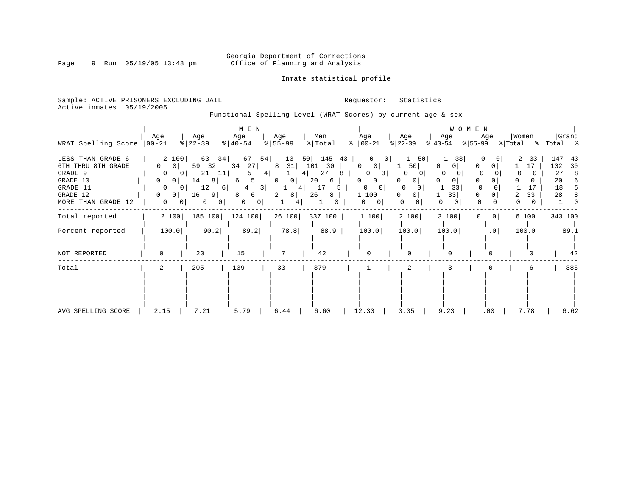### Georgia Department of Corrections<br>Page 9 Run 05/19/05 13:48 pm 6ffice of Planning and Analysis Office of Planning and Analysis

### Inmate statistical profile

Sample: ACTIVE PRISONERS EXCLUDING JAIL **Requestor:** Statistics Active inmates 05/19/2005

Functional Spelling Level (WRAT Scores) by current age & sex

| WRAT Spelling Score                                                                                          | Age<br>$ 00-21$                                                                                                                                                                 | Age<br>$ 22-39 $                                                                                 | M E N<br>Age<br>$ 40-54 $                                                                          | Age<br>$8 55-99$                                                            | Men<br>% Total                                                     | Age<br>$8   00 - 21$                                                                                            | Age<br>$ 22-39 $                                                  | Age<br>$ 40-54 $                                   | WOMEN<br>Age<br>$ 55-99 $             | Women<br>% Total    | Grand<br>%  Total %                                      |
|--------------------------------------------------------------------------------------------------------------|---------------------------------------------------------------------------------------------------------------------------------------------------------------------------------|--------------------------------------------------------------------------------------------------|----------------------------------------------------------------------------------------------------|-----------------------------------------------------------------------------|--------------------------------------------------------------------|-----------------------------------------------------------------------------------------------------------------|-------------------------------------------------------------------|----------------------------------------------------|---------------------------------------|---------------------|----------------------------------------------------------|
| LESS THAN GRADE 6<br>6TH THRU 8TH GRADE<br>GRADE 9<br>GRADE 10<br>GRADE 11<br>GRADE 12<br>MORE THAN GRADE 12 | 2 100<br>$\Omega$<br>0 <sup>1</sup><br>$\overline{0}$<br>0 <sup>1</sup><br>0<br>0 <sup>1</sup><br>$\overline{0}$<br>0 <sup>1</sup><br>0<br>0 <sup>1</sup><br>$\mathbf{0}$<br>01 | 63<br>34<br>59<br>32 <br>21<br>11 <br>8 <br>14<br>12<br>6  <br>16<br>-9  <br>0<br>0 <sup>1</sup> | 67<br>54  <br>34<br>$27 \mid$<br>4 <br>5  <br>6<br>$\overline{3}$<br>4<br>6 <br>8<br>0<br>$\Omega$ | 50<br>13<br>31<br>8<br>4<br>$\mathbf{0}$<br>$\vert 0 \vert$<br>4<br>8 <br>2 | 145<br>43<br>101<br>30<br>27<br>8<br>20<br>6<br>17<br>5<br>26<br>8 | 0<br>01<br>$\Omega$<br>0<br>$\Omega$<br>$\overline{0}$<br>$\mathbf{0}$<br>0<br>$\Omega$<br>0<br>1 100<br>0<br>0 | 50<br>50 <sub>1</sub><br>O<br>0 I<br>0<br>$\Omega$<br>0<br>0<br>0 | 33<br>0<br>0<br><sup>0</sup><br>0<br>33<br>33<br>0 | $\Omega$<br>$\Omega$<br>$\Omega$<br>0 | 33<br>17<br>33<br>2 | 147<br>43<br>102<br>30<br>27<br>8<br>20<br>6<br>18<br>28 |
| Total reported                                                                                               | 2 100                                                                                                                                                                           | 185 100                                                                                          | 124 100                                                                                            | 26 100                                                                      | 337 100                                                            | 1 100                                                                                                           | 2 100                                                             | 3 100                                              | 0 <sup>1</sup><br>0.                  | 6 100               | 343 100                                                  |
| Percent reported                                                                                             | 100.0                                                                                                                                                                           | 90.2                                                                                             | 89.2                                                                                               | 78.8                                                                        | 88.9                                                               | 100.0                                                                                                           | 100.0                                                             | 100.0                                              | .0                                    | 100.0               | 89.1                                                     |
| NOT REPORTED                                                                                                 | 0                                                                                                                                                                               | 20                                                                                               | 15                                                                                                 |                                                                             | 42                                                                 | 0                                                                                                               |                                                                   |                                                    |                                       |                     | 42                                                       |
| Total                                                                                                        | 2                                                                                                                                                                               | 205                                                                                              | 139                                                                                                | 33                                                                          | 379                                                                |                                                                                                                 |                                                                   |                                                    |                                       | 6                   | 385                                                      |
| AVG SPELLING SCORE                                                                                           | 2.15                                                                                                                                                                            | 7.21                                                                                             | 5.79                                                                                               | 6.44                                                                        | 6.60                                                               | 12.30                                                                                                           | 3.35                                                              | 9.23                                               | .00                                   | 7.78                | 6.62                                                     |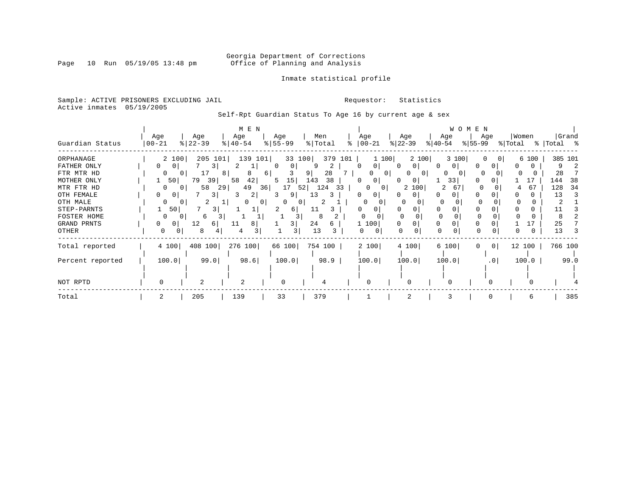### Georgia Department of Corrections<br>Page 10 Run 05/19/05 13:48 pm office of Planning and Analysis Office of Planning and Analysis

### Inmate statistical profile

Sample: ACTIVE PRISONERS EXCLUDING JAIL **Requestor:** Statistics Active inmates 05/19/2005

Self-Rpt Guardian Status To Age 16 by current age & sex

|                                                                                                                                            |                   |                                                          |                                                        |                            | M E N                                                   |                                             |                                               |                                                         |           |                                                         |                                     |                                                      |                            |                                                    | W O M E N                 |                 |                  |                   |                              |                           |
|--------------------------------------------------------------------------------------------------------------------------------------------|-------------------|----------------------------------------------------------|--------------------------------------------------------|----------------------------|---------------------------------------------------------|---------------------------------------------|-----------------------------------------------|---------------------------------------------------------|-----------|---------------------------------------------------------|-------------------------------------|------------------------------------------------------|----------------------------|----------------------------------------------------|---------------------------|-----------------|------------------|-------------------|------------------------------|---------------------------|
| Guardian Status                                                                                                                            | Age<br>$ 00 - 21$ |                                                          | Age<br>$ 22-39$                                        | Age<br>$ 40-54 $           |                                                         | Age<br>$8 55-99$                            |                                               | Men<br>% Total                                          |           | Age<br>$ 00-21 $                                        |                                     | Age<br>$ 22-39 $                                     | $ 40-54 $                  | Age                                                | Age<br>$ 55-99 $          |                 | Women<br>% Total |                   | %   Total %                  | Grand                     |
| ORPHANAGE<br>FATHER ONLY<br>FTR MTR HD<br>MOTHER ONLY<br>MTR FTR HD<br>OTH FEMALE<br>OTH MALE<br>STEP-PARNTS<br>FOSTER HOME<br>GRAND PRNTS |                   | 2 100<br>0<br>50 <br>0<br>0 I<br>50<br><sup>0</sup><br>0 | 205 101<br>3<br>17<br>79<br>39<br>58<br>6<br>12<br>6 I | 81<br>58<br>29<br>3.<br>11 | 139<br>101 <br>Τ.<br>8<br>42<br>49<br>36<br>2<br>0<br>8 | $\left( \right)$<br>6<br>15<br>5<br>17<br>0 | 33 100<br>0<br>9<br>143<br>52 <br>9<br>6<br>3 | 379<br>2<br>28<br>38<br>124<br>13<br>3<br>11<br>24<br>6 | 101<br>33 | 0<br>0 <sup>1</sup><br>0<br>0<br>0<br>$\Omega$<br>1 100 | 1 100<br>$\Omega$<br>0 <sup>1</sup> | 2 100<br>$\Omega$<br>O<br>01<br>0<br>2 100<br>0<br>U | 0 <sup>1</sup><br>$\Omega$ | 3 100<br>0 <sup>1</sup><br>0<br>0<br>33<br>2<br>67 | O<br>$\Omega$<br>$\Omega$ | 0 I<br>$\Omega$ | 4                | 6 100<br>17<br>67 | 28<br>144<br>128<br>13<br>25 | 385 101<br>-38<br>34<br>3 |
| OTHER                                                                                                                                      | 0                 | $\cup$                                                   | 8                                                      | 4                          |                                                         |                                             | 3                                             | 13                                                      |           | 0<br>0                                                  |                                     | O                                                    |                            |                                                    | $\Omega$                  |                 |                  | 0                 | 13                           |                           |
| Total reported                                                                                                                             |                   | 4 100                                                    | 408 100                                                |                            | 276 100                                                 | 66 100                                      |                                               | 754 100                                                 |           | 2 100                                                   |                                     | 4 100                                                |                            | 6 100                                              | 0                         | 0 <sup>1</sup>  | 12 100           |                   | 766 100                      |                           |
| Percent reported                                                                                                                           |                   | 100.0                                                    | 99.0                                                   |                            | 98.6                                                    | 100.0                                       |                                               | 98.9                                                    |           | 100.0                                                   |                                     | 100.0                                                |                            | 100.0                                              |                           | $.0$            |                  | 100.0             |                              | 99.0                      |
| NOT RPTD                                                                                                                                   | $\Omega$          |                                                          | $\overline{c}$                                         | $\overline{2}$             |                                                         | O                                           |                                               |                                                         |           | O                                                       |                                     |                                                      |                            |                                                    |                           |                 |                  |                   |                              |                           |
| Total                                                                                                                                      |                   |                                                          | 205                                                    | 139                        |                                                         | 33                                          |                                               | 379                                                     |           |                                                         |                                     | 2                                                    |                            | κ                                                  |                           |                 |                  | 6                 |                              | 385                       |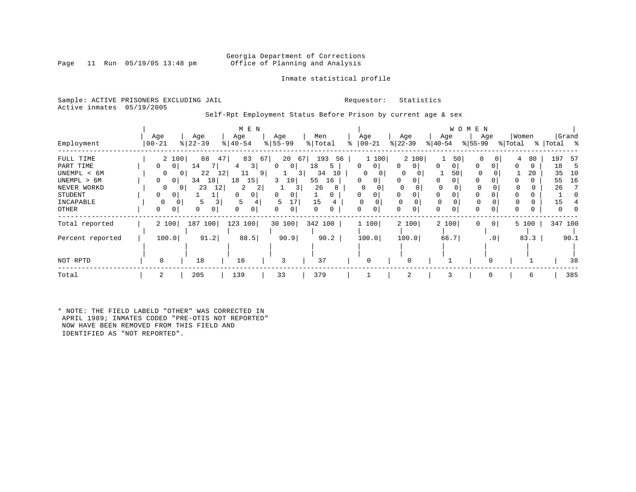Page 11 Run 05/19/05 13:48 pm

### Inmate statistical profile

Sample: ACTIVE PRISONERS EXCLUDING JAIL **Requestor:** Statistics Active inmates 05/19/2005

Self-Rpt Employment Status Before Prison by current age & sex

|                  |                                |                  | M E N          |                            |              |               |                          |                     | W O M E N        |         |                |
|------------------|--------------------------------|------------------|----------------|----------------------------|--------------|---------------|--------------------------|---------------------|------------------|---------|----------------|
|                  | Age                            | Age              | Age            | Age                        | Men          | Age           | Age                      | Age                 | Age              | Women   | Grand          |
| Employment       | $ 00 - 21$                     | $ 22-39$         | $ 40-54 $      | $\frac{1}{6}$   55-99      | % Total<br>⊱ | $ 00-21$      | $ 22-39 $                | $ 40-54 $           | $ 55-99 $        | % Total | %   Total<br>ႜ |
| FULL TIME        | 2 100                          | 88<br>47         | 83             | 67<br>20<br>67             | 193<br>56    | 1 100         | 2 100                    | 50                  | 0                | 80<br>4 | 197<br>-57     |
| PART TIME        | $\mathbf{0}$<br>0 <sup>1</sup> | 14               | 3              | 0 <sup>1</sup><br>$\Omega$ | 18<br>5      | 0<br>0        | $\mathbf{0}$<br>$\Omega$ | 0<br>0 <sup>1</sup> | $\Omega$<br>0    | 0       | 18<br>Þ        |
| UNEMPL < 6M      | $\Omega$                       | 22               | 12 <br>11<br>9 | 3 I                        | 34<br>10     | 0<br>0        | 0                        | 50                  |                  | 20      | 35<br>10       |
| UNEMPL > 6M      | 0<br>$\overline{0}$            | 18<br>34         | 18<br>15       | 3<br>10                    | 55<br>16     | 0<br>0        | 0                        | 0                   | $\Omega$         | 0.      | 16<br>55       |
| NEVER WORKD      | $\Omega$                       | 23<br>12<br>() I | 2              | 3                          | 26           | 0<br>$\Omega$ | $\Omega$                 | $\Omega$            |                  |         | 26             |
| STUDENT          | $\Omega$<br>0                  |                  | $\Omega$<br>0  | 0<br>0                     | 0            | 0<br>0        | 0                        | 0<br>0              | $\Omega$         |         |                |
| INCAPABLE        |                                |                  | 5              | 17<br>5                    | 15           |               |                          |                     |                  |         | 15             |
| OTHER            | 0<br>0                         | 0                | 0              | 0<br>0                     | 0<br>0       | 0             | 0                        | 0                   | $\mathbf{0}$     |         |                |
| Total reported   | 2 100                          | 187<br>100       | 123<br>100     | 30 100                     | 342 100      | 1 100         | 2 100                    | 2 100               | $\mathbf 0$<br>0 | 5 100   | 347 100        |
| Percent reported | 100.0                          | 91.2             | 88.5           | 90.9                       | 90.2         | 100.0         | 100.0                    | 66.7                | .0 <sub>1</sub>  | 83.3    | 90.1           |
|                  |                                |                  |                |                            |              |               |                          |                     |                  |         |                |
| NOT RPTD         | $\Omega$                       | 18               | 16             | 3                          | 37           | 0             |                          |                     |                  |         | 38             |
| Total            | 2                              | 205              | 139            | 33                         | 379          |               | 2                        |                     | $\Omega$         | 6       | 385            |

\* NOTE: THE FIELD LABELD "OTHER" WAS CORRECTED IN APRIL 1989; INMATES CODED "PRE-OTIS NOT REPORTED" NOW HAVE BEEN REMOVED FROM THIS FIELD AND IDENTIFIED AS "NOT REPORTED".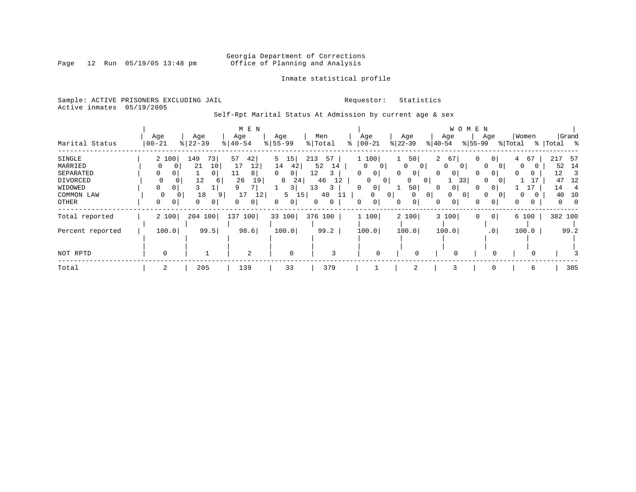Page 12 Run 05/19/05 13:48 pm

### Inmate statistical profile

Sample: ACTIVE PRISONERS EXCLUDING JAIL **Requestor:** Statistics Active inmates 05/19/2005

Self-Rpt Marital Status At Admission by current age & sex

|                  |                 |                | M E N                 |               |           |                     |                              | W O M E N                  |                      |               |             |
|------------------|-----------------|----------------|-----------------------|---------------|-----------|---------------------|------------------------------|----------------------------|----------------------|---------------|-------------|
|                  | Age             | Age            | Age                   | Age           | Men       | Age                 | Age                          | Age                        | Age                  | Women         | Grand       |
| Marital Status   | $ 00 - 21$<br>% | $ 22 - 39$     | $\frac{1}{6}$   40-54 | $8 55-99$     | % Total   | $ 00-21$            | $ 22-39 $                    | $ 40-54 $                  | $ 55-99 $            | % Total       | %   Total % |
| SINGLE           | 2 100           | 73<br>149      | 42 <br>57             | 5<br>15       | 213<br>57 | 1 100               | 50                           | $\overline{a}$<br>67       | $\overline{0}$<br>0  | 67<br>4       | 217<br>-57  |
| MARRIED          |                 | 10<br>21       | 12<br>17              | 14<br>42      | 52<br>14  | 0<br>$\mathbf{0}$   | $\mathbf{0}$<br>$\mathbf{0}$ | 0<br>$\mathbf{0}$          | $\Omega$<br>$\sigma$ | 0             | 14<br>52    |
| SEPARATED        | 0<br>0          | 0 <sup>1</sup> | 8<br>11               | $\Omega$<br>0 | 12        | $\Omega$<br>0       | 0<br>$\mathbf{0}$            | 0<br>0                     | 0<br>$\Omega$        | $\Omega$<br>0 | 12<br>3     |
| DIVORCED         | 0<br>0          | 12<br>6        | 26<br>19              | 24<br>8       | 46<br>12  | 0<br>$\overline{0}$ | 0<br>$\mathbf{0}$            | 33                         | $\Omega$             |               | 12<br>47    |
| WIDOWED          | 0               |                | q                     | 3             | 13<br>3   | 0                   | 50                           | 0                          | $\Omega$             |               | 14          |
| COMMON LAW       | $\Omega$        | 18<br>9        | 17<br>12              | 5<br>15       | 40        | $\Omega$            | 0 <sup>1</sup><br>0          | $\overline{0}$<br>$\Omega$ | $\Omega$<br>$\Omega$ | $\Omega$      | 40<br>10    |
| OTHER            | 0<br>0          | 0<br>0         | $\overline{0}$        | 0<br>0        | 0<br>0    | 0<br>0              | 0<br>$\mathbf{0}$            | 0<br>0                     | 0<br>0               | 0<br>0        | 0<br>0      |
| Total reported   | 2 100           | 204<br>100     | 137 100               | 33 100        | 376 100   | 1 100               | 2 100                        | 3 100                      | 0 <sup>1</sup><br>0  | 6 100         | 382 100     |
| Percent reported | 100.0           | 99.5           | 98.6                  | 100.0         | 99.2      | 100.0               | 100.0                        | 100.0                      | .0 <sup>1</sup>      | 100.0         | 99.2        |
|                  |                 |                |                       |               |           |                     |                              |                            |                      |               |             |
| NOT RPTD         | $\mathbf 0$     |                | 2                     | $\mathbf 0$   | 3         | $\Omega$            | $\Omega$                     |                            |                      |               |             |
| Total            | 2               | 205            | 139                   | 33            | 379       |                     | 2                            |                            | $\mathbf 0$          | 6             | 385         |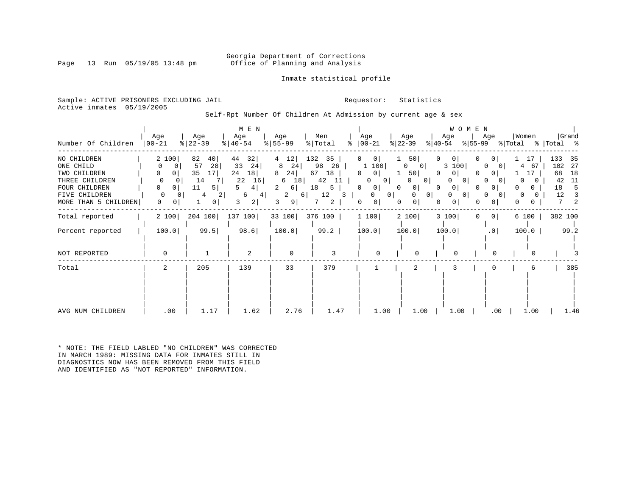### Georgia Department of Corrections<br>Page 13 Run 05/19/05 13:48 pm office of Planning and Analysis Office of Planning and Analysis

Inmate statistical profile

Sample: ACTIVE PRISONERS EXCLUDING JAIL **Requestor:** Statistics Active inmates 05/19/2005

Self-Rpt Number Of Children At Admission by current age & sex

| Number Of Children                                                                                                   | Age<br>$00 - 21$                                                           | Age<br>$ 22-39$                                                                 | M E N<br>Age<br>$8   40 - 54$                                              | Age<br>$8 55-99$                                                                       | Men<br>% Total<br>៖                                                            | Age<br>$ 00-21$                                                                                          | Age<br>$ 22-39 $                                                                                                                                  | WOMEN<br>Age<br>$ 55-99 $<br>$ 40-54 $                                      | Age                                                                                      | Women<br>% Total                                         | Grand<br>%  Total %                                                              |
|----------------------------------------------------------------------------------------------------------------------|----------------------------------------------------------------------------|---------------------------------------------------------------------------------|----------------------------------------------------------------------------|----------------------------------------------------------------------------------------|--------------------------------------------------------------------------------|----------------------------------------------------------------------------------------------------------|---------------------------------------------------------------------------------------------------------------------------------------------------|-----------------------------------------------------------------------------|------------------------------------------------------------------------------------------|----------------------------------------------------------|----------------------------------------------------------------------------------|
| NO CHILDREN<br>ONE CHILD<br>TWO CHILDREN<br>THREE CHILDREN<br>FOUR CHILDREN<br>FIVE CHILDREN<br>MORE THAN 5 CHILDREN | 2 100<br>0<br>0<br>0<br>0  <br>0<br>0<br>0<br>0<br>$\Omega$<br>0<br>0<br>0 | 82<br>40 <br>28<br>57<br>35<br>17<br>14<br>11<br>5<br>2 <br>4<br>$\overline{0}$ | 32 <br>44<br>33<br>24<br>24<br>18<br>22<br>16<br>4  <br>6<br>4 <br>2 <br>3 | 12 <br>4<br>8<br>24<br>24<br>8<br>18<br>6<br>2<br>6 <br>2<br>6 <br>9 <sup>1</sup><br>3 | 132<br>35<br>26<br>98<br>67<br>18<br>42<br>-11<br>18<br>5<br>12<br>3<br>2<br>7 | 0 <br>0<br>1 100<br>0 <sup>1</sup><br>0<br>0<br>$\circ$<br>0<br>$\circ$<br>0 <sup>1</sup><br>0<br>0<br>0 | 50<br>0<br>$\overline{0}$<br>0<br>50 <br>0<br>0 <sup>1</sup><br>0<br>$\overline{0}$<br>$\Omega$<br>$\Omega$<br>0<br>0 <sup>1</sup><br>0<br>0<br>0 | 0<br>0<br>3 100<br>0<br>0<br>$\circ$<br>0<br>0<br>$\circ$<br>0 <sup>1</sup> | 0<br>$\Omega$<br>$\Omega$<br>01<br>$\Omega$<br>$\Omega$<br>0<br>0<br>0<br>0 <sup>1</sup> | 17<br>4<br>67<br>17<br>0<br>0<br>0<br>0<br>0<br>$\Omega$ | 133<br>35<br>102<br>- 27<br>68<br>18<br>42<br>11<br>18<br>5<br>12<br>3<br>7<br>2 |
| Total reported                                                                                                       | 2 100                                                                      | 204 100                                                                         | 137 100                                                                    | 33 100                                                                                 | 376 100                                                                        | 1100                                                                                                     | 2 100                                                                                                                                             | 3 100<br>$\Omega$                                                           | 0 <sup>1</sup>                                                                           | 6 100                                                    | 382 100                                                                          |
| Percent reported                                                                                                     | 100.0                                                                      | 99.5                                                                            | 98.6                                                                       | 100.0                                                                                  | 99.2                                                                           | 100.0                                                                                                    | 100.0                                                                                                                                             | 100.0                                                                       | .0                                                                                       | 100.0                                                    | 99.2                                                                             |
| NOT REPORTED                                                                                                         | $\mathbf 0$                                                                |                                                                                 | 2                                                                          | $\mathbf 0$                                                                            | 3                                                                              | $\Omega$                                                                                                 | $\Omega$                                                                                                                                          | $\Omega$                                                                    | $\Omega$                                                                                 | <sup>0</sup>                                             |                                                                                  |
| Total                                                                                                                | 2                                                                          | 205                                                                             | 139                                                                        | 33                                                                                     | 379                                                                            |                                                                                                          | 2                                                                                                                                                 | 3                                                                           | 0                                                                                        | 6                                                        | 385                                                                              |
| AVG NUM CHILDREN                                                                                                     | .00                                                                        | 1.17                                                                            | 1.62                                                                       | 2.76                                                                                   | 1.47                                                                           | 1.00                                                                                                     | 1.00                                                                                                                                              | 1.00                                                                        | $.00 \,$                                                                                 | 1.00                                                     | 1.46                                                                             |

\* NOTE: THE FIELD LABLED "NO CHILDREN" WAS CORRECTED IN MARCH 1989: MISSING DATA FOR INMATES STILL IN DIAGNOSTICS NOW HAS BEEN REMOVED FROM THIS FIELD AND IDENTIFIED AS "NOT REPORTED" INFORMATION.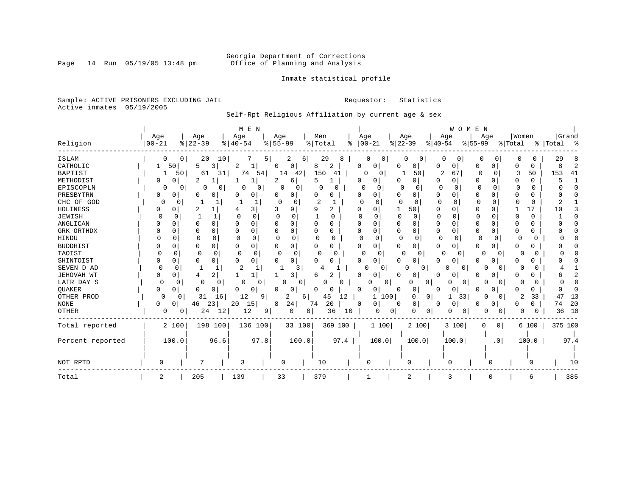Inmate statistical profile

Sample: ACTIVE PRISONERS EXCLUDING JAIL **Requestor:** Statistics Active inmates 05/19/2005

Self-Rpt Religious Affiliation by current age & sex

| Grand<br>Women<br>Age<br>Men<br>Age<br>Age<br>Age<br>Age<br>Age<br>Age<br>Age<br>$8   22 - 39$<br>$8 55-99$<br>%   Total<br>$ 00-21$<br>$ 22-39$<br>Religion<br>$ 00 - 21$<br>$8   40 - 54$<br>$ 55-99$<br>% Total<br>%   Total<br>နွ<br>$ 40-54 $<br><b>ISLAM</b><br>10<br>29<br>20<br>29<br>0<br>0<br>0<br>0<br>5<br>2<br>6<br>0<br>$\Omega$<br>$\Omega$<br>8<br>CATHOLIC<br>50<br>5<br>8<br>2<br>3<br>0<br>0<br>0<br>0<br>0<br>0<br>2<br>0<br>0<br>0<br>0<br>0<br><b>BAPTIST</b><br>150<br>2<br>67<br>153<br>74<br>14<br>42 <br>50<br>3<br>50<br>41<br>1<br>50<br>61<br>31<br>54<br>41<br>O<br>0<br>$\Omega$<br>0<br>METHODIST<br>0<br>2<br>6<br>5<br>0<br>0<br>0<br>$\Omega$<br>0<br>O<br>2<br>0<br>0<br>0<br>EPISCOPLN<br>0<br>0<br>O<br>$\Omega$<br>O<br>0<br>O<br>O<br>0<br>0<br>0<br>0<br>0<br>O<br>O<br>O<br>PRESBYTRN<br>$\Omega$<br>0<br>0<br>0<br>0<br>0<br>0<br>0<br>$\Omega$<br>O<br>O<br>0<br>CHC OF GOD<br>$\cap$<br>0<br>$\Omega$<br>0<br><sup>0</sup><br>n<br>0<br>O<br>U<br>∩<br>O<br>HOLINESS<br>50<br>17<br>2<br>3 I<br>9<br>q<br>2<br>$\Omega$<br>0<br><sup>0</sup><br>-1<br>$\Omega$<br>U<br><sup>n</sup><br>1 O<br>JEWISH<br>1<br>$\Omega$<br><sup>0</sup><br>$\Omega$<br>$\Omega$<br>0<br>O<br>0<br>O<br>O<br>O<br>O<br>C<br>0<br>ANGLICAN<br>0<br>O<br>$\Omega$<br>O<br>U<br>0<br>O<br>0<br>O<br>O<br>$\Omega$<br>$\Omega$<br>U<br>GRK ORTHDX<br>$\Omega$<br>0<br>0<br>$\Omega$<br>0<br>$\Omega$<br>0<br>0<br><sup>0</sup><br>0<br>0<br>U<br>0<br>$\Omega$<br>0<br>0<br>0<br><b>HINDU</b><br>0<br>0<br>$\Omega$<br>∩<br>0<br>0<br><sup>0</sup><br>$\Omega$<br>$\Omega$<br>$\Omega$<br>$\Omega$<br>0<br>0<br>U<br>O<br>$\Omega$<br>U<br><b>BUDDHIST</b><br>0<br>0<br>0<br>0<br>0<br>U<br>0<br>0<br>0<br>0<br>0<br>0<br>0<br>0<br>O<br>n<br>TAOIST<br>$\Omega$<br>$\Omega$<br>$\cap$<br><sup>0</sup><br>$\Omega$<br>$\Omega$<br>$\Omega$<br>O<br>O<br><sup>0</sup><br>O<br>0<br>$\Omega$<br>Ω<br>U<br>$\Omega$<br>O<br>SHINTOIST<br>0<br>0<br>$\cap$<br>$\Omega$<br>0<br>0<br>0<br>U<br>U<br>0<br>U<br>U<br>O<br>U<br>U<br>O<br>2<br>SEVEN D AD<br>O<br>-1<br>0<br>0<br>$\Omega$<br>Λ<br>0<br>$\Omega$<br>U<br>JEHOVAH WT<br>2<br>3<br>2<br>0<br>U<br>$\Omega$<br>4<br>O<br>0<br>0<br>0<br>LATR DAY S<br>0<br>0<br>$\Omega$<br>U<br>0<br>O<br>0<br>0<br>n<br>0<br>0<br>0<br>n<br>O<br>QUAKER<br>$\Omega$<br>0<br>0<br>0<br>0<br>0<br>O<br>U<br>0<br>$\Omega$<br><sup>0</sup><br>0 <sup>1</sup><br><sup>0</sup><br>0<br>0<br>Ω<br>OTHER PROD<br>12<br>31<br>2<br>33<br>13<br>0<br>9<br>2<br>45<br>12<br>$\mathbf{1}$<br>100<br>0<br>0<br>33<br>0<br>47<br>0<br>16<br>6<br>1<br>24<br>20<br>20<br><b>NONE</b><br>23<br>20<br>15<br>74<br>0<br>0<br>74<br>0<br>0<br>46<br>8<br>0<br>0<br>0<br>0<br>0<br>OTHER<br>24<br>12<br>12<br>36<br>36<br>10<br>0<br>0 <sup>1</sup><br>10<br>0<br>9<br>0<br>0<br>0<br>0<br>$\Omega$<br>0<br>0<br>0<br>198 100<br>2 100<br>2 100<br>136 100<br>33 100<br>369 100<br>1 100<br>3 100<br>6 100<br>375 100<br>Total reported<br>$\Omega$<br>0 <sup>1</sup><br>97.8<br>96.6<br>100.0<br>97.4<br>Percent reported<br>100.0<br>100.0<br>100.0<br>100.0<br>100.0<br>97.4<br>.0 <sub>1</sub><br>7<br>NOT RPTD<br>3<br>10<br>O<br>0<br>0<br>10<br>O<br>$\Omega$<br>385<br>Total<br>205<br>139<br>33<br>379<br>2<br>2<br>3<br>6 |  |  | M E N |  |  |  |  | WOMEN |  |  |  |
|-------------------------------------------------------------------------------------------------------------------------------------------------------------------------------------------------------------------------------------------------------------------------------------------------------------------------------------------------------------------------------------------------------------------------------------------------------------------------------------------------------------------------------------------------------------------------------------------------------------------------------------------------------------------------------------------------------------------------------------------------------------------------------------------------------------------------------------------------------------------------------------------------------------------------------------------------------------------------------------------------------------------------------------------------------------------------------------------------------------------------------------------------------------------------------------------------------------------------------------------------------------------------------------------------------------------------------------------------------------------------------------------------------------------------------------------------------------------------------------------------------------------------------------------------------------------------------------------------------------------------------------------------------------------------------------------------------------------------------------------------------------------------------------------------------------------------------------------------------------------------------------------------------------------------------------------------------------------------------------------------------------------------------------------------------------------------------------------------------------------------------------------------------------------------------------------------------------------------------------------------------------------------------------------------------------------------------------------------------------------------------------------------------------------------------------------------------------------------------------------------------------------------------------------------------------------------------------------------------------------------------------------------------------------------------------------------------------------------------------------------------------------------------------------------------------------------------------------------------------------------------------------------------------------------------------------------------------------------------------------------------------------------------------------------------------------------------------------------------------------------------------------------------------------------------------------------------------------------------------------------------------------------------|--|--|-------|--|--|--|--|-------|--|--|--|
|                                                                                                                                                                                                                                                                                                                                                                                                                                                                                                                                                                                                                                                                                                                                                                                                                                                                                                                                                                                                                                                                                                                                                                                                                                                                                                                                                                                                                                                                                                                                                                                                                                                                                                                                                                                                                                                                                                                                                                                                                                                                                                                                                                                                                                                                                                                                                                                                                                                                                                                                                                                                                                                                                                                                                                                                                                                                                                                                                                                                                                                                                                                                                                                                                                                                               |  |  |       |  |  |  |  |       |  |  |  |
|                                                                                                                                                                                                                                                                                                                                                                                                                                                                                                                                                                                                                                                                                                                                                                                                                                                                                                                                                                                                                                                                                                                                                                                                                                                                                                                                                                                                                                                                                                                                                                                                                                                                                                                                                                                                                                                                                                                                                                                                                                                                                                                                                                                                                                                                                                                                                                                                                                                                                                                                                                                                                                                                                                                                                                                                                                                                                                                                                                                                                                                                                                                                                                                                                                                                               |  |  |       |  |  |  |  |       |  |  |  |
|                                                                                                                                                                                                                                                                                                                                                                                                                                                                                                                                                                                                                                                                                                                                                                                                                                                                                                                                                                                                                                                                                                                                                                                                                                                                                                                                                                                                                                                                                                                                                                                                                                                                                                                                                                                                                                                                                                                                                                                                                                                                                                                                                                                                                                                                                                                                                                                                                                                                                                                                                                                                                                                                                                                                                                                                                                                                                                                                                                                                                                                                                                                                                                                                                                                                               |  |  |       |  |  |  |  |       |  |  |  |
|                                                                                                                                                                                                                                                                                                                                                                                                                                                                                                                                                                                                                                                                                                                                                                                                                                                                                                                                                                                                                                                                                                                                                                                                                                                                                                                                                                                                                                                                                                                                                                                                                                                                                                                                                                                                                                                                                                                                                                                                                                                                                                                                                                                                                                                                                                                                                                                                                                                                                                                                                                                                                                                                                                                                                                                                                                                                                                                                                                                                                                                                                                                                                                                                                                                                               |  |  |       |  |  |  |  |       |  |  |  |
|                                                                                                                                                                                                                                                                                                                                                                                                                                                                                                                                                                                                                                                                                                                                                                                                                                                                                                                                                                                                                                                                                                                                                                                                                                                                                                                                                                                                                                                                                                                                                                                                                                                                                                                                                                                                                                                                                                                                                                                                                                                                                                                                                                                                                                                                                                                                                                                                                                                                                                                                                                                                                                                                                                                                                                                                                                                                                                                                                                                                                                                                                                                                                                                                                                                                               |  |  |       |  |  |  |  |       |  |  |  |
|                                                                                                                                                                                                                                                                                                                                                                                                                                                                                                                                                                                                                                                                                                                                                                                                                                                                                                                                                                                                                                                                                                                                                                                                                                                                                                                                                                                                                                                                                                                                                                                                                                                                                                                                                                                                                                                                                                                                                                                                                                                                                                                                                                                                                                                                                                                                                                                                                                                                                                                                                                                                                                                                                                                                                                                                                                                                                                                                                                                                                                                                                                                                                                                                                                                                               |  |  |       |  |  |  |  |       |  |  |  |
|                                                                                                                                                                                                                                                                                                                                                                                                                                                                                                                                                                                                                                                                                                                                                                                                                                                                                                                                                                                                                                                                                                                                                                                                                                                                                                                                                                                                                                                                                                                                                                                                                                                                                                                                                                                                                                                                                                                                                                                                                                                                                                                                                                                                                                                                                                                                                                                                                                                                                                                                                                                                                                                                                                                                                                                                                                                                                                                                                                                                                                                                                                                                                                                                                                                                               |  |  |       |  |  |  |  |       |  |  |  |
|                                                                                                                                                                                                                                                                                                                                                                                                                                                                                                                                                                                                                                                                                                                                                                                                                                                                                                                                                                                                                                                                                                                                                                                                                                                                                                                                                                                                                                                                                                                                                                                                                                                                                                                                                                                                                                                                                                                                                                                                                                                                                                                                                                                                                                                                                                                                                                                                                                                                                                                                                                                                                                                                                                                                                                                                                                                                                                                                                                                                                                                                                                                                                                                                                                                                               |  |  |       |  |  |  |  |       |  |  |  |
|                                                                                                                                                                                                                                                                                                                                                                                                                                                                                                                                                                                                                                                                                                                                                                                                                                                                                                                                                                                                                                                                                                                                                                                                                                                                                                                                                                                                                                                                                                                                                                                                                                                                                                                                                                                                                                                                                                                                                                                                                                                                                                                                                                                                                                                                                                                                                                                                                                                                                                                                                                                                                                                                                                                                                                                                                                                                                                                                                                                                                                                                                                                                                                                                                                                                               |  |  |       |  |  |  |  |       |  |  |  |
|                                                                                                                                                                                                                                                                                                                                                                                                                                                                                                                                                                                                                                                                                                                                                                                                                                                                                                                                                                                                                                                                                                                                                                                                                                                                                                                                                                                                                                                                                                                                                                                                                                                                                                                                                                                                                                                                                                                                                                                                                                                                                                                                                                                                                                                                                                                                                                                                                                                                                                                                                                                                                                                                                                                                                                                                                                                                                                                                                                                                                                                                                                                                                                                                                                                                               |  |  |       |  |  |  |  |       |  |  |  |
|                                                                                                                                                                                                                                                                                                                                                                                                                                                                                                                                                                                                                                                                                                                                                                                                                                                                                                                                                                                                                                                                                                                                                                                                                                                                                                                                                                                                                                                                                                                                                                                                                                                                                                                                                                                                                                                                                                                                                                                                                                                                                                                                                                                                                                                                                                                                                                                                                                                                                                                                                                                                                                                                                                                                                                                                                                                                                                                                                                                                                                                                                                                                                                                                                                                                               |  |  |       |  |  |  |  |       |  |  |  |
|                                                                                                                                                                                                                                                                                                                                                                                                                                                                                                                                                                                                                                                                                                                                                                                                                                                                                                                                                                                                                                                                                                                                                                                                                                                                                                                                                                                                                                                                                                                                                                                                                                                                                                                                                                                                                                                                                                                                                                                                                                                                                                                                                                                                                                                                                                                                                                                                                                                                                                                                                                                                                                                                                                                                                                                                                                                                                                                                                                                                                                                                                                                                                                                                                                                                               |  |  |       |  |  |  |  |       |  |  |  |
|                                                                                                                                                                                                                                                                                                                                                                                                                                                                                                                                                                                                                                                                                                                                                                                                                                                                                                                                                                                                                                                                                                                                                                                                                                                                                                                                                                                                                                                                                                                                                                                                                                                                                                                                                                                                                                                                                                                                                                                                                                                                                                                                                                                                                                                                                                                                                                                                                                                                                                                                                                                                                                                                                                                                                                                                                                                                                                                                                                                                                                                                                                                                                                                                                                                                               |  |  |       |  |  |  |  |       |  |  |  |
|                                                                                                                                                                                                                                                                                                                                                                                                                                                                                                                                                                                                                                                                                                                                                                                                                                                                                                                                                                                                                                                                                                                                                                                                                                                                                                                                                                                                                                                                                                                                                                                                                                                                                                                                                                                                                                                                                                                                                                                                                                                                                                                                                                                                                                                                                                                                                                                                                                                                                                                                                                                                                                                                                                                                                                                                                                                                                                                                                                                                                                                                                                                                                                                                                                                                               |  |  |       |  |  |  |  |       |  |  |  |
|                                                                                                                                                                                                                                                                                                                                                                                                                                                                                                                                                                                                                                                                                                                                                                                                                                                                                                                                                                                                                                                                                                                                                                                                                                                                                                                                                                                                                                                                                                                                                                                                                                                                                                                                                                                                                                                                                                                                                                                                                                                                                                                                                                                                                                                                                                                                                                                                                                                                                                                                                                                                                                                                                                                                                                                                                                                                                                                                                                                                                                                                                                                                                                                                                                                                               |  |  |       |  |  |  |  |       |  |  |  |
|                                                                                                                                                                                                                                                                                                                                                                                                                                                                                                                                                                                                                                                                                                                                                                                                                                                                                                                                                                                                                                                                                                                                                                                                                                                                                                                                                                                                                                                                                                                                                                                                                                                                                                                                                                                                                                                                                                                                                                                                                                                                                                                                                                                                                                                                                                                                                                                                                                                                                                                                                                                                                                                                                                                                                                                                                                                                                                                                                                                                                                                                                                                                                                                                                                                                               |  |  |       |  |  |  |  |       |  |  |  |
|                                                                                                                                                                                                                                                                                                                                                                                                                                                                                                                                                                                                                                                                                                                                                                                                                                                                                                                                                                                                                                                                                                                                                                                                                                                                                                                                                                                                                                                                                                                                                                                                                                                                                                                                                                                                                                                                                                                                                                                                                                                                                                                                                                                                                                                                                                                                                                                                                                                                                                                                                                                                                                                                                                                                                                                                                                                                                                                                                                                                                                                                                                                                                                                                                                                                               |  |  |       |  |  |  |  |       |  |  |  |
|                                                                                                                                                                                                                                                                                                                                                                                                                                                                                                                                                                                                                                                                                                                                                                                                                                                                                                                                                                                                                                                                                                                                                                                                                                                                                                                                                                                                                                                                                                                                                                                                                                                                                                                                                                                                                                                                                                                                                                                                                                                                                                                                                                                                                                                                                                                                                                                                                                                                                                                                                                                                                                                                                                                                                                                                                                                                                                                                                                                                                                                                                                                                                                                                                                                                               |  |  |       |  |  |  |  |       |  |  |  |
|                                                                                                                                                                                                                                                                                                                                                                                                                                                                                                                                                                                                                                                                                                                                                                                                                                                                                                                                                                                                                                                                                                                                                                                                                                                                                                                                                                                                                                                                                                                                                                                                                                                                                                                                                                                                                                                                                                                                                                                                                                                                                                                                                                                                                                                                                                                                                                                                                                                                                                                                                                                                                                                                                                                                                                                                                                                                                                                                                                                                                                                                                                                                                                                                                                                                               |  |  |       |  |  |  |  |       |  |  |  |
|                                                                                                                                                                                                                                                                                                                                                                                                                                                                                                                                                                                                                                                                                                                                                                                                                                                                                                                                                                                                                                                                                                                                                                                                                                                                                                                                                                                                                                                                                                                                                                                                                                                                                                                                                                                                                                                                                                                                                                                                                                                                                                                                                                                                                                                                                                                                                                                                                                                                                                                                                                                                                                                                                                                                                                                                                                                                                                                                                                                                                                                                                                                                                                                                                                                                               |  |  |       |  |  |  |  |       |  |  |  |
|                                                                                                                                                                                                                                                                                                                                                                                                                                                                                                                                                                                                                                                                                                                                                                                                                                                                                                                                                                                                                                                                                                                                                                                                                                                                                                                                                                                                                                                                                                                                                                                                                                                                                                                                                                                                                                                                                                                                                                                                                                                                                                                                                                                                                                                                                                                                                                                                                                                                                                                                                                                                                                                                                                                                                                                                                                                                                                                                                                                                                                                                                                                                                                                                                                                                               |  |  |       |  |  |  |  |       |  |  |  |
|                                                                                                                                                                                                                                                                                                                                                                                                                                                                                                                                                                                                                                                                                                                                                                                                                                                                                                                                                                                                                                                                                                                                                                                                                                                                                                                                                                                                                                                                                                                                                                                                                                                                                                                                                                                                                                                                                                                                                                                                                                                                                                                                                                                                                                                                                                                                                                                                                                                                                                                                                                                                                                                                                                                                                                                                                                                                                                                                                                                                                                                                                                                                                                                                                                                                               |  |  |       |  |  |  |  |       |  |  |  |
|                                                                                                                                                                                                                                                                                                                                                                                                                                                                                                                                                                                                                                                                                                                                                                                                                                                                                                                                                                                                                                                                                                                                                                                                                                                                                                                                                                                                                                                                                                                                                                                                                                                                                                                                                                                                                                                                                                                                                                                                                                                                                                                                                                                                                                                                                                                                                                                                                                                                                                                                                                                                                                                                                                                                                                                                                                                                                                                                                                                                                                                                                                                                                                                                                                                                               |  |  |       |  |  |  |  |       |  |  |  |
|                                                                                                                                                                                                                                                                                                                                                                                                                                                                                                                                                                                                                                                                                                                                                                                                                                                                                                                                                                                                                                                                                                                                                                                                                                                                                                                                                                                                                                                                                                                                                                                                                                                                                                                                                                                                                                                                                                                                                                                                                                                                                                                                                                                                                                                                                                                                                                                                                                                                                                                                                                                                                                                                                                                                                                                                                                                                                                                                                                                                                                                                                                                                                                                                                                                                               |  |  |       |  |  |  |  |       |  |  |  |
|                                                                                                                                                                                                                                                                                                                                                                                                                                                                                                                                                                                                                                                                                                                                                                                                                                                                                                                                                                                                                                                                                                                                                                                                                                                                                                                                                                                                                                                                                                                                                                                                                                                                                                                                                                                                                                                                                                                                                                                                                                                                                                                                                                                                                                                                                                                                                                                                                                                                                                                                                                                                                                                                                                                                                                                                                                                                                                                                                                                                                                                                                                                                                                                                                                                                               |  |  |       |  |  |  |  |       |  |  |  |
|                                                                                                                                                                                                                                                                                                                                                                                                                                                                                                                                                                                                                                                                                                                                                                                                                                                                                                                                                                                                                                                                                                                                                                                                                                                                                                                                                                                                                                                                                                                                                                                                                                                                                                                                                                                                                                                                                                                                                                                                                                                                                                                                                                                                                                                                                                                                                                                                                                                                                                                                                                                                                                                                                                                                                                                                                                                                                                                                                                                                                                                                                                                                                                                                                                                                               |  |  |       |  |  |  |  |       |  |  |  |
|                                                                                                                                                                                                                                                                                                                                                                                                                                                                                                                                                                                                                                                                                                                                                                                                                                                                                                                                                                                                                                                                                                                                                                                                                                                                                                                                                                                                                                                                                                                                                                                                                                                                                                                                                                                                                                                                                                                                                                                                                                                                                                                                                                                                                                                                                                                                                                                                                                                                                                                                                                                                                                                                                                                                                                                                                                                                                                                                                                                                                                                                                                                                                                                                                                                                               |  |  |       |  |  |  |  |       |  |  |  |
|                                                                                                                                                                                                                                                                                                                                                                                                                                                                                                                                                                                                                                                                                                                                                                                                                                                                                                                                                                                                                                                                                                                                                                                                                                                                                                                                                                                                                                                                                                                                                                                                                                                                                                                                                                                                                                                                                                                                                                                                                                                                                                                                                                                                                                                                                                                                                                                                                                                                                                                                                                                                                                                                                                                                                                                                                                                                                                                                                                                                                                                                                                                                                                                                                                                                               |  |  |       |  |  |  |  |       |  |  |  |
|                                                                                                                                                                                                                                                                                                                                                                                                                                                                                                                                                                                                                                                                                                                                                                                                                                                                                                                                                                                                                                                                                                                                                                                                                                                                                                                                                                                                                                                                                                                                                                                                                                                                                                                                                                                                                                                                                                                                                                                                                                                                                                                                                                                                                                                                                                                                                                                                                                                                                                                                                                                                                                                                                                                                                                                                                                                                                                                                                                                                                                                                                                                                                                                                                                                                               |  |  |       |  |  |  |  |       |  |  |  |

Page 14 Run 05/19/05 13:48 pm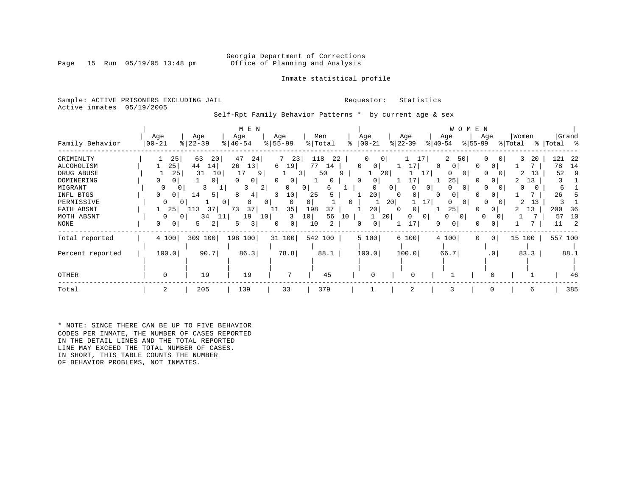### Georgia Department of Corrections<br>Page 15 Run 05/19/05 13:48 pm office of Planning and Analysis Office of Planning and Analysis

### Inmate statistical profile

Sample: ACTIVE PRISONERS EXCLUDING JAIL **Requestor:** Statistics Active inmates 05/19/2005

Self-Rpt Family Behavior Patterns \* by current age & sex

|                                                                                                                               |                                                                           |                                                                                                                          | M E N                                                                                                                                       |                                                                                                                               |                                                                                        |                                                                                                  |                                                                                                                                      | W O M E N                                                                                                                                    |                                                                                                             |                                                                       |
|-------------------------------------------------------------------------------------------------------------------------------|---------------------------------------------------------------------------|--------------------------------------------------------------------------------------------------------------------------|---------------------------------------------------------------------------------------------------------------------------------------------|-------------------------------------------------------------------------------------------------------------------------------|----------------------------------------------------------------------------------------|--------------------------------------------------------------------------------------------------|--------------------------------------------------------------------------------------------------------------------------------------|----------------------------------------------------------------------------------------------------------------------------------------------|-------------------------------------------------------------------------------------------------------------|-----------------------------------------------------------------------|
| Family Behavior                                                                                                               | Age<br>  00-21                                                            | Age<br>$8   22 - 39$                                                                                                     | Age<br>$ 40-54 $                                                                                                                            | Age<br>$8 55-99$                                                                                                              | Men<br>% Total                                                                         | Age<br>$ 00-21 $                                                                                 | Age<br>$ 22-39 $                                                                                                                     | Age<br>Age<br>$ 40-54 $<br>$8155 - 99$                                                                                                       | Women<br>% Total                                                                                            | Grand<br>%   Total %                                                  |
| CRIMINLTY<br>ALCOHOLISM<br>DRUG ABUSE<br>DOMINERING<br>MIGRANT<br>INFL BTGS<br>PERMISSIVE<br>FATH ABSNT<br>MOTH ABSNT<br>NONE | 25<br>25 <br>25<br>0<br>0<br>$\Omega$<br>0<br>0<br>0<br>25<br>0<br>0<br>0 | 63<br>20<br>44<br>14<br>31<br>10<br>0<br>3<br>14<br>5 <sub>1</sub><br>$\overline{0}$<br>.13<br>37<br>34<br>11<br>2<br>5. | 47<br>24<br>26<br>13 <br>17<br>9<br>$\Omega$<br>0<br>3<br>2<br>8<br>4<br>0<br>0 <sup>1</sup><br>73<br>37<br>19<br>10 <sub>1</sub><br>3<br>5 | 7<br>23<br>6<br>19<br>$\Omega$<br>$\mathbf{0}$<br>0<br>10 <sub>1</sub><br>3<br>0<br>$\Omega$<br>35<br>11<br>10<br>3<br>0<br>0 | 118<br>22<br>77<br>14<br>50<br>$\Omega$<br>6<br>25<br>198<br>37<br>56<br>10<br>10<br>2 | 0<br>0<br>$\Omega$<br>0<br>20<br>0<br><sup>0</sup><br>20<br>0<br>20<br>20 <sub>1</sub><br>0<br>0 | 17<br>17<br>17<br>0 <sup>1</sup><br>0 <sup>1</sup><br>0<br>0<br>$\Omega$<br>20 <br>17 <sup>1</sup><br>0<br>$\Omega$<br>0<br>01<br>17 | 50<br>$\Omega$<br>0<br>$\Omega$<br>$\Omega$<br>$\Omega$<br>25<br>$\Omega$<br>$\Omega$<br>0<br>U<br>0<br>$\Omega$<br>25<br>$\Omega$<br>0<br>0 | 3<br>20<br>$\overline{0}$<br>$\Omega$<br>13<br>$\Omega$<br>13<br>$\Omega$<br>0<br>13<br>$\Omega$<br>13<br>0 | 121<br>22<br>78<br>14<br>52<br>б<br>26<br>200<br>36<br>57<br>10<br>11 |
| Total reported<br>Percent reported                                                                                            | 4 100<br>100.0                                                            | 309 100<br>90.7                                                                                                          | 198 100<br>86.3                                                                                                                             | 31 100<br>78.8                                                                                                                | 542 100  <br>88.1                                                                      | 5 100<br>100.0                                                                                   | 6 100<br>100.0                                                                                                                       | 4 100<br>$\Omega$<br>66.7                                                                                                                    | 0 <br>15 100<br>.0 <sub>1</sub><br>83.3                                                                     | 557 100<br>88.1                                                       |
| OTHER                                                                                                                         | $\Omega$                                                                  | 19                                                                                                                       | 19                                                                                                                                          |                                                                                                                               | 45                                                                                     |                                                                                                  |                                                                                                                                      |                                                                                                                                              |                                                                                                             | 46                                                                    |
| Total                                                                                                                         | 2                                                                         | 205                                                                                                                      | 139                                                                                                                                         | 33                                                                                                                            | 379                                                                                    |                                                                                                  | 2                                                                                                                                    | 3<br>0                                                                                                                                       | 6                                                                                                           | 385                                                                   |

\* NOTE: SINCE THERE CAN BE UP TO FIVE BEHAVIOR CODES PER INMATE, THE NUMBER OF CASES REPORTED IN THE DETAIL LINES AND THE TOTAL REPORTED LINE MAY EXCEED THE TOTAL NUMBER OF CASES. IN SHORT, THIS TABLE COUNTS THE NUMBER OF BEHAVIOR PROBLEMS, NOT INMATES.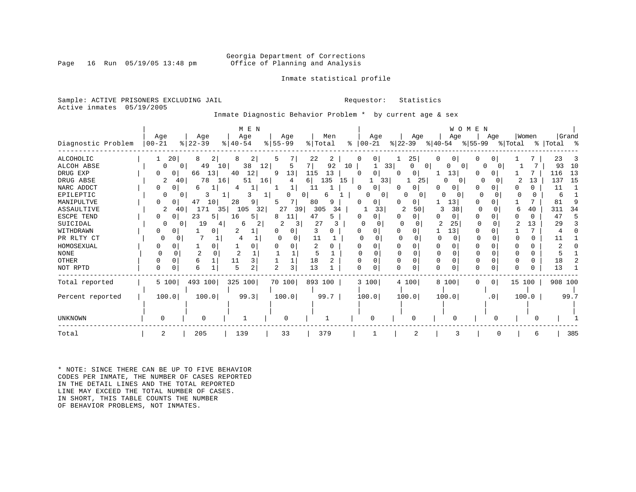### Georgia Department of Corrections<br>Page 16 Run 05/19/05 13:48 pm office of Planning and Analysis Office of Planning and Analysis

### Inmate statistical profile

Sample: ACTIVE PRISONERS EXCLUDING JAIL **Requestor:** Statistics Active inmates 05/19/2005

Inmate Diagnostic Behavior Problem \* by current age & sex

|                    |                      |                                   | M E N         |             |                     |                         |                     |               | WOMEN               |          |             |
|--------------------|----------------------|-----------------------------------|---------------|-------------|---------------------|-------------------------|---------------------|---------------|---------------------|----------|-------------|
|                    | Age                  | Age                               | Age           | Age         | Men                 | Age                     | Age                 | Age           | Age                 | Women    | Grand       |
| Diagnostic Problem | $00 - 21$            | $ 22-39$                          | $8   40 - 54$ | $ 55 - 99 $ | % Total             | $ 00-21 $<br>$\epsilon$ | $ 22-39 $           | % 40-54       | % 55–99             | % Total  | %   Total % |
| <b>ALCOHOLIC</b>   | 20                   | 8<br>21                           | 2             | 5           | 22<br>2             | 0 <sub>1</sub>          | 25                  |               |                     |          | 23          |
| ALCOH ABSE         | $\Omega$             | 49<br>10 <sub>1</sub><br>$\Omega$ | 38<br>12      | 5           | 92<br>7 I           | 10                      | 33<br>0<br>$\Omega$ | $\Omega$      | n                   |          | 93<br>10    |
| DRUG EXP           | 0                    | 13<br>66                          | 12<br>40      | 13<br>9     | 115<br>13           |                         | 0                   | 13            |                     |          | 13<br>116   |
| DRUG ABSE          | 2                    | 78<br>40<br>16                    | 51            | 16<br>4     | 135<br>61<br>15     | 33                      | 25                  | 0<br>$\Omega$ | $\Omega$            | 13       | 15<br>137   |
| NARC ADDCT         | 0                    | 6                                 |               |             | 11                  | 0                       | 0<br>$\Omega$       |               | U                   |          | 11          |
| EPILEPTIC          |                      |                                   |               | 0           | 0 <sub>1</sub><br>6 | 01                      |                     | n             | n                   | $\Omega$ | 6           |
| MANIPULTVE         |                      | 47<br>10 <sup>1</sup>             | 28<br>9       |             | 80<br>9             |                         | 01                  | 13            |                     |          | 81          |
| ASSAULTIVE         | 2                    | 171<br>35 <br>40                  | 105<br>32     | 39<br>27    | 305<br>34           | 33                      | 50                  | 38<br>3       | $\Omega$            | 40       | 34<br>311   |
| ESCPE TEND         | 0                    | 23<br>5                           | 16<br>5.      | 8<br>11     | 5<br>47             |                         | 0                   | 0             |                     |          | 47          |
| SUICIDAL           |                      | 19                                | 6             |             | 27                  |                         |                     | 25            |                     | 13       | 29          |
| WITHDRAWN          |                      |                                   | 2             | O           |                     |                         |                     | 13            |                     |          |             |
| PR RLTY CT         |                      |                                   |               |             | 11                  |                         |                     |               |                     |          |             |
| HOMOSEXUAL         |                      |                                   |               |             |                     |                         | ∩                   |               |                     |          |             |
| <b>NONE</b>        |                      |                                   |               |             | 5                   |                         | $\Omega$            | 0             |                     |          |             |
| <b>OTHER</b>       |                      | 6                                 | 3<br>11       |             | 18                  |                         | O<br>$\Omega$       | $\Omega$      |                     | U        | 18          |
| NOT RPTD           | $\Omega$<br>$\Omega$ | б                                 | 2             | 3           | 13                  |                         | U                   |               |                     |          | 13          |
| Total reported     | 5 100                | 493 100                           | 325 100       | 70 100      | 893 100             | 3 100                   | 4 100               | 8 100         | 0 <sup>1</sup><br>0 | 15 100   | 908 100     |
| Percent reported   | 100.0                | 100.0                             | 99.3          | 100.0       | 99.7                | 100.0                   | 100.0               | 100.0         | .0 <sub>1</sub>     | 100.0    | 99.7        |
|                    |                      |                                   |               |             |                     |                         |                     |               |                     |          |             |
| UNKNOWN            |                      |                                   |               |             |                     |                         |                     |               |                     |          |             |
| Total              |                      | 205                               | 139           | 33          | 379                 |                         |                     |               |                     | 6        | 385         |

\* NOTE: SINCE THERE CAN BE UP TO FIVE BEHAVIOR CODES PER INMATE, THE NUMBER OF CASES REPORTED IN THE DETAIL LINES AND THE TOTAL REPORTED LINE MAY EXCEED THE TOTAL NUMBER OF CASES. IN SHORT, THIS TABLE COUNTS THE NUMBER OF BEHAVIOR PROBLEMS, NOT INMATES.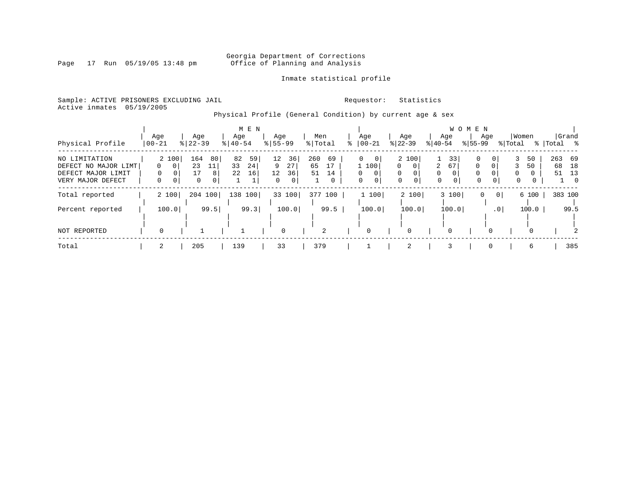Page 17 Run 05/19/05 13:48 pm

### Inmate statistical profile

Sample: ACTIVE PRISONERS EXCLUDING JAIL **Requestor:** Statistics Active inmates 05/19/2005

Physical Profile (General Condition) by current age & sex

|                      |          |               | M E N       |               |                |                      |                      |                  | W O M E N                      |          |                  |
|----------------------|----------|---------------|-------------|---------------|----------------|----------------------|----------------------|------------------|--------------------------------|----------|------------------|
|                      | Age      | Age           | Age         | Age           | Men            | Age                  | Age                  | Age              | Age                            | Women    | Grand            |
| Physical Profile     | 00-21    | $8   22 - 39$ | $8140 - 54$ | $8155 - 99$   | % Total        | $ 00-21 $            | $ 22-39 $            | $ 40-54 $        | $8155 - 99$                    | % Total  | %   Total<br>- % |
| NO LIMITATION        | 2 100    | 164<br>80     | 82<br>59    | 12<br>36      | 260<br>69      | $\Omega$<br>$\Omega$ | 2 100                | 33               | 0<br>0                         | 50       | 263 69           |
| DEFECT NO MAJOR LIMT | - 0 I    | 23<br>11      | 33<br>24    | 9<br>27       | 65<br>17       | 1 100                | $\Omega$<br>$\Omega$ | 2<br>67          | $\Omega$<br>$\Omega$           | 50       | 68<br>18         |
| DEFECT MAJOR LIMIT   | $\Omega$ | 17<br>8       | 22<br>16    | 12<br>36      | 51<br>14       | $\Omega$<br>0        | $\Omega$<br>$\Omega$ | $\Omega$         | $\Omega$                       | 0<br>0   | 51<br>13         |
| VERY MAJOR DEFECT    | 0        | 0<br>0        | Ŧ.          | $\Omega$<br>0 |                | 0<br>0 <sup>1</sup>  | 0                    | $\mathbf 0$<br>0 | $\Omega$<br>$\mathbf 0$        | 0<br>0   | $\Omega$         |
| Total reported       | 2 100    | 100<br>204    | 138<br>100  | 33 100        | 377 100        | 1 100                | 2 100                | 3 100            | $\mathbf{0}$<br>0 <sup>1</sup> | 6 100    | 383 100          |
| Percent reported     | 100.0    | 99.5          | 99.3        | 100.0         | 99.5           | 100.0                | 100.0                | 100.0            | .0 <sub>1</sub>                | 100.0    | 99.5             |
|                      |          |               |             |               |                |                      |                      |                  |                                |          |                  |
| NOT REPORTED         | $\Omega$ |               | ᆂ           | $\mathbf 0$   | $\overline{2}$ | 0                    | 0                    | 0                | $\Omega$                       | $\Omega$ |                  |
| Total                | 2        | 205           | 139         | 33            | 379            |                      | 2                    | 3                | $\Omega$                       | 6        | 385              |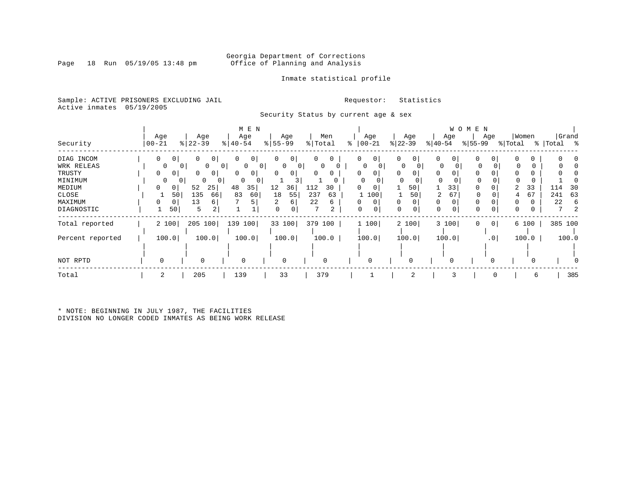Page 18 Run 05/19/05 13:48 pm

### Inmate statistical profile

Sample: ACTIVE PRISONERS EXCLUDING JAIL **Requestor:** Statistics Active inmates 05/19/2005

Security Status by current age & sex

|                                                                             |                                                                                       |                                                                                                                               | M E N                                                                                                            |                                                                         |                                                                        |                                                                          |                                               |                                                             | W O M E N                                |                                   |                                   |
|-----------------------------------------------------------------------------|---------------------------------------------------------------------------------------|-------------------------------------------------------------------------------------------------------------------------------|------------------------------------------------------------------------------------------------------------------|-------------------------------------------------------------------------|------------------------------------------------------------------------|--------------------------------------------------------------------------|-----------------------------------------------|-------------------------------------------------------------|------------------------------------------|-----------------------------------|-----------------------------------|
| Security                                                                    | Age<br>$00 - 21$                                                                      | Age<br>$ 22-39 $                                                                                                              | Age<br>$ 40-54 $                                                                                                 | Age<br>$8 55-99$                                                        | Men<br>% Total                                                         | Age<br>$ 00-21$<br>⊱                                                     | Age<br>$ 22-39 $                              | Age<br>$ 40-54 $                                            | Age<br>$ 55-99 $                         | Women<br>% Total                  | Grand<br>% Total %                |
| DIAG INCOM<br>WRK RELEAS<br>TRUSTY<br>MINIMUM<br>MEDIUM<br>CLOSE<br>MAXIMUM | 0<br>0<br>$\overline{0}$<br>0<br>0 <sup>1</sup><br>$\Omega$<br>0<br>0<br>50<br>0<br>0 | 0<br>0<br>$\Omega$<br>$\overline{0}$<br>$\overline{0}$<br>$\circ$<br>$\Omega$<br>$\Omega$<br>52<br>25<br>135<br>66<br>13<br>6 | 0 <sup>1</sup><br>0<br>$\overline{0}$<br>0 <sup>1</sup><br><sup>0</sup><br>0<br>$\Omega$<br>48<br>35<br>83<br>60 | 0<br>0<br>$\Omega$<br>$\overline{0}$<br>01<br>12<br>36<br>18<br>55<br>6 | 0<br>$\mathbf{0}$<br>$\mathbf{0}$<br>112<br>30<br>237<br>63<br>22<br>6 | $\overline{0}$<br>0<br>$\Omega$<br>$\Omega$<br>0<br>0<br>100<br>$\Omega$ | 0<br>0<br>$\Omega$<br>0<br>O<br>50<br>50<br>0 | 0<br>0<br>$\Omega$<br>0<br>$\Omega$<br>$\Omega$<br>33<br>67 | 0<br>0<br>$\Omega$<br>$\Omega$<br>0<br>0 | O<br>0<br>0<br>33<br>2<br>67<br>0 | 30<br>114<br>241<br>63<br>22<br>6 |
| DIAGNOSTIC                                                                  | 50                                                                                    | 5<br>2                                                                                                                        |                                                                                                                  | 0                                                                       | 7<br>2                                                                 | 0<br>0                                                                   | 0<br>$\Omega$                                 | 0<br>$\Omega$                                               | 0<br>0                                   | 0                                 | 7                                 |
| Total reported                                                              | 2 100                                                                                 | 100<br>205                                                                                                                    | 139<br>100                                                                                                       | 33 100                                                                  | 379 100                                                                | 1 100                                                                    | 2 100                                         | 3 100                                                       | 0 <br>0                                  | 6 100                             | 385 100                           |
| Percent reported                                                            | 100.0                                                                                 | 100.0                                                                                                                         | 100.0                                                                                                            | 100.0                                                                   | 100.0                                                                  | 100.0                                                                    | 100.0                                         | 100.0                                                       | .0 <sub>1</sub>                          | 100.0                             | 100.0                             |
| NOT RPTD                                                                    | 0                                                                                     | 0                                                                                                                             | 0                                                                                                                | $\Omega$                                                                | $\Omega$                                                               | $\Omega$                                                                 |                                               |                                                             | 0                                        |                                   |                                   |
| Total                                                                       | 2                                                                                     | 205                                                                                                                           | 139                                                                                                              | 33                                                                      | 379                                                                    |                                                                          | 2                                             | 3                                                           | 0                                        | 6                                 | 385                               |

\* NOTE: BEGINNING IN JULY 1987, THE FACILITIES DIVISION NO LONGER CODED INMATES AS BEING WORK RELEASE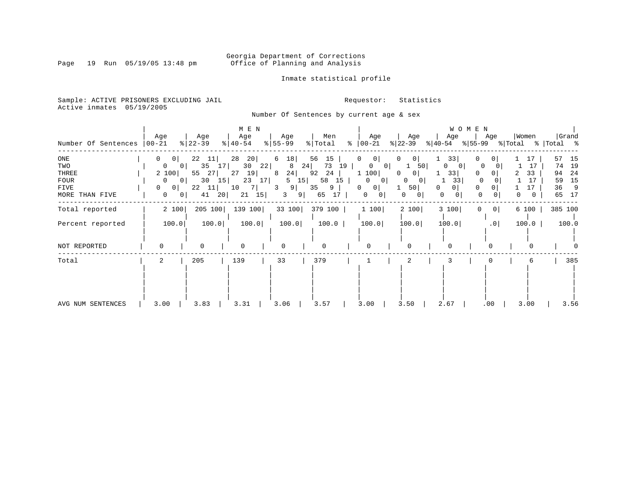Page 19 Run 05/19/05 13:48 pm

### Inmate statistical profile

Sample: ACTIVE PRISONERS EXCLUDING JAIL **Requestor:** Statistics Active inmates 05/19/2005

Number Of Sentences by current age & sex

| Number Of Sentences                                          | Age<br>$ 00-21 $                                                                                                                                            | Age<br>$ 22-39 $                                                      | M E N<br>Age<br>$8   40 - 54$                                                      | Age<br>$8 55-99$                                                         | Men<br>% Total                                                      | Age<br>$\frac{1}{6}$   00-21                                                                                           | Age<br>$ 22-39 $                                                                                            | W O M E N<br>Age<br>$ 40-54 $                                                     | Age<br>$ 55-99$                                                              | Women<br>% Total                                    | Grand<br>%   Total %                                                     |
|--------------------------------------------------------------|-------------------------------------------------------------------------------------------------------------------------------------------------------------|-----------------------------------------------------------------------|------------------------------------------------------------------------------------|--------------------------------------------------------------------------|---------------------------------------------------------------------|------------------------------------------------------------------------------------------------------------------------|-------------------------------------------------------------------------------------------------------------|-----------------------------------------------------------------------------------|------------------------------------------------------------------------------|-----------------------------------------------------|--------------------------------------------------------------------------|
| ONE<br>TWO<br>THREE<br><b>FOUR</b><br>FIVE<br>MORE THAN FIVE | $\mathbf{0}$<br>0 <sup>1</sup><br>$\overline{0}$<br>0 <sup>1</sup><br>2 100<br>$\overline{0}$<br>0 <sup>1</sup><br>0<br>0<br>$\mathbf{0}$<br>0 <sup>1</sup> | 22<br>-11 <br>35 17<br>27<br>55<br>30<br>15<br>22<br> 11 <br>41<br>20 | 28<br>20 <br>30<br>22<br>19 <br>27<br>23<br>17 <sup>1</sup><br>10<br>7<br>21<br>15 | 6<br>18<br>24<br>8<br>24<br>8<br>15<br>5<br>9 <br>3<br>$\mathbf{3}$<br>9 | 56<br>15<br>73<br>19<br>92<br>24<br>58<br>15<br>9<br>35<br>65<br>17 | $\mathbf{0}$<br>0<br>$\mathbf{0}$<br>0<br>1 100<br>$\mathbf{0}$<br>0<br>0<br>0 <sup>1</sup><br>$\circ$<br>$\mathbf{0}$ | 0<br>0 <sup>1</sup><br>50 <br>0<br>0 <sub>1</sub><br>0<br>$\Omega$<br>50 <br>$\mathbf{0}$<br>0 <sup>1</sup> | 33<br>$\Omega$<br>0 <sup>1</sup><br>33<br>33<br>0<br>$\Omega$<br>$\mathbf 0$<br>0 | $\mathbf{0}$<br>0<br>$\Omega$<br>$\overline{0}$<br>$\Omega$<br>$\Omega$<br>0 | 17<br>17<br>33<br>17<br>$\mathbf 0$<br>$\mathbf{0}$ | 57<br>-15<br>19<br>74<br>- 24<br>94<br>15<br>59<br>36<br>- 9<br>65<br>17 |
| Total reported                                               | 2 100                                                                                                                                                       | 205 100                                                               | 139 100                                                                            | 33 100                                                                   | 379 100                                                             | 1 100                                                                                                                  | 2 100                                                                                                       | 3 100                                                                             | 0 <br>0                                                                      | 6 100                                               | 385 100                                                                  |
| Percent reported                                             | 100.0                                                                                                                                                       | 100.0                                                                 | 100.0                                                                              | 100.0                                                                    | 100.0                                                               | 100.0                                                                                                                  | 100.0                                                                                                       | 100.0                                                                             | .0 <sub>1</sub>                                                              | 100.0                                               | 100.0                                                                    |
| NOT REPORTED                                                 | $\Omega$                                                                                                                                                    | 0                                                                     | $\Omega$                                                                           | 0                                                                        | U                                                                   | $\mathbf 0$                                                                                                            | $\Omega$                                                                                                    | $\Omega$                                                                          | $\Omega$                                                                     |                                                     |                                                                          |
| Total                                                        | 2                                                                                                                                                           | 205                                                                   | 139                                                                                | 33                                                                       | 379                                                                 |                                                                                                                        | $\overline{2}$                                                                                              |                                                                                   |                                                                              | 6                                                   | 385                                                                      |
| AVG NUM SENTENCES                                            | 3.00                                                                                                                                                        | 3.83                                                                  | 3.31                                                                               | 3.06                                                                     | 3.57                                                                | 3.00                                                                                                                   | 3.50                                                                                                        | 2.67                                                                              | .00                                                                          | 3.00                                                | 3.56                                                                     |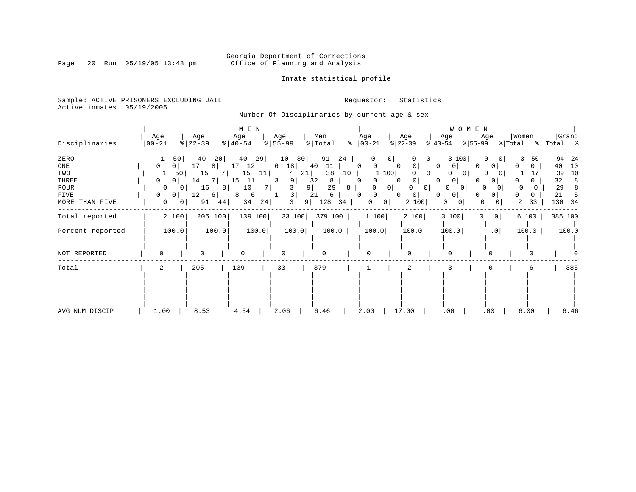### Georgia Department of Corrections<br>Page 20 Run 05/19/05 13:48 pm office of Planning and Analysis Office of Planning and Analysis

### Inmate statistical profile

Sample: ACTIVE PRISONERS EXCLUDING JAIL **Requestor:** Statistics Active inmates 05/19/2005

Number Of Disciplinaries by current age & sex

|                  |                                |            | M E N     |                         |              |                                          |                        | WOMEN                           |                         |             |
|------------------|--------------------------------|------------|-----------|-------------------------|--------------|------------------------------------------|------------------------|---------------------------------|-------------------------|-------------|
|                  | Age                            | Age        | Age       | Age                     | Men          | Age                                      | Age                    | Age<br>Age                      | Women                   | Grand       |
| Disciplinaries   | $ 00 - 21$                     | $ 22-39 $  | $ 40-54 $ | $8 55-99$               | % Total<br>៖ | $ 00-21$                                 | $ 22-39 $<br>$ 40-54 $ | $ 55-99 $                       | % Total                 | %   Total % |
| ZERO             | 50                             | 40<br>20   | 40<br>29  | 10<br>30                | 91<br>24     | $\overline{0}$                           | 0 <sup>1</sup>         | 3 100                           | 3<br>50<br>$\Omega$     | 94<br>24    |
| ONE              | 0<br>0                         | 17<br>8    | 17<br>12  | 18<br>6                 | 40<br>11     | 0 <sup>1</sup><br>0<br>0                 | 0<br>0                 | 0<br>0                          | <sup>0</sup><br>0       | 10<br>40    |
| TWO              | 50                             | 15         | 15<br>11  | 21<br>7                 | 38<br>10     | 100                                      | 0 <sub>1</sub>         | 0<br>O                          | 0                       | 10<br>39    |
| THREE            | 0 <sup>1</sup><br>$\mathbf{0}$ | 14<br>-7 I | 15<br>11  | 9 <br>3                 | 32<br>8      | $\overline{0}$<br>O                      | 0<br>$\Omega$          | 0<br>$\mathbf{0}$               |                         | 32<br>8     |
| <b>FOUR</b>      | 0<br>$\overline{0}$            | 16<br>8    | 10<br>7   | 9 <sup>1</sup>          | 29<br>8      | 0 <br>0                                  | 0 <sup>1</sup><br>0    | 0<br>0 <sup>1</sup><br>$\Omega$ | 0<br>$\Omega$<br>0      | 29<br>8     |
| FIVE             | 0<br>0                         | 12<br>6    | 6<br>8    | $\overline{\mathbf{3}}$ | 21<br>6      | $\mathbf{0}$<br><sup>n</sup><br>$\Omega$ | 0<br>0                 | 0<br>0<br>$\left( \right)$      | <sup>0</sup><br>0       | 21          |
| MORE THAN FIVE   | 0<br>0                         | 91<br>44   | 34<br>24  | 3<br>9                  | 128<br>34    | 0<br>0 <sup>1</sup>                      | 2 100                  | 0<br>0<br>0 <sub>1</sub>        | 33<br>2                 | 130<br>34   |
| Total reported   | 2 100                          | 205 100    | 139 100   | 33 100                  | 379 100      | 1 100                                    | 2 100                  | 3 100<br>$\Omega$               | 0 <sup>1</sup><br>6 100 | 385 100     |
| Percent reported | 100.0                          | 100.0      | 100.0     | 100.0                   | 100.0        | 100.0                                    | 100.0                  | 100.0                           | .0<br>100.0             | 100.0       |
| NOT REPORTED     | $\Omega$                       | $\Omega$   | $\Omega$  |                         | O            | $\Omega$                                 |                        |                                 |                         |             |
| Total            | 2                              | 205        | 139       | 33                      | 379          |                                          | 2                      |                                 | 6                       | 385         |
|                  |                                |            |           |                         |              |                                          |                        |                                 |                         |             |
| AVG NUM DISCIP   | 1.00                           | 8.53       | 4.54      | 2.06                    | 6.46         | 2.00                                     | 17.00                  | .00<br>.00                      | 6.00                    | 6.46        |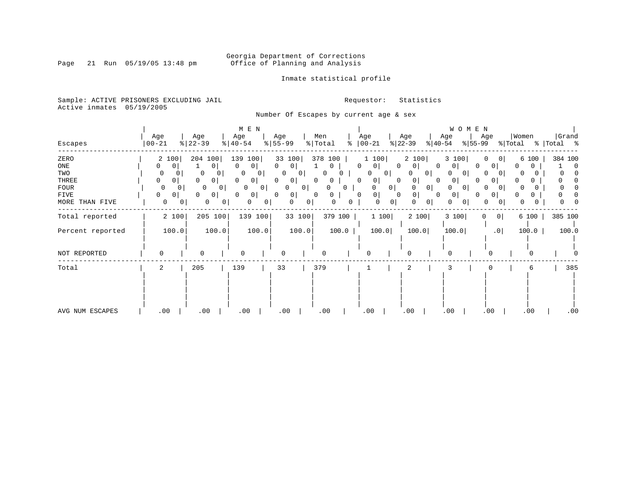Page 21 Run 05/19/05 13:48 pm

### Inmate statistical profile

Sample: ACTIVE PRISONERS EXCLUDING JAIL **Requestor:** Statistics Active inmates 05/19/2005

Number Of Escapes by current age & sex

|                  |           |              |               |                | M E N                      |          |                |                |               |         |                          |                |           |           |       | W O M E N      |                               |          |       |             |                |
|------------------|-----------|--------------|---------------|----------------|----------------------------|----------|----------------|----------------|---------------|---------|--------------------------|----------------|-----------|-----------|-------|----------------|-------------------------------|----------|-------|-------------|----------------|
|                  | Age       |              | Age           |                | Age                        |          | Age            |                | Men           |         | Age                      |                | Age       |           | Age   |                | Age                           | Women    |       |             | Grand          |
| Escapes          | $00 - 21$ |              | $ 22-39 $     |                | $\frac{1}{6}$   40-54      |          | $8 55-99$      |                | % Total       | ႜ       | $ 00 - 21 $              |                | $ 22-39 $ | $ 40-54 $ |       | $ 55-99 $      |                               | % Total  |       | %   Total % |                |
| ZERO             | 2 100     |              | 204 100       |                | 139<br>100                 |          | 33 100         |                | 378<br>100    |         | 1 100                    |                | 2 100     |           | 3 100 |                | O<br>0                        |          | 6 100 |             | 384 100        |
| ONE              | 0         | 0            | $\circ$       |                | 0<br> 0                    | $\Omega$ | 0              |                | 0             |         | $\Omega$<br>$\circ$      | 0              | U         | 0         |       |                | 0 <sup>1</sup>                | 0        | 0     |             | $\overline{0}$ |
| TWO              | 0         |              | 0<br>U        |                | $\Omega$<br>0 <sup>1</sup> |          | $\overline{0}$ | 0 <sup>1</sup> |               |         | 0                        | 0 <sup>1</sup> |           | 0         |       | 0 <sup>1</sup> | O<br>0                        |          |       |             |                |
| THREE            | 0         | 0            | 0<br>$\Omega$ |                | $\Omega$<br>$\mathbf{0}$   | 0        | 0              |                | 0<br>$\Omega$ |         | $\mathbf{0}$<br>0        | $\Omega$       | $\cup$    | $\Omega$  | 0     |                | 0                             |          |       |             |                |
| FOUR             |           | $\Omega$     | $\Omega$      | $\Omega$       | $\Omega$                   | 0        | $\Omega$       | 0 <sup>1</sup> | 0             |         |                          | $\mathbf{0}$   | 0         | 0         |       | 0 <sup>1</sup> | O<br>$\Omega$                 | O        |       |             |                |
| FIVE             | 0         | 0            | $\circ$<br>0  |                | 0<br>0 I                   | $\Omega$ | $\circ$        |                | 0<br>0        |         | $\mathbf{0}$<br>$\Omega$ | 0              |           | 0         | 0     |                | $\overline{0}$                |          | 0     |             |                |
| MORE THAN FIVE   | 0         | $\mathbf{0}$ | 0             | $\overline{0}$ | 0                          | 0        | 0              | 0 <sup>1</sup> | 0             | 0       |                          | 0 <br>0        | $\Omega$  | 0         |       | 0 <sup>1</sup> | 0<br>0                        | $\Omega$ |       |             |                |
| Total reported   |           | 2 100        | 205 100       |                | 139 100                    |          |                | 33 100         |               | 379 100 |                          | 1 100          | 2 100     |           | 3 100 |                | $\mathbf 0$<br>0 <sup>1</sup> |          | 6 100 |             | 385 100        |
| Percent reported |           | 100.0        | 100.0         |                | 100.0                      |          |                | 100.0          |               | 100.0   |                          | 100.0          | 100.0     |           | 100.0 |                | .0                            |          | 100.0 |             | 100.0          |
| NOT REPORTED     | 0         |              | 0             |                | $\Omega$                   |          | O              |                |               |         | $\Omega$                 |                | $\Omega$  |           |       |                | $\Omega$                      |          | O     |             |                |
| Total            | 2         |              | 205           |                | 139                        |          | 33             |                | 379           |         |                          |                | 2         |           |       |                |                               |          | 6     |             | 385            |
|                  |           |              |               |                |                            |          |                |                |               |         |                          |                |           |           |       |                |                               |          |       |             |                |
| AVG NUM ESCAPES  | .00       |              | .00           |                | .00                        |          | .00            |                | .00           |         | .00                      |                | .00.      |           | .00   |                | .00                           |          | .00   |             | .00            |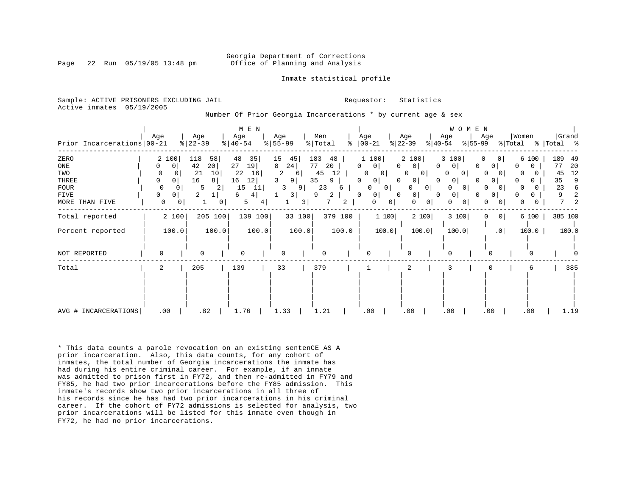#### Georgia Department of Corrections Page 22 Run 05/19/05 13:48 pm Office of Planning and Analysis

Inmate statistical profile

Sample: ACTIVE PRISONERS EXCLUDING JAIL **Requestor:** Statistics Active inmates 05/19/2005

Number Of Prior Georgia Incarcerations \* by current age & sex

| Prior Incarcerations   00-21                                         | Age                |                                                                   | Age<br>$ 22-39$                 |                               | $M$ E $N$<br>Age<br>$8   40 - 54$                |                          | Age<br>$8 55-99$        |                               | Men<br>% Total                              | ႜ                            | Age<br>$ 00-21$                                                        |                                                   | Age<br>$ 22-39 $                                                                     | $ 40-54 $                                                       | W O M E N<br>Age                                               | Age<br>$ 55-99 $                                         | % Total                                  | Women                                                          | %   Total %                      | Grand                              |
|----------------------------------------------------------------------|--------------------|-------------------------------------------------------------------|---------------------------------|-------------------------------|--------------------------------------------------|--------------------------|-------------------------|-------------------------------|---------------------------------------------|------------------------------|------------------------------------------------------------------------|---------------------------------------------------|--------------------------------------------------------------------------------------|-----------------------------------------------------------------|----------------------------------------------------------------|----------------------------------------------------------|------------------------------------------|----------------------------------------------------------------|----------------------------------|------------------------------------|
| ZERO<br>ONE<br>TWO<br>THREE<br><b>FOUR</b><br>FIVE<br>MORE THAN FIVE | 0<br>$\Omega$<br>0 | 2 100<br>$\mathbf 0$<br>0<br>$\Omega$<br>0<br>0 <sup>1</sup><br>0 | 118<br>42<br>21<br>16<br>5<br>2 | 58<br>20<br>10<br>8<br>2<br>0 | 48<br>27<br>19<br>22<br>12<br>16<br>15<br>6<br>5 | 35<br>16<br>11<br>4<br>4 | 15<br>24<br>8<br>2<br>3 | 45<br>6<br>9<br>9  <br>3<br>3 | 183<br>77<br>20<br>45<br>35<br>23<br>9<br>7 | 48<br>12<br>9<br>6<br>2<br>2 | 1 100<br>$\circ$<br>0<br>0<br>0<br>01<br>0<br>0 <sup>1</sup><br>0<br>0 | 0 I<br>$\Omega$<br>$\overline{0}$<br>0<br>$\circ$ | 2 100<br>$\Omega$<br>0 <sup>1</sup><br>0<br>$\mathbf{0}$<br>0<br>0 <sup>1</sup><br>0 | $\Omega$<br>0 I<br>0 <sub>1</sub><br>$\Omega$<br>0 <sup>1</sup> | 3 100<br>$\mathbf{0}$<br>0<br>01<br>0<br>N<br>0<br>0<br>0<br>U | $\Omega$<br>0 <sup>1</sup><br>0<br>0<br>0<br>O<br>0<br>0 | $\mathbf{0}$<br>$\Omega$<br>0<br>$\circ$ | 6 100<br>O.<br>$\Omega$<br>$\Omega$<br>O.<br>0<br>U.<br>0<br>0 | 189<br>77<br>45<br>35<br>23<br>9 | 49<br>20<br>12<br>9<br>6<br>2<br>2 |
| Total reported                                                       |                    | 2 100                                                             |                                 | 205 100                       |                                                  | 139 100                  |                         | 33 100                        |                                             | 379 100                      |                                                                        | 1 100                                             |                                                                                      | 2 100                                                           | 3 100                                                          | 0                                                        | 0                                        | 6 100                                                          |                                  | 385 100                            |
| Percent reported                                                     |                    | 100.0                                                             |                                 | 100.0                         |                                                  | 100.0                    |                         | 100.0                         |                                             | 100.0                        |                                                                        | 100.0                                             |                                                                                      | 100.0                                                           | 100.0                                                          |                                                          | .0                                       | 100.0                                                          |                                  | 100.0                              |
| NOT REPORTED                                                         | $\Omega$           |                                                                   | $\Omega$                        |                               | $\Omega$                                         |                          | $\Omega$                |                               |                                             |                              |                                                                        |                                                   |                                                                                      |                                                                 |                                                                |                                                          |                                          |                                                                |                                  |                                    |
| Total                                                                | 2                  |                                                                   | 205                             |                               | 139                                              |                          | 33                      |                               | 379                                         |                              |                                                                        |                                                   | 2                                                                                    |                                                                 |                                                                |                                                          |                                          | 6                                                              |                                  | 385                                |
| AVG # INCARCERATIONS                                                 |                    | .00                                                               | .82                             |                               | 1.76                                             |                          | 1.33                    |                               | 1.21                                        |                              | .00                                                                    |                                                   | .00                                                                                  |                                                                 | .00                                                            | .00                                                      |                                          | .00                                                            |                                  | 1.19                               |

\* This data counts a parole revocation on an existing sentenCE AS A prior incarceration. Also, this data counts, for any cohort of inmates, the total number of Georgia incarcerations the inmate has had during his entire criminal career. For example, if an inmate was admitted to prison first in FY72, and then re-admitted in FY79 and FY85, he had two prior incarcerations before the FY85 admission. This inmate's records show two prior incarcerations in all three of his records since he has had two prior incarcerations in his criminal career. If the cohort of FY72 admissions is selected for analysis, two prior incarcerations will be listed for this inmate even though in FY72, he had no prior incarcerations.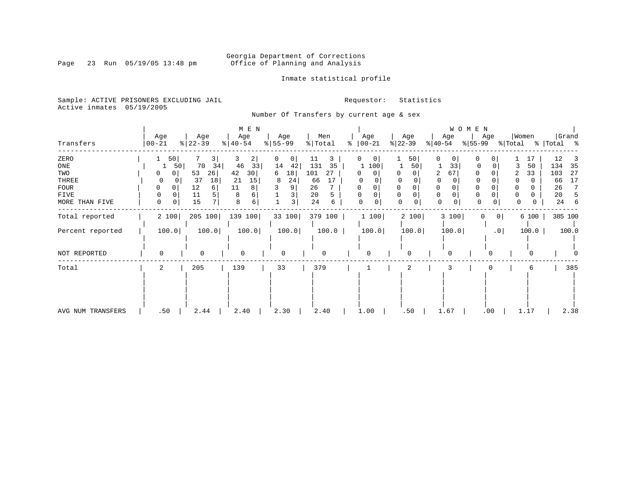Page 23 Run 05/19/05 13:48 pm

### Inmate statistical profile

Sample: ACTIVE PRISONERS EXCLUDING JAIL **Requestor:** Statistics Active inmates 05/19/2005

Number Of Transfers by current age & sex

|                   |             |    |           |                |           | M E N |   |           |         |       |   |             |             |             |          |                |       | W O M E N |                 |          |       |             |         |
|-------------------|-------------|----|-----------|----------------|-----------|-------|---|-----------|---------|-------|---|-------------|-------------|-------------|----------|----------------|-------|-----------|-----------------|----------|-------|-------------|---------|
|                   | Age         |    | Age       |                | Age       |       |   | Age       | Men     |       |   | Age         |             |             | Age      |                | Age   |           | Age             | Women    |       |             | Grand   |
| Transfers         | 00-21       |    | $ 22-39 $ |                | $ 40-54 $ |       |   | $8 55-99$ | % Total |       | ႜ | $ 00 - 21$  |             | $ 22-39 $   |          | $ 40-54 $      |       | $ 55-99 $ |                 | % Total  |       | %   Total % |         |
| ZERO              |             | 50 |           | $\frac{3}{2}$  | 3         | 2     | 0 | 0         | 11      | 3     |   |             | $\circ$     |             | 50       | 0              | 0     | 0         | 0               |          | 17    | 12          |         |
| ONE               |             | 50 | 70        | 34             | 46        | 33    |   | 14<br>42  | 131     | 35    |   | 1 100       |             |             | 50       |                | 33    |           |                 |          | 50    | 134         | 35      |
| TWO               | 0           | 0  | 53        | 26             | 42        | 30    | 6 | 18        | 101     | 27    |   | 0           | $\Omega$    | 0           |          | $\overline{2}$ | 67    |           | 0               |          | 33    | 103         | 27      |
| THREE             | 0           |    | 37        | 18             | -21       | 15    |   | 24<br>8   | 66      | 17    |   | $\Omega$    |             | 0           |          |                |       |           |                 |          |       | 66          | 17      |
| FOUR              | 0           | 0  | 12        | 6              | 11        | 8     |   | 9         | 26      |       |   |             |             |             |          | $\Omega$       |       |           | 0               |          |       | 26          |         |
| FIVE              | 0           |    | 11        | 5              | 8         |       |   | 3         | 20      |       |   | $\Omega$    | $\mathbf 0$ | 0           |          | 0              |       |           | 0               | 0        |       | 20          |         |
| MORE THAN FIVE    | $\mathbf 0$ | 0  | 15        | 7 <sup>1</sup> | 8         | 6     |   | 3         | 24      | 6     |   | $\mathbf 0$ | 0           | $\mathbf 0$ | 0        | $\mathbf 0$    | 0     | 0         | 0               | $\Omega$ | 0     | 24          | 6       |
| Total reported    | 2 100       |    | 205 100   |                | 139 100   |       |   | 33 100    | 379 100 |       |   | 1 100       |             |             | 2 100    |                | 3 100 | 0         | 0 <sup>1</sup>  |          | 6 100 |             | 385 100 |
| Percent reported  | 100.0       |    |           | 100.0          |           | 100.0 |   | 100.0     |         | 100.0 |   |             | 100.0       |             | 100.0    |                | 100.0 |           | .0 <sub>1</sub> |          | 100.0 |             | 100.0   |
| NOT REPORTED      | $\Omega$    |    | $\Omega$  |                | $\Omega$  |       |   | 0         |         |       |   | $\Omega$    |             |             | $\Omega$ |                |       |           | $\Omega$        |          | 0     |             |         |
|                   |             |    |           |                |           |       |   |           |         |       |   |             |             |             |          |                |       |           |                 |          |       |             |         |
| Total             | 2           |    | 205       |                | 139       |       |   | 33        | 379     |       |   | 1           |             |             | 2        |                |       |           |                 |          | 6     |             | 385     |
|                   |             |    |           |                |           |       |   |           |         |       |   |             |             |             |          |                |       |           |                 |          |       |             |         |
| AVG NUM TRANSFERS | .50         |    | 2.44      |                | 2.40      |       |   | 2.30      | 2.40    |       |   | 1.00        |             |             | .50      |                | 1.67  |           | .00             |          | 1.17  |             | 2.38    |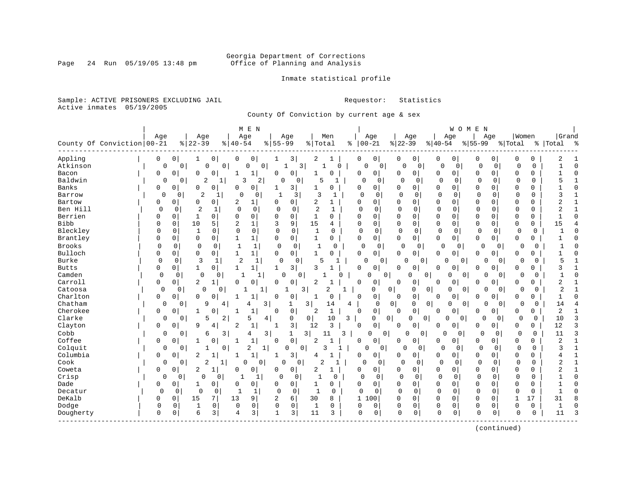### Georgia Department of Corrections<br>Page 24 Run 05/19/05 13:48 pm office of Planning and Analysis Office of Planning and Analysis

Inmate statistical profile

Sample: ACTIVE PRISONERS EXCLUDING JAIL **Requestor:** Statistics Active inmates 05/19/2005

County Of Conviction by current age & sex

|              |                            |             |             |                |             | M E N                |          |                |                |                |              |               |                         |                |                  |                | WOMEN                    |              |                |              |             |                |              |
|--------------|----------------------------|-------------|-------------|----------------|-------------|----------------------|----------|----------------|----------------|----------------|--------------|---------------|-------------------------|----------------|------------------|----------------|--------------------------|--------------|----------------|--------------|-------------|----------------|--------------|
|              |                            | Age         |             | Age            |             | Age                  |          | Age            |                |                | Men          |               | Age                     |                | Age              |                | Age                      |              | Age            | Women        |             | Grand          |              |
|              | County Of Conviction 00-21 |             |             | $ 22-39$       |             | $8   40 - 54$        |          | $8155 - 99$    |                | % Total        |              | $8   00 - 21$ |                         | $ 22-39 $      |                  | $8 40-54$      |                          | $8155 - 99$  |                | % Total      |             | %   Total      | ್ಠಿ          |
| Appling      |                            | 0           | 0           | 1              | 0           | 0<br>0               |          | 1              | 3              | 2              |              | 0             | 0                       | 0              | 0                | 0              | 0                        | 0            | 0              | 0            | 0           | 2              |              |
| Atkinson     |                            | 0           | $\mathbf 0$ | 0              | 0           | $\mathbf 0$          | 0        | $\mathbf{1}$   | $\overline{3}$ |                | $\Omega$     |               | $\Omega$<br>$\mathbf 0$ | $\mathbf 0$    | 0                | $\mathbf 0$    | $\mathbf 0$              | $\mathbf 0$  | 0              | 0            | $\mathbf 0$ |                | $\Omega$     |
| Bacon        |                            | 0           | 0           | $\Omega$       | $\Omega$    | $\mathbf{1}$<br>1    |          | $\Omega$       | 0              | 1              | O            | 0             | 0 <sup>1</sup>          | 0              | $\mathbf 0$      | 0              | 0                        | $\Omega$     | 0              | $\Omega$     | 0           |                | $\cap$       |
| Baldwin      |                            | 0           | 0           | 2              | 1           | 3                    | 2        | O              | 0              | 5              | 1            | $\Omega$      | 0                       | $\Omega$       | 0                | $\mathbf 0$    | 0                        | $\Omega$     | 0              | 0            | 0           | 5              |              |
| Banks        |                            | 0           | 0           | 0              | $\Omega$    | 0<br>$\Omega$        |          |                | 3              | 1              | $\Omega$     | $\Omega$      | 0                       | <sup>0</sup>   | 0                | 0              | 0                        | $\Omega$     | 0              | $\Omega$     | O           |                |              |
| Barrow       |                            | $\Omega$    | 0           | 2              | -1          | $\cap$               | 0        | 1              | 3              | 3              | -1           | 0             | $\Omega$                | $\Omega$       | $\Omega$         | $\overline{0}$ | 0                        | $\Omega$     | $\Omega$       | $\mathbf 0$  | $\mathbf 0$ | 3              |              |
| Bartow       |                            | 0           | 0           | 0              | $\mathbf 0$ | 2<br>1               |          | $\Omega$       | 0              | 2              | 1            | 0             | 0                       | 0              | 0                | 0              | $\Omega$                 | $\Omega$     | $\Omega$       | $\mathbf 0$  | 0           | 2              |              |
| Ben Hill     |                            | $\Omega$    | 0           | $\overline{2}$ | 1           | $\mathbf 0$          | 0        | $\mathbf 0$    | 0              | $\overline{2}$ | 1            | $\Omega$      | $\Omega$                | 0              | $\mathbf 0$      | $\Omega$       | 0                        | $\mathbf 0$  | $\mathbf 0$    | 0            | 0           | $\overline{2}$ | $\mathbf{1}$ |
| Berrien      |                            | O           | 0           | -1             | $\mathbf 0$ | 0<br>$\Omega$        |          | $\Omega$       | 0              | 1              | 0            | $\Omega$      | 0                       | $\mathbf 0$    | $\mathbf 0$      | 0              | $\mathbf 0$              | $\mathbf 0$  | $\Omega$       | $\mathbf 0$  | 0           |                | $\cap$       |
| Bibb         |                            | $\Omega$    | 0           | 10             | 5           | $\overline{2}$<br>1  |          | 3              | 9              | 15             | 4            | 0             | 0                       | $\Omega$       | 0                | 0              | 0                        | $\mathbf 0$  | 0              | $\mathbf 0$  | 0           | 15             |              |
| Bleckley     |                            | $\Omega$    | $\Omega$    | 1              | 0           | $\Omega$<br>$\Omega$ |          | $\Omega$       | $\Omega$       | 1              | 0            | $\Omega$      | 0                       | $\Omega$       | $\Omega$         | $\mathbf 0$    | 0                        | $\Omega$     | 0              | 0            | $\mathbf 0$ | -1             |              |
| Brantley     |                            | 0           | 0           | 0              | $\mathbf 0$ | $\mathbf 1$<br>-1    |          | 0              | 0              | 1              | 0            | 0             | 0                       | 0              | 0                | 0              | $\overline{0}$           | 0            | 0              | 0            | 0           |                |              |
| Brooks       |                            | $\Omega$    | $\mathbf 0$ | 0              | $\Omega$    | 1                    | 1        | 0              | $\mathbf 0$    | 1              | $\Omega$     | $\mathbf 0$   | 0                       | 0              | $\mathbf 0$      | 0              | $\mathbf 0$              | 0            | $\Omega$       | 0            | 0           |                |              |
| Bulloch      |                            | 0           | $\Omega$    | $\mathbf 0$    | $\mathbf 0$ | $\mathbf{1}$<br>1    |          | $\mathbf 0$    | $\mathbf 0$    | $\mathbf{1}$   | 0            | $\mathbf 0$   | 0                       | $\Omega$       | 0                | 0              | $\mathbf 0$              | 0            | 0              | $\Omega$     | 0           |                |              |
| Burke        |                            | $\Omega$    | 0           | 3              | 1           | $\overline{2}$       | 1        | $\mathbf 0$    | 0              | 5              | 1            |               | $\Omega$<br>0           | $\Omega$       | 0                | $\Omega$       | 0                        | $\Omega$     | $\overline{0}$ | 0            | $\Omega$    | 5              |              |
| <b>Butts</b> |                            | 0           | 0           | $\mathbf{1}$   | 0           | $\mathbf{1}$<br>1    |          | 1              | 3              | 3              |              | $\Omega$      | 0                       | $\Omega$       | 0                | 0              | 0                        | $\Omega$     | 0              | $\Omega$     | 0           | 3              |              |
| Camden       |                            | $\Omega$    | $\Omega$    | $\mathbf 0$    | $\Omega$    | 1                    |          | $\Omega$       | $\Omega$       |                | <sup>0</sup> |               | $\Omega$<br>0           |                | U<br>0           |                | $\Omega$<br>$\mathbf 0$  | $\Omega$     | $\Omega$       | O            | 0           |                | $\sqrt{ }$   |
| Carroll      |                            | 0           | 0           | 2              | 1           | 0<br>0               |          | $\mathbf 0$    | $\mathbf 0$    | 2              |              | $\Omega$      | 0                       | $\Omega$       | 0                | 0              | $\mathbf 0$              | 0            | $\Omega$       | $\Omega$     | 0           | $\overline{2}$ | -1           |
| Catoosa      |                            | $\Omega$    | 0           | $\mathbf 0$    | 0           | 1                    | 1        |                | 3              |                | 2<br>1       |               | 0                       | $\mathbf 0$    | 0<br>0           |                | $\Omega$<br>0            | 0            | $\overline{0}$ | 0            | 0           | $\overline{2}$ |              |
| Charlton     |                            | 0           | 0           | $\Omega$       | $\Omega$    | 1<br>-1              |          | $\Omega$       | 0              | 1              | $\Omega$     | $\mathbf 0$   | 0                       | $\Omega$       | $\mathsf 0$      | 0              | 0                        | $\Omega$     | 0              | $\Omega$     | 0           | $\mathbf{1}$   | $\cap$       |
| Chatham      |                            | $\Omega$    | 0           | 9              | 4           | 4                    | 3        |                |                | 3              | 14           | 4             | 0                       | $\overline{0}$ | 0<br>0           |                | $\Omega$<br>$\mathbf{0}$ | $\Omega$     | 0              | 0            | 0           | 14             |              |
| Cherokee     |                            | 0           | O           | $\mathbf{1}$   | O           | $\mathbf{1}$<br>-1   |          | $\Omega$       | $\mathbf 0$    | 2              | $\mathbf{1}$ | $\mathbf 0$   | 0                       | $\Omega$       | $\mathbf 0$      | $\Omega$       | $\mathbf 0$              | $\Omega$     | 0              | O            | 0           | $\overline{2}$ |              |
| Clarke       |                            | 0           | 0           | 5              | 2           | 5                    | 4        | 0              |                | 0              | 10           | 3             | 0                       | 0 <sup>1</sup> | $\mathbf 0$<br>0 | $\Omega$       | 0                        | 0            | $\Omega$       | $\Omega$     | 0           | 10             |              |
| Clayton      |                            | 0           | 0           | 9              | 4           | $1\,$<br>2           |          |                | 3              | 12             | 3            | 0             | 0                       | $\Omega$       | 0                | 0              | 0                        | 0            | 0              | 0            | 0           | 12             | 3            |
| Cobb         |                            | 0           | 0           | 6              | 3           | 4                    | 3        | 1              | 3              |                | 11<br>3      |               | 0<br>0                  | 0              | 0                | 0              | 0                        | 0            | 0              | $\Omega$     | 0           | 11             | 3            |
| Coffee       |                            | 0           | 0           | 1              | 0           | $1\,$<br>1           |          | $\mathbf 0$    | $\mathbf 0$    | 2              | $\mathbf{1}$ | 0             | 0                       | <sup>0</sup>   | 0                | 0              | $\mathbf 0$              | 0            | 0              | $\mathbf 0$  | 0           | 2              | $\mathbf{1}$ |
| Colquit      |                            | 0           | 0           |                | 0           | 2                    | 1        | $\Omega$       | $\mathbf 0$    | 3              |              |               | 0<br>0                  | 0              | $\mathbf 0$      | $\mathbf 0$    | 0                        | $\mathbf 0$  | 0              | $\mathbf 0$  | $\mathbf 0$ | 3              | $\mathbf{1}$ |
| Columbia     |                            | $\Omega$    | 0           | 2              |             | $\mathbf{1}$<br>-1   |          | 1              | 3              | 4              | 1            | $\Omega$      | 0                       | 0              | $\mathbf 0$      | 0              | $\Omega$                 | 0            | 0              | $\Omega$     | 0           |                | $\mathbf{1}$ |
| Cook         |                            | 0           | $\Omega$    | 2              | 1           | O                    | $\Omega$ | $\Omega$       | $\Omega$       | 2              | 1            | $\Omega$      | $\Omega$                | $\Omega$       | $\Omega$         | $\Omega$       | $\Omega$                 | $\Omega$     | $\Omega$       | $\Omega$     | $\Omega$    | 2              | $\mathbf{1}$ |
| Coweta       |                            | 0           | 0           | 2              | 1           | 0<br>0               |          | 0              | $\mathbf 0$    | 2              | 1            | 0             | 0                       | 0              | 0                | 0              | 0                        | 0            | $\Omega$       | $\Omega$     | 0           | 2              | 1            |
| Crisp        |                            | $\mathbf 0$ | 0           | $\Omega$       | $\mathbf 0$ |                      | 1        | 0              | 0              | $\mathbf{1}$   | $\Omega$     | $\mathbf 0$   | 0                       | $\Omega$       | 0                | $\mathbf 0$    | 0                        | $\Omega$     | 0              | $\Omega$     | $\mathbf 0$ |                | $\Omega$     |
| Dade         |                            | 0           | 0           | 1              | $\mathbf 0$ | 0<br>$\Omega$        |          | $\Omega$       | $\mathbf 0$    | 1              | 0            | $\Omega$      | $\mathbf 0$             | $\mathbf 0$    | $\mathbf 0$      | 0              | $\mathbf 0$              | $\Omega$     | $\Omega$       | $\mathbf{0}$ | $\Omega$    | -1             | $\cap$       |
| Decatur      |                            | 0           | 0           | $\Omega$       | 0           | $\mathbf{1}$         | 1        | $\Omega$       | 0              | $\mathbf{1}$   | 0            | $\mathbf 0$   | $\Omega$                | $\Omega$       | $\Omega$         | $\Omega$       | 0                        | $\Omega$     | $\mathbf 0$    | $\Omega$     | 0           |                | $\Omega$     |
| DeKalb       |                            | O           | 0           | 15             | 7           | 13<br>9              |          | $\overline{2}$ | 6              | 30             | 8            | $\mathbf{1}$  | .00                     | $\Omega$       | $\mathbf 0$      | 0              | $\Omega$                 | $\Omega$     | $\Omega$       | $\mathbf{1}$ | 17          | 31             |              |
| Dodge        |                            | 0           | $\Omega$    | 1              | $\mathbf 0$ | 0<br>0               |          | 0              | $\mathbf 0$    | $\mathbf 1$    | 0            | 0             | 0                       | $\mathbf 0$    | $\mathbf 0$      | 0              | $\Omega$                 | $\mathbf{0}$ | 0              | O            | 0           | $\mathbf{1}$   |              |
| Dougherty    |                            | 0           | $\mathbf 0$ | 6              | 3           | 3<br>4               |          | 1              | 3              | 11             | 3            | 0             | $\mathbf 0$             | $\Omega$       | 0                | $\mathbf 0$    | 0                        | 0            | 0              | $\Omega$     | $\mathbf 0$ | 11             | ٦            |
|              |                            |             |             |                |             |                      |          |                |                |                |              |               |                         |                |                  |                |                          |              |                |              |             |                |              |

(continued)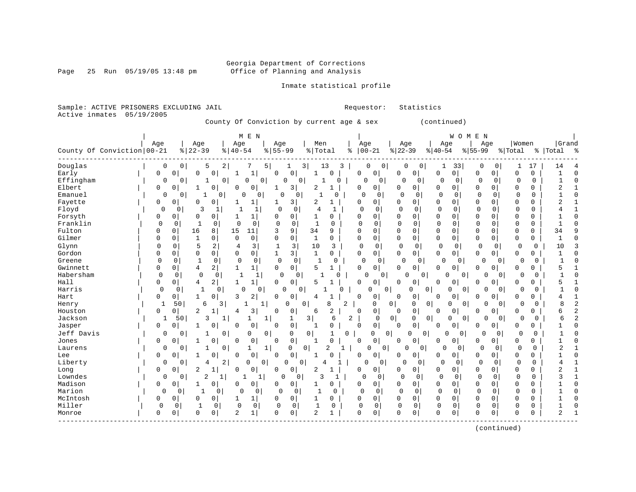Page 25 Run 05/19/05 13:48 pm

### Inmate statistical profile

Sample: ACTIVE PRISONERS EXCLUDING JAIL **Requestor:** Statistics Active inmates 05/19/2005

County Of Conviction by current age & sex (continued)

| Age<br>Women<br>Grand<br>Age<br>Age<br>Age<br>Men<br>Age<br>Age<br>Age<br>Age<br>County Of Conviction   00-21<br>$ 22-39$<br>$8155 - 99$<br>$ 22-39$<br>$8   40 - 54$<br>% Total<br>$00 - 21$<br>$8 40-54$<br>$8155 - 99$<br>% Total<br>%   Total<br>$^{\circ}$ ි<br>နွ<br>5<br>$\overline{2}$<br>33<br>0<br>0<br>7<br>5<br>3  <br>13<br>3<br>0<br>$\overline{0}$<br>0<br>0<br>O<br>0<br>17<br>14<br>1<br>1<br>$\mathbf 0$<br>0<br>0<br>0<br>$\mathbf 0$<br>$\mathbf 0$<br>$\mathbf 0$<br>$\mathbf{1}$<br>$\mathbf 0$<br>$\mathbf 0$<br>0<br>$\Omega$<br>$\mathbf 0$<br>0<br>0<br>1<br>$\cap$<br>0<br>0<br>0<br>0<br>$\mathbf{0}$<br>$\Omega$<br>0<br>0<br>$\Omega$<br>0<br>0<br>1<br>$\mathbf{0}$<br>0<br>$\Omega$<br>O<br>$\Omega$<br>0<br>$\Omega$<br>0<br>0<br>0<br>3<br>2<br>0<br>$\Omega$<br>$\Omega$<br>$\mathbf 0$<br>2<br>0<br>0<br>0<br>$\mathbf{1}$<br>0<br>0<br>0<br>0<br>0<br>1<br>0<br>0<br>0<br>$\Omega$<br>$\Omega$<br>$\mathbf 0$<br>$\mathbf 0$<br>0<br>O<br>0<br>$\cap$<br>0<br>0<br>0<br>$\Omega$<br>$\Omega$<br>0<br>-1<br>$\Omega$<br>0<br>-1<br>0<br>$\mathbf 0$<br>1<br>3<br>2<br>$\Omega$<br>0<br>0<br>$\Omega$<br>$\mathbf 0$<br>2<br>0<br>0<br>$\cap$<br>$\Omega$<br>0<br>$\Omega$<br>0<br>0<br>-1<br>1<br>-1<br>3<br>$\mathbf 0$<br>$\Omega$<br>f.<br>$\mathbf{1}$<br>$\Omega$<br>$\Omega$<br>$\Omega$<br>$\Omega$<br>$\Omega$<br>0<br>$\Omega$<br>$\Omega$<br>$\Omega$<br>$\Omega$<br>O<br>$\Omega$<br>4<br>$\Omega$<br>0<br>$\Omega$<br>$\Omega$<br>0<br>$\Omega$<br>0<br>$\Omega$<br>$\Omega$<br>0<br>$\Omega$<br>$\Omega$<br>1<br>1<br>$\Omega$<br>$\Omega$<br>1<br>U<br>0<br>$\Omega$<br>$\mathbf 0$<br>$\Omega$<br>$\mathbf 0$<br>$\mathbf{1}$<br>$\mathbf 0$<br>$\Omega$<br>$\mathbf 0$<br>$\Omega$<br>0<br>0<br>$\mathbf{1}$<br>0<br>$\Omega$<br>$\Omega$<br>$\Omega$<br>$\Omega$<br>0<br>0<br>0<br>0<br>15<br>9<br>34<br>0<br>$\mathbf 0$<br>0<br>16<br>8<br>11<br>$\mathbf 0$<br>0<br>$\mathbf{0}$<br>$\Omega$<br>0<br>0<br>34<br>0<br>3<br>9<br>0<br>0<br>$\mathbf 0$<br>1<br>$\mathbf 0$<br>0<br>0<br>$\mathbf{1}$<br>0<br>0<br>0<br>$\Omega$<br>0<br>$\mathbf 0$<br>0<br>$\Omega$<br>$\Omega$<br>0<br>$\mathbf{0}$<br>0<br>0<br>0<br>Glynn<br>5<br>$\overline{a}$<br>3<br>3<br>$\Omega$<br>$\mathbf 0$<br>$\mathbf{1}$<br>10<br>3<br>0<br>0<br>$\circ$<br>$\mathbf 0$<br>$\mathbf 0$<br>$\mathbf 0$<br>$\mathbf 0$<br>$\mathbf 0$<br>0<br>4<br>0<br>10<br>Gordon<br>0<br>$\mathbf 0$<br>0<br>0<br>3<br>$\mathbf{1}$<br>$\Omega$<br>0<br>0<br>$\mathbf{0}$<br>$\overline{0}$<br>0<br>O<br>$\Omega$<br>1<br>0<br>$\Omega$<br>0<br>0<br>0<br>1<br>$\mathbf 0$<br>Greene<br>$\Omega$<br>0<br>$\mathbf{1}$<br>0<br>$\Omega$<br>0<br>0<br>-1<br>$\Omega$<br>$\mathbf{0}$<br>0<br>O<br>0<br>0<br>0<br>$\Omega$<br>0<br>0<br>$\Omega$<br>Gwinnett<br>2<br>$\mathbf 0$<br>0<br>5<br>0<br>0<br>4<br>1<br>$\Omega$<br>5<br>0<br>0<br>0<br>$\Omega$<br>0<br>0<br>1<br>$\mathbf{1}$<br>$\Omega$<br>$\Omega$<br><sup>0</sup><br>$\mathbf 0$<br>$\mathbf 0$<br>0<br>0<br>1<br>$\Omega$<br>0<br>O<br>0<br>O<br>$\Omega$<br>$\Omega$<br>$\overline{0}$<br>0<br>$\Omega$<br>1<br>U<br>n<br>∩<br>2<br>$\mathbf 0$<br>$\mathbf 0$<br>0<br>$\mathbf 0$<br>$\overline{0}$<br>5<br>0<br>0<br>4<br>$\mathbf{1}$<br>$\mathbf{1}$<br>5<br>0<br>$\Omega$<br>0<br>0<br>$\Omega$<br>$\Omega$<br>0<br>Harris<br>$\mathbf 0$<br>$\mathbf{1}$<br>$\Omega$<br>0<br>0<br>$\mathbf 0$<br>0<br>$\circ$<br>$\mathbf 0$<br>0<br>$\Omega$<br>$\Omega$<br>$\Omega$<br>0<br>0<br>$\Omega$<br>0<br>$\Omega$<br>$\Omega$<br>3<br>2<br>$\overline{0}$<br>Hart<br>0<br>0<br>0<br>0<br>0<br>0<br>0<br>0<br>0<br>0<br>1<br>0<br>$\Omega$<br>0<br>$\Omega$<br>4<br>8<br>8<br>Henry<br>1<br>50<br>6<br>3<br>0<br>$\Omega$<br>2<br>$\Omega$<br>0<br>0<br>0<br>$\Omega$<br>$\Omega$<br>$\Omega$<br>1<br>1<br>0<br>∩<br><sup>0</sup><br>3<br>$\overline{2}$<br>2<br>0<br>$\mathbf 0$<br>0<br>0<br>0<br>1<br>0<br>0<br>6<br>$\Omega$<br>0<br>$\Omega$<br>0<br>6<br>$\Omega$<br>0<br>$\Omega$<br>4<br>Jackson<br>3<br>3<br>2<br> 0 <br>0<br>50<br>1<br>1<br>6<br>0<br>0<br>$\Omega$<br>0<br>0<br>O<br>$\Omega$<br>6<br>1<br>0<br>$\mathbf 0$<br>$\mathbf 0$<br>Jasper<br>0<br>$\mathbf 0$<br>$\Omega$<br>$\Omega$<br>O<br>$\Omega$<br>$\Omega$<br>$\Omega$<br>0<br>$\Omega$<br>0<br>1<br>$\Omega$<br>O<br>$\mathbf{1}$<br>0<br>$\Omega$<br>Jeff Davis<br>0<br>0<br>$\mathbf 0$<br>0<br>0<br>$\Omega$<br>$\mathbf{0}$<br>0<br>$\Omega$<br>0<br>0<br>1<br>0<br>U<br>0<br>$\Omega$<br>$\Omega$<br>0<br>O<br>0<br>$\mathbf 0$<br>0<br>$\Omega$<br>$\Omega$<br>$\mathbf 0$<br>$\Omega$<br>Jones<br>0<br>0<br>$\Omega$<br>$\Omega$<br>$\mathbf{1}$<br>$\Omega$<br>$\Omega$<br>0<br>0<br>0<br>U<br>1<br>0<br>0<br>0<br>$\Omega$<br>$\mathbf{0}$<br>0<br>2<br>$\Omega$<br>$\overline{0}$<br>0<br>0<br>U<br>$\Omega$<br>0<br>$\Omega$<br>2<br>Laurens<br>1<br>1<br>0<br>$\Omega$<br>1<br>$\mathbf 0$<br>Lee<br>$\Omega$<br>0<br>$\Omega$<br>0<br>$\overline{0}$<br>0<br>0<br>0<br>$\Omega$<br>0<br>0<br>0<br>0<br>0<br>0<br>0<br>Liberty<br>$\overline{2}$<br>0<br>$\mathbf 0$<br>$\mathbf 0$<br>$\mathbf 0$<br>0<br>0<br>0<br>$\mathbf{0}$<br>4<br>0<br>$\overline{0}$<br>0<br>0<br>0<br>0<br>4<br>0<br>0<br>4<br>0<br>2<br>0<br>Long<br>$\mathbf 0$<br>$\overline{c}$<br>$\mathbf{1}$<br>$\mathbf 0$<br>0<br>$\Omega$<br>0<br>0<br>2<br>0<br>$\Omega$<br>$\Omega$<br>0<br>$\Omega$<br>0<br>0<br>$\overline{0}$<br>1<br>Lowndes<br>$\mathbf 0$<br>$\overline{2}$<br>3<br>$\Omega$<br>$\Omega$<br>$\Omega$<br>$\mathbf 0$<br>$\mathbf 0$<br>κ<br>$\Omega$<br>1<br>1<br>$\Omega$<br>0<br>$\mathbf{1}$<br>0<br>$\Omega$<br>$\Omega$<br>0<br>0<br>Madison<br>$\Omega$<br>0<br>$\Omega$<br>0<br>0<br>0<br>0<br>$\Omega$<br>$\Omega$<br>$\Omega$<br>0<br>0<br>$\Omega$<br>0<br>0<br>$\Omega$<br>0<br>1<br>0<br>Marion<br>$\mathbf 0$<br>$\Omega$<br>$\Omega$<br>$\Omega$<br>$\Omega$<br>0<br>0<br>0<br>U<br>0<br>0<br>0<br>$\Omega$<br>$\Omega$<br>0<br>$\Omega$<br>$\Omega$<br>$\Omega$<br>McIntosh<br>0<br>0<br>0<br>$\mathbf 0$<br>0<br>0<br>$\Omega$<br>$\mathbf{0}$<br>$\Omega$<br>0<br>$\mathbf 0$<br>0<br>0<br>1<br>0<br>0<br>0<br>0<br>1<br>Miller<br>0<br>$\mathbf 0$<br>$\mathbf 0$<br>$\mathbf 0$<br>$\mathbf 0$<br>0<br>$\mathbf{1}$<br>0<br>$\mathbf 0$<br>0<br>$\Omega$<br>0<br>0<br>0<br>1<br>0<br>$\Omega$<br>0<br>$\Omega$<br>0<br>$\mathbf 0$<br>$\overline{c}$<br>$\mathbf{1}$<br>$\Omega$<br>$\mathbf 0$<br>2<br>$\Omega$<br>0<br>$\mathbf 0$<br>0<br>$\Omega$<br>0<br>2<br>0<br>$\Omega$<br>0<br>$\Omega$<br>$\Omega$<br>0<br>1<br>0 |           |  |  | M E N |  |  |  |  | WOMEN |  |  |  |
|--------------------------------------------------------------------------------------------------------------------------------------------------------------------------------------------------------------------------------------------------------------------------------------------------------------------------------------------------------------------------------------------------------------------------------------------------------------------------------------------------------------------------------------------------------------------------------------------------------------------------------------------------------------------------------------------------------------------------------------------------------------------------------------------------------------------------------------------------------------------------------------------------------------------------------------------------------------------------------------------------------------------------------------------------------------------------------------------------------------------------------------------------------------------------------------------------------------------------------------------------------------------------------------------------------------------------------------------------------------------------------------------------------------------------------------------------------------------------------------------------------------------------------------------------------------------------------------------------------------------------------------------------------------------------------------------------------------------------------------------------------------------------------------------------------------------------------------------------------------------------------------------------------------------------------------------------------------------------------------------------------------------------------------------------------------------------------------------------------------------------------------------------------------------------------------------------------------------------------------------------------------------------------------------------------------------------------------------------------------------------------------------------------------------------------------------------------------------------------------------------------------------------------------------------------------------------------------------------------------------------------------------------------------------------------------------------------------------------------------------------------------------------------------------------------------------------------------------------------------------------------------------------------------------------------------------------------------------------------------------------------------------------------------------------------------------------------------------------------------------------------------------------------------------------------------------------------------------------------------------------------------------------------------------------------------------------------------------------------------------------------------------------------------------------------------------------------------------------------------------------------------------------------------------------------------------------------------------------------------------------------------------------------------------------------------------------------------------------------------------------------------------------------------------------------------------------------------------------------------------------------------------------------------------------------------------------------------------------------------------------------------------------------------------------------------------------------------------------------------------------------------------------------------------------------------------------------------------------------------------------------------------------------------------------------------------------------------------------------------------------------------------------------------------------------------------------------------------------------------------------------------------------------------------------------------------------------------------------------------------------------------------------------------------------------------------------------------------------------------------------------------------------------------------------------------------------------------------------------------------------------------------------------------------------------------------------------------------------------------------------------------------------------------------------------------------------------------------------------------------------------------------------------------------------------------------------------------------------------------------------------------------------------------------------------------------------------------------------------------------------------------------------------------------------------------------------------------------------------------------------------------------------------------------------------------------------------------------------------------------------------------------------------------------------------------------------------------------------------------------------------------------------------------------------------------------------------------------------------------------------------------------------------------------------------------------------------------------------------------------------------------------------------------------------------------------------------------------------------------------------------------------------------------------------------------------------------------------------------------------------------------------------------------------------------------------------------------------------------------------------------------------------------------------------------------------------------------------------------------------------------------------------------|-----------|--|--|-------|--|--|--|--|-------|--|--|--|
|                                                                                                                                                                                                                                                                                                                                                                                                                                                                                                                                                                                                                                                                                                                                                                                                                                                                                                                                                                                                                                                                                                                                                                                                                                                                                                                                                                                                                                                                                                                                                                                                                                                                                                                                                                                                                                                                                                                                                                                                                                                                                                                                                                                                                                                                                                                                                                                                                                                                                                                                                                                                                                                                                                                                                                                                                                                                                                                                                                                                                                                                                                                                                                                                                                                                                                                                                                                                                                                                                                                                                                                                                                                                                                                                                                                                                                                                                                                                                                                                                                                                                                                                                                                                                                                                                                                                                                                                                                                                                                                                                                                                                                                                                                                                                                                                                                                                                                                                                                                                                                                                                                                                                                                                                                                                                                                                                                                                                                                                                                                                                                                                                                                                                                                                                                                                                                                                                                                                                                                                                                                                                                                                                                                                                                                                                                                                                                                                                                                                                                                                |           |  |  |       |  |  |  |  |       |  |  |  |
|                                                                                                                                                                                                                                                                                                                                                                                                                                                                                                                                                                                                                                                                                                                                                                                                                                                                                                                                                                                                                                                                                                                                                                                                                                                                                                                                                                                                                                                                                                                                                                                                                                                                                                                                                                                                                                                                                                                                                                                                                                                                                                                                                                                                                                                                                                                                                                                                                                                                                                                                                                                                                                                                                                                                                                                                                                                                                                                                                                                                                                                                                                                                                                                                                                                                                                                                                                                                                                                                                                                                                                                                                                                                                                                                                                                                                                                                                                                                                                                                                                                                                                                                                                                                                                                                                                                                                                                                                                                                                                                                                                                                                                                                                                                                                                                                                                                                                                                                                                                                                                                                                                                                                                                                                                                                                                                                                                                                                                                                                                                                                                                                                                                                                                                                                                                                                                                                                                                                                                                                                                                                                                                                                                                                                                                                                                                                                                                                                                                                                                                                |           |  |  |       |  |  |  |  |       |  |  |  |
|                                                                                                                                                                                                                                                                                                                                                                                                                                                                                                                                                                                                                                                                                                                                                                                                                                                                                                                                                                                                                                                                                                                                                                                                                                                                                                                                                                                                                                                                                                                                                                                                                                                                                                                                                                                                                                                                                                                                                                                                                                                                                                                                                                                                                                                                                                                                                                                                                                                                                                                                                                                                                                                                                                                                                                                                                                                                                                                                                                                                                                                                                                                                                                                                                                                                                                                                                                                                                                                                                                                                                                                                                                                                                                                                                                                                                                                                                                                                                                                                                                                                                                                                                                                                                                                                                                                                                                                                                                                                                                                                                                                                                                                                                                                                                                                                                                                                                                                                                                                                                                                                                                                                                                                                                                                                                                                                                                                                                                                                                                                                                                                                                                                                                                                                                                                                                                                                                                                                                                                                                                                                                                                                                                                                                                                                                                                                                                                                                                                                                                                                | Douglas   |  |  |       |  |  |  |  |       |  |  |  |
|                                                                                                                                                                                                                                                                                                                                                                                                                                                                                                                                                                                                                                                                                                                                                                                                                                                                                                                                                                                                                                                                                                                                                                                                                                                                                                                                                                                                                                                                                                                                                                                                                                                                                                                                                                                                                                                                                                                                                                                                                                                                                                                                                                                                                                                                                                                                                                                                                                                                                                                                                                                                                                                                                                                                                                                                                                                                                                                                                                                                                                                                                                                                                                                                                                                                                                                                                                                                                                                                                                                                                                                                                                                                                                                                                                                                                                                                                                                                                                                                                                                                                                                                                                                                                                                                                                                                                                                                                                                                                                                                                                                                                                                                                                                                                                                                                                                                                                                                                                                                                                                                                                                                                                                                                                                                                                                                                                                                                                                                                                                                                                                                                                                                                                                                                                                                                                                                                                                                                                                                                                                                                                                                                                                                                                                                                                                                                                                                                                                                                                                                | Early     |  |  |       |  |  |  |  |       |  |  |  |
|                                                                                                                                                                                                                                                                                                                                                                                                                                                                                                                                                                                                                                                                                                                                                                                                                                                                                                                                                                                                                                                                                                                                                                                                                                                                                                                                                                                                                                                                                                                                                                                                                                                                                                                                                                                                                                                                                                                                                                                                                                                                                                                                                                                                                                                                                                                                                                                                                                                                                                                                                                                                                                                                                                                                                                                                                                                                                                                                                                                                                                                                                                                                                                                                                                                                                                                                                                                                                                                                                                                                                                                                                                                                                                                                                                                                                                                                                                                                                                                                                                                                                                                                                                                                                                                                                                                                                                                                                                                                                                                                                                                                                                                                                                                                                                                                                                                                                                                                                                                                                                                                                                                                                                                                                                                                                                                                                                                                                                                                                                                                                                                                                                                                                                                                                                                                                                                                                                                                                                                                                                                                                                                                                                                                                                                                                                                                                                                                                                                                                                                                | Effingham |  |  |       |  |  |  |  |       |  |  |  |
|                                                                                                                                                                                                                                                                                                                                                                                                                                                                                                                                                                                                                                                                                                                                                                                                                                                                                                                                                                                                                                                                                                                                                                                                                                                                                                                                                                                                                                                                                                                                                                                                                                                                                                                                                                                                                                                                                                                                                                                                                                                                                                                                                                                                                                                                                                                                                                                                                                                                                                                                                                                                                                                                                                                                                                                                                                                                                                                                                                                                                                                                                                                                                                                                                                                                                                                                                                                                                                                                                                                                                                                                                                                                                                                                                                                                                                                                                                                                                                                                                                                                                                                                                                                                                                                                                                                                                                                                                                                                                                                                                                                                                                                                                                                                                                                                                                                                                                                                                                                                                                                                                                                                                                                                                                                                                                                                                                                                                                                                                                                                                                                                                                                                                                                                                                                                                                                                                                                                                                                                                                                                                                                                                                                                                                                                                                                                                                                                                                                                                                                                | Elbert    |  |  |       |  |  |  |  |       |  |  |  |
|                                                                                                                                                                                                                                                                                                                                                                                                                                                                                                                                                                                                                                                                                                                                                                                                                                                                                                                                                                                                                                                                                                                                                                                                                                                                                                                                                                                                                                                                                                                                                                                                                                                                                                                                                                                                                                                                                                                                                                                                                                                                                                                                                                                                                                                                                                                                                                                                                                                                                                                                                                                                                                                                                                                                                                                                                                                                                                                                                                                                                                                                                                                                                                                                                                                                                                                                                                                                                                                                                                                                                                                                                                                                                                                                                                                                                                                                                                                                                                                                                                                                                                                                                                                                                                                                                                                                                                                                                                                                                                                                                                                                                                                                                                                                                                                                                                                                                                                                                                                                                                                                                                                                                                                                                                                                                                                                                                                                                                                                                                                                                                                                                                                                                                                                                                                                                                                                                                                                                                                                                                                                                                                                                                                                                                                                                                                                                                                                                                                                                                                                | Emanuel   |  |  |       |  |  |  |  |       |  |  |  |
|                                                                                                                                                                                                                                                                                                                                                                                                                                                                                                                                                                                                                                                                                                                                                                                                                                                                                                                                                                                                                                                                                                                                                                                                                                                                                                                                                                                                                                                                                                                                                                                                                                                                                                                                                                                                                                                                                                                                                                                                                                                                                                                                                                                                                                                                                                                                                                                                                                                                                                                                                                                                                                                                                                                                                                                                                                                                                                                                                                                                                                                                                                                                                                                                                                                                                                                                                                                                                                                                                                                                                                                                                                                                                                                                                                                                                                                                                                                                                                                                                                                                                                                                                                                                                                                                                                                                                                                                                                                                                                                                                                                                                                                                                                                                                                                                                                                                                                                                                                                                                                                                                                                                                                                                                                                                                                                                                                                                                                                                                                                                                                                                                                                                                                                                                                                                                                                                                                                                                                                                                                                                                                                                                                                                                                                                                                                                                                                                                                                                                                                                | Fayette   |  |  |       |  |  |  |  |       |  |  |  |
|                                                                                                                                                                                                                                                                                                                                                                                                                                                                                                                                                                                                                                                                                                                                                                                                                                                                                                                                                                                                                                                                                                                                                                                                                                                                                                                                                                                                                                                                                                                                                                                                                                                                                                                                                                                                                                                                                                                                                                                                                                                                                                                                                                                                                                                                                                                                                                                                                                                                                                                                                                                                                                                                                                                                                                                                                                                                                                                                                                                                                                                                                                                                                                                                                                                                                                                                                                                                                                                                                                                                                                                                                                                                                                                                                                                                                                                                                                                                                                                                                                                                                                                                                                                                                                                                                                                                                                                                                                                                                                                                                                                                                                                                                                                                                                                                                                                                                                                                                                                                                                                                                                                                                                                                                                                                                                                                                                                                                                                                                                                                                                                                                                                                                                                                                                                                                                                                                                                                                                                                                                                                                                                                                                                                                                                                                                                                                                                                                                                                                                                                | Floyd     |  |  |       |  |  |  |  |       |  |  |  |
|                                                                                                                                                                                                                                                                                                                                                                                                                                                                                                                                                                                                                                                                                                                                                                                                                                                                                                                                                                                                                                                                                                                                                                                                                                                                                                                                                                                                                                                                                                                                                                                                                                                                                                                                                                                                                                                                                                                                                                                                                                                                                                                                                                                                                                                                                                                                                                                                                                                                                                                                                                                                                                                                                                                                                                                                                                                                                                                                                                                                                                                                                                                                                                                                                                                                                                                                                                                                                                                                                                                                                                                                                                                                                                                                                                                                                                                                                                                                                                                                                                                                                                                                                                                                                                                                                                                                                                                                                                                                                                                                                                                                                                                                                                                                                                                                                                                                                                                                                                                                                                                                                                                                                                                                                                                                                                                                                                                                                                                                                                                                                                                                                                                                                                                                                                                                                                                                                                                                                                                                                                                                                                                                                                                                                                                                                                                                                                                                                                                                                                                                | Forsyth   |  |  |       |  |  |  |  |       |  |  |  |
|                                                                                                                                                                                                                                                                                                                                                                                                                                                                                                                                                                                                                                                                                                                                                                                                                                                                                                                                                                                                                                                                                                                                                                                                                                                                                                                                                                                                                                                                                                                                                                                                                                                                                                                                                                                                                                                                                                                                                                                                                                                                                                                                                                                                                                                                                                                                                                                                                                                                                                                                                                                                                                                                                                                                                                                                                                                                                                                                                                                                                                                                                                                                                                                                                                                                                                                                                                                                                                                                                                                                                                                                                                                                                                                                                                                                                                                                                                                                                                                                                                                                                                                                                                                                                                                                                                                                                                                                                                                                                                                                                                                                                                                                                                                                                                                                                                                                                                                                                                                                                                                                                                                                                                                                                                                                                                                                                                                                                                                                                                                                                                                                                                                                                                                                                                                                                                                                                                                                                                                                                                                                                                                                                                                                                                                                                                                                                                                                                                                                                                                                | Franklin  |  |  |       |  |  |  |  |       |  |  |  |
|                                                                                                                                                                                                                                                                                                                                                                                                                                                                                                                                                                                                                                                                                                                                                                                                                                                                                                                                                                                                                                                                                                                                                                                                                                                                                                                                                                                                                                                                                                                                                                                                                                                                                                                                                                                                                                                                                                                                                                                                                                                                                                                                                                                                                                                                                                                                                                                                                                                                                                                                                                                                                                                                                                                                                                                                                                                                                                                                                                                                                                                                                                                                                                                                                                                                                                                                                                                                                                                                                                                                                                                                                                                                                                                                                                                                                                                                                                                                                                                                                                                                                                                                                                                                                                                                                                                                                                                                                                                                                                                                                                                                                                                                                                                                                                                                                                                                                                                                                                                                                                                                                                                                                                                                                                                                                                                                                                                                                                                                                                                                                                                                                                                                                                                                                                                                                                                                                                                                                                                                                                                                                                                                                                                                                                                                                                                                                                                                                                                                                                                                | Fulton    |  |  |       |  |  |  |  |       |  |  |  |
|                                                                                                                                                                                                                                                                                                                                                                                                                                                                                                                                                                                                                                                                                                                                                                                                                                                                                                                                                                                                                                                                                                                                                                                                                                                                                                                                                                                                                                                                                                                                                                                                                                                                                                                                                                                                                                                                                                                                                                                                                                                                                                                                                                                                                                                                                                                                                                                                                                                                                                                                                                                                                                                                                                                                                                                                                                                                                                                                                                                                                                                                                                                                                                                                                                                                                                                                                                                                                                                                                                                                                                                                                                                                                                                                                                                                                                                                                                                                                                                                                                                                                                                                                                                                                                                                                                                                                                                                                                                                                                                                                                                                                                                                                                                                                                                                                                                                                                                                                                                                                                                                                                                                                                                                                                                                                                                                                                                                                                                                                                                                                                                                                                                                                                                                                                                                                                                                                                                                                                                                                                                                                                                                                                                                                                                                                                                                                                                                                                                                                                                                | Gilmer    |  |  |       |  |  |  |  |       |  |  |  |
|                                                                                                                                                                                                                                                                                                                                                                                                                                                                                                                                                                                                                                                                                                                                                                                                                                                                                                                                                                                                                                                                                                                                                                                                                                                                                                                                                                                                                                                                                                                                                                                                                                                                                                                                                                                                                                                                                                                                                                                                                                                                                                                                                                                                                                                                                                                                                                                                                                                                                                                                                                                                                                                                                                                                                                                                                                                                                                                                                                                                                                                                                                                                                                                                                                                                                                                                                                                                                                                                                                                                                                                                                                                                                                                                                                                                                                                                                                                                                                                                                                                                                                                                                                                                                                                                                                                                                                                                                                                                                                                                                                                                                                                                                                                                                                                                                                                                                                                                                                                                                                                                                                                                                                                                                                                                                                                                                                                                                                                                                                                                                                                                                                                                                                                                                                                                                                                                                                                                                                                                                                                                                                                                                                                                                                                                                                                                                                                                                                                                                                                                |           |  |  |       |  |  |  |  |       |  |  |  |
|                                                                                                                                                                                                                                                                                                                                                                                                                                                                                                                                                                                                                                                                                                                                                                                                                                                                                                                                                                                                                                                                                                                                                                                                                                                                                                                                                                                                                                                                                                                                                                                                                                                                                                                                                                                                                                                                                                                                                                                                                                                                                                                                                                                                                                                                                                                                                                                                                                                                                                                                                                                                                                                                                                                                                                                                                                                                                                                                                                                                                                                                                                                                                                                                                                                                                                                                                                                                                                                                                                                                                                                                                                                                                                                                                                                                                                                                                                                                                                                                                                                                                                                                                                                                                                                                                                                                                                                                                                                                                                                                                                                                                                                                                                                                                                                                                                                                                                                                                                                                                                                                                                                                                                                                                                                                                                                                                                                                                                                                                                                                                                                                                                                                                                                                                                                                                                                                                                                                                                                                                                                                                                                                                                                                                                                                                                                                                                                                                                                                                                                                |           |  |  |       |  |  |  |  |       |  |  |  |
|                                                                                                                                                                                                                                                                                                                                                                                                                                                                                                                                                                                                                                                                                                                                                                                                                                                                                                                                                                                                                                                                                                                                                                                                                                                                                                                                                                                                                                                                                                                                                                                                                                                                                                                                                                                                                                                                                                                                                                                                                                                                                                                                                                                                                                                                                                                                                                                                                                                                                                                                                                                                                                                                                                                                                                                                                                                                                                                                                                                                                                                                                                                                                                                                                                                                                                                                                                                                                                                                                                                                                                                                                                                                                                                                                                                                                                                                                                                                                                                                                                                                                                                                                                                                                                                                                                                                                                                                                                                                                                                                                                                                                                                                                                                                                                                                                                                                                                                                                                                                                                                                                                                                                                                                                                                                                                                                                                                                                                                                                                                                                                                                                                                                                                                                                                                                                                                                                                                                                                                                                                                                                                                                                                                                                                                                                                                                                                                                                                                                                                                                |           |  |  |       |  |  |  |  |       |  |  |  |
|                                                                                                                                                                                                                                                                                                                                                                                                                                                                                                                                                                                                                                                                                                                                                                                                                                                                                                                                                                                                                                                                                                                                                                                                                                                                                                                                                                                                                                                                                                                                                                                                                                                                                                                                                                                                                                                                                                                                                                                                                                                                                                                                                                                                                                                                                                                                                                                                                                                                                                                                                                                                                                                                                                                                                                                                                                                                                                                                                                                                                                                                                                                                                                                                                                                                                                                                                                                                                                                                                                                                                                                                                                                                                                                                                                                                                                                                                                                                                                                                                                                                                                                                                                                                                                                                                                                                                                                                                                                                                                                                                                                                                                                                                                                                                                                                                                                                                                                                                                                                                                                                                                                                                                                                                                                                                                                                                                                                                                                                                                                                                                                                                                                                                                                                                                                                                                                                                                                                                                                                                                                                                                                                                                                                                                                                                                                                                                                                                                                                                                                                |           |  |  |       |  |  |  |  |       |  |  |  |
|                                                                                                                                                                                                                                                                                                                                                                                                                                                                                                                                                                                                                                                                                                                                                                                                                                                                                                                                                                                                                                                                                                                                                                                                                                                                                                                                                                                                                                                                                                                                                                                                                                                                                                                                                                                                                                                                                                                                                                                                                                                                                                                                                                                                                                                                                                                                                                                                                                                                                                                                                                                                                                                                                                                                                                                                                                                                                                                                                                                                                                                                                                                                                                                                                                                                                                                                                                                                                                                                                                                                                                                                                                                                                                                                                                                                                                                                                                                                                                                                                                                                                                                                                                                                                                                                                                                                                                                                                                                                                                                                                                                                                                                                                                                                                                                                                                                                                                                                                                                                                                                                                                                                                                                                                                                                                                                                                                                                                                                                                                                                                                                                                                                                                                                                                                                                                                                                                                                                                                                                                                                                                                                                                                                                                                                                                                                                                                                                                                                                                                                                | Habersham |  |  |       |  |  |  |  |       |  |  |  |
|                                                                                                                                                                                                                                                                                                                                                                                                                                                                                                                                                                                                                                                                                                                                                                                                                                                                                                                                                                                                                                                                                                                                                                                                                                                                                                                                                                                                                                                                                                                                                                                                                                                                                                                                                                                                                                                                                                                                                                                                                                                                                                                                                                                                                                                                                                                                                                                                                                                                                                                                                                                                                                                                                                                                                                                                                                                                                                                                                                                                                                                                                                                                                                                                                                                                                                                                                                                                                                                                                                                                                                                                                                                                                                                                                                                                                                                                                                                                                                                                                                                                                                                                                                                                                                                                                                                                                                                                                                                                                                                                                                                                                                                                                                                                                                                                                                                                                                                                                                                                                                                                                                                                                                                                                                                                                                                                                                                                                                                                                                                                                                                                                                                                                                                                                                                                                                                                                                                                                                                                                                                                                                                                                                                                                                                                                                                                                                                                                                                                                                                                | Hall      |  |  |       |  |  |  |  |       |  |  |  |
|                                                                                                                                                                                                                                                                                                                                                                                                                                                                                                                                                                                                                                                                                                                                                                                                                                                                                                                                                                                                                                                                                                                                                                                                                                                                                                                                                                                                                                                                                                                                                                                                                                                                                                                                                                                                                                                                                                                                                                                                                                                                                                                                                                                                                                                                                                                                                                                                                                                                                                                                                                                                                                                                                                                                                                                                                                                                                                                                                                                                                                                                                                                                                                                                                                                                                                                                                                                                                                                                                                                                                                                                                                                                                                                                                                                                                                                                                                                                                                                                                                                                                                                                                                                                                                                                                                                                                                                                                                                                                                                                                                                                                                                                                                                                                                                                                                                                                                                                                                                                                                                                                                                                                                                                                                                                                                                                                                                                                                                                                                                                                                                                                                                                                                                                                                                                                                                                                                                                                                                                                                                                                                                                                                                                                                                                                                                                                                                                                                                                                                                                |           |  |  |       |  |  |  |  |       |  |  |  |
|                                                                                                                                                                                                                                                                                                                                                                                                                                                                                                                                                                                                                                                                                                                                                                                                                                                                                                                                                                                                                                                                                                                                                                                                                                                                                                                                                                                                                                                                                                                                                                                                                                                                                                                                                                                                                                                                                                                                                                                                                                                                                                                                                                                                                                                                                                                                                                                                                                                                                                                                                                                                                                                                                                                                                                                                                                                                                                                                                                                                                                                                                                                                                                                                                                                                                                                                                                                                                                                                                                                                                                                                                                                                                                                                                                                                                                                                                                                                                                                                                                                                                                                                                                                                                                                                                                                                                                                                                                                                                                                                                                                                                                                                                                                                                                                                                                                                                                                                                                                                                                                                                                                                                                                                                                                                                                                                                                                                                                                                                                                                                                                                                                                                                                                                                                                                                                                                                                                                                                                                                                                                                                                                                                                                                                                                                                                                                                                                                                                                                                                                |           |  |  |       |  |  |  |  |       |  |  |  |
|                                                                                                                                                                                                                                                                                                                                                                                                                                                                                                                                                                                                                                                                                                                                                                                                                                                                                                                                                                                                                                                                                                                                                                                                                                                                                                                                                                                                                                                                                                                                                                                                                                                                                                                                                                                                                                                                                                                                                                                                                                                                                                                                                                                                                                                                                                                                                                                                                                                                                                                                                                                                                                                                                                                                                                                                                                                                                                                                                                                                                                                                                                                                                                                                                                                                                                                                                                                                                                                                                                                                                                                                                                                                                                                                                                                                                                                                                                                                                                                                                                                                                                                                                                                                                                                                                                                                                                                                                                                                                                                                                                                                                                                                                                                                                                                                                                                                                                                                                                                                                                                                                                                                                                                                                                                                                                                                                                                                                                                                                                                                                                                                                                                                                                                                                                                                                                                                                                                                                                                                                                                                                                                                                                                                                                                                                                                                                                                                                                                                                                                                |           |  |  |       |  |  |  |  |       |  |  |  |
|                                                                                                                                                                                                                                                                                                                                                                                                                                                                                                                                                                                                                                                                                                                                                                                                                                                                                                                                                                                                                                                                                                                                                                                                                                                                                                                                                                                                                                                                                                                                                                                                                                                                                                                                                                                                                                                                                                                                                                                                                                                                                                                                                                                                                                                                                                                                                                                                                                                                                                                                                                                                                                                                                                                                                                                                                                                                                                                                                                                                                                                                                                                                                                                                                                                                                                                                                                                                                                                                                                                                                                                                                                                                                                                                                                                                                                                                                                                                                                                                                                                                                                                                                                                                                                                                                                                                                                                                                                                                                                                                                                                                                                                                                                                                                                                                                                                                                                                                                                                                                                                                                                                                                                                                                                                                                                                                                                                                                                                                                                                                                                                                                                                                                                                                                                                                                                                                                                                                                                                                                                                                                                                                                                                                                                                                                                                                                                                                                                                                                                                                | Houston   |  |  |       |  |  |  |  |       |  |  |  |
|                                                                                                                                                                                                                                                                                                                                                                                                                                                                                                                                                                                                                                                                                                                                                                                                                                                                                                                                                                                                                                                                                                                                                                                                                                                                                                                                                                                                                                                                                                                                                                                                                                                                                                                                                                                                                                                                                                                                                                                                                                                                                                                                                                                                                                                                                                                                                                                                                                                                                                                                                                                                                                                                                                                                                                                                                                                                                                                                                                                                                                                                                                                                                                                                                                                                                                                                                                                                                                                                                                                                                                                                                                                                                                                                                                                                                                                                                                                                                                                                                                                                                                                                                                                                                                                                                                                                                                                                                                                                                                                                                                                                                                                                                                                                                                                                                                                                                                                                                                                                                                                                                                                                                                                                                                                                                                                                                                                                                                                                                                                                                                                                                                                                                                                                                                                                                                                                                                                                                                                                                                                                                                                                                                                                                                                                                                                                                                                                                                                                                                                                |           |  |  |       |  |  |  |  |       |  |  |  |
|                                                                                                                                                                                                                                                                                                                                                                                                                                                                                                                                                                                                                                                                                                                                                                                                                                                                                                                                                                                                                                                                                                                                                                                                                                                                                                                                                                                                                                                                                                                                                                                                                                                                                                                                                                                                                                                                                                                                                                                                                                                                                                                                                                                                                                                                                                                                                                                                                                                                                                                                                                                                                                                                                                                                                                                                                                                                                                                                                                                                                                                                                                                                                                                                                                                                                                                                                                                                                                                                                                                                                                                                                                                                                                                                                                                                                                                                                                                                                                                                                                                                                                                                                                                                                                                                                                                                                                                                                                                                                                                                                                                                                                                                                                                                                                                                                                                                                                                                                                                                                                                                                                                                                                                                                                                                                                                                                                                                                                                                                                                                                                                                                                                                                                                                                                                                                                                                                                                                                                                                                                                                                                                                                                                                                                                                                                                                                                                                                                                                                                                                |           |  |  |       |  |  |  |  |       |  |  |  |
|                                                                                                                                                                                                                                                                                                                                                                                                                                                                                                                                                                                                                                                                                                                                                                                                                                                                                                                                                                                                                                                                                                                                                                                                                                                                                                                                                                                                                                                                                                                                                                                                                                                                                                                                                                                                                                                                                                                                                                                                                                                                                                                                                                                                                                                                                                                                                                                                                                                                                                                                                                                                                                                                                                                                                                                                                                                                                                                                                                                                                                                                                                                                                                                                                                                                                                                                                                                                                                                                                                                                                                                                                                                                                                                                                                                                                                                                                                                                                                                                                                                                                                                                                                                                                                                                                                                                                                                                                                                                                                                                                                                                                                                                                                                                                                                                                                                                                                                                                                                                                                                                                                                                                                                                                                                                                                                                                                                                                                                                                                                                                                                                                                                                                                                                                                                                                                                                                                                                                                                                                                                                                                                                                                                                                                                                                                                                                                                                                                                                                                                                |           |  |  |       |  |  |  |  |       |  |  |  |
|                                                                                                                                                                                                                                                                                                                                                                                                                                                                                                                                                                                                                                                                                                                                                                                                                                                                                                                                                                                                                                                                                                                                                                                                                                                                                                                                                                                                                                                                                                                                                                                                                                                                                                                                                                                                                                                                                                                                                                                                                                                                                                                                                                                                                                                                                                                                                                                                                                                                                                                                                                                                                                                                                                                                                                                                                                                                                                                                                                                                                                                                                                                                                                                                                                                                                                                                                                                                                                                                                                                                                                                                                                                                                                                                                                                                                                                                                                                                                                                                                                                                                                                                                                                                                                                                                                                                                                                                                                                                                                                                                                                                                                                                                                                                                                                                                                                                                                                                                                                                                                                                                                                                                                                                                                                                                                                                                                                                                                                                                                                                                                                                                                                                                                                                                                                                                                                                                                                                                                                                                                                                                                                                                                                                                                                                                                                                                                                                                                                                                                                                |           |  |  |       |  |  |  |  |       |  |  |  |
|                                                                                                                                                                                                                                                                                                                                                                                                                                                                                                                                                                                                                                                                                                                                                                                                                                                                                                                                                                                                                                                                                                                                                                                                                                                                                                                                                                                                                                                                                                                                                                                                                                                                                                                                                                                                                                                                                                                                                                                                                                                                                                                                                                                                                                                                                                                                                                                                                                                                                                                                                                                                                                                                                                                                                                                                                                                                                                                                                                                                                                                                                                                                                                                                                                                                                                                                                                                                                                                                                                                                                                                                                                                                                                                                                                                                                                                                                                                                                                                                                                                                                                                                                                                                                                                                                                                                                                                                                                                                                                                                                                                                                                                                                                                                                                                                                                                                                                                                                                                                                                                                                                                                                                                                                                                                                                                                                                                                                                                                                                                                                                                                                                                                                                                                                                                                                                                                                                                                                                                                                                                                                                                                                                                                                                                                                                                                                                                                                                                                                                                                |           |  |  |       |  |  |  |  |       |  |  |  |
|                                                                                                                                                                                                                                                                                                                                                                                                                                                                                                                                                                                                                                                                                                                                                                                                                                                                                                                                                                                                                                                                                                                                                                                                                                                                                                                                                                                                                                                                                                                                                                                                                                                                                                                                                                                                                                                                                                                                                                                                                                                                                                                                                                                                                                                                                                                                                                                                                                                                                                                                                                                                                                                                                                                                                                                                                                                                                                                                                                                                                                                                                                                                                                                                                                                                                                                                                                                                                                                                                                                                                                                                                                                                                                                                                                                                                                                                                                                                                                                                                                                                                                                                                                                                                                                                                                                                                                                                                                                                                                                                                                                                                                                                                                                                                                                                                                                                                                                                                                                                                                                                                                                                                                                                                                                                                                                                                                                                                                                                                                                                                                                                                                                                                                                                                                                                                                                                                                                                                                                                                                                                                                                                                                                                                                                                                                                                                                                                                                                                                                                                |           |  |  |       |  |  |  |  |       |  |  |  |
|                                                                                                                                                                                                                                                                                                                                                                                                                                                                                                                                                                                                                                                                                                                                                                                                                                                                                                                                                                                                                                                                                                                                                                                                                                                                                                                                                                                                                                                                                                                                                                                                                                                                                                                                                                                                                                                                                                                                                                                                                                                                                                                                                                                                                                                                                                                                                                                                                                                                                                                                                                                                                                                                                                                                                                                                                                                                                                                                                                                                                                                                                                                                                                                                                                                                                                                                                                                                                                                                                                                                                                                                                                                                                                                                                                                                                                                                                                                                                                                                                                                                                                                                                                                                                                                                                                                                                                                                                                                                                                                                                                                                                                                                                                                                                                                                                                                                                                                                                                                                                                                                                                                                                                                                                                                                                                                                                                                                                                                                                                                                                                                                                                                                                                                                                                                                                                                                                                                                                                                                                                                                                                                                                                                                                                                                                                                                                                                                                                                                                                                                |           |  |  |       |  |  |  |  |       |  |  |  |
|                                                                                                                                                                                                                                                                                                                                                                                                                                                                                                                                                                                                                                                                                                                                                                                                                                                                                                                                                                                                                                                                                                                                                                                                                                                                                                                                                                                                                                                                                                                                                                                                                                                                                                                                                                                                                                                                                                                                                                                                                                                                                                                                                                                                                                                                                                                                                                                                                                                                                                                                                                                                                                                                                                                                                                                                                                                                                                                                                                                                                                                                                                                                                                                                                                                                                                                                                                                                                                                                                                                                                                                                                                                                                                                                                                                                                                                                                                                                                                                                                                                                                                                                                                                                                                                                                                                                                                                                                                                                                                                                                                                                                                                                                                                                                                                                                                                                                                                                                                                                                                                                                                                                                                                                                                                                                                                                                                                                                                                                                                                                                                                                                                                                                                                                                                                                                                                                                                                                                                                                                                                                                                                                                                                                                                                                                                                                                                                                                                                                                                                                |           |  |  |       |  |  |  |  |       |  |  |  |
|                                                                                                                                                                                                                                                                                                                                                                                                                                                                                                                                                                                                                                                                                                                                                                                                                                                                                                                                                                                                                                                                                                                                                                                                                                                                                                                                                                                                                                                                                                                                                                                                                                                                                                                                                                                                                                                                                                                                                                                                                                                                                                                                                                                                                                                                                                                                                                                                                                                                                                                                                                                                                                                                                                                                                                                                                                                                                                                                                                                                                                                                                                                                                                                                                                                                                                                                                                                                                                                                                                                                                                                                                                                                                                                                                                                                                                                                                                                                                                                                                                                                                                                                                                                                                                                                                                                                                                                                                                                                                                                                                                                                                                                                                                                                                                                                                                                                                                                                                                                                                                                                                                                                                                                                                                                                                                                                                                                                                                                                                                                                                                                                                                                                                                                                                                                                                                                                                                                                                                                                                                                                                                                                                                                                                                                                                                                                                                                                                                                                                                                                |           |  |  |       |  |  |  |  |       |  |  |  |
|                                                                                                                                                                                                                                                                                                                                                                                                                                                                                                                                                                                                                                                                                                                                                                                                                                                                                                                                                                                                                                                                                                                                                                                                                                                                                                                                                                                                                                                                                                                                                                                                                                                                                                                                                                                                                                                                                                                                                                                                                                                                                                                                                                                                                                                                                                                                                                                                                                                                                                                                                                                                                                                                                                                                                                                                                                                                                                                                                                                                                                                                                                                                                                                                                                                                                                                                                                                                                                                                                                                                                                                                                                                                                                                                                                                                                                                                                                                                                                                                                                                                                                                                                                                                                                                                                                                                                                                                                                                                                                                                                                                                                                                                                                                                                                                                                                                                                                                                                                                                                                                                                                                                                                                                                                                                                                                                                                                                                                                                                                                                                                                                                                                                                                                                                                                                                                                                                                                                                                                                                                                                                                                                                                                                                                                                                                                                                                                                                                                                                                                                |           |  |  |       |  |  |  |  |       |  |  |  |
|                                                                                                                                                                                                                                                                                                                                                                                                                                                                                                                                                                                                                                                                                                                                                                                                                                                                                                                                                                                                                                                                                                                                                                                                                                                                                                                                                                                                                                                                                                                                                                                                                                                                                                                                                                                                                                                                                                                                                                                                                                                                                                                                                                                                                                                                                                                                                                                                                                                                                                                                                                                                                                                                                                                                                                                                                                                                                                                                                                                                                                                                                                                                                                                                                                                                                                                                                                                                                                                                                                                                                                                                                                                                                                                                                                                                                                                                                                                                                                                                                                                                                                                                                                                                                                                                                                                                                                                                                                                                                                                                                                                                                                                                                                                                                                                                                                                                                                                                                                                                                                                                                                                                                                                                                                                                                                                                                                                                                                                                                                                                                                                                                                                                                                                                                                                                                                                                                                                                                                                                                                                                                                                                                                                                                                                                                                                                                                                                                                                                                                                                |           |  |  |       |  |  |  |  |       |  |  |  |
|                                                                                                                                                                                                                                                                                                                                                                                                                                                                                                                                                                                                                                                                                                                                                                                                                                                                                                                                                                                                                                                                                                                                                                                                                                                                                                                                                                                                                                                                                                                                                                                                                                                                                                                                                                                                                                                                                                                                                                                                                                                                                                                                                                                                                                                                                                                                                                                                                                                                                                                                                                                                                                                                                                                                                                                                                                                                                                                                                                                                                                                                                                                                                                                                                                                                                                                                                                                                                                                                                                                                                                                                                                                                                                                                                                                                                                                                                                                                                                                                                                                                                                                                                                                                                                                                                                                                                                                                                                                                                                                                                                                                                                                                                                                                                                                                                                                                                                                                                                                                                                                                                                                                                                                                                                                                                                                                                                                                                                                                                                                                                                                                                                                                                                                                                                                                                                                                                                                                                                                                                                                                                                                                                                                                                                                                                                                                                                                                                                                                                                                                |           |  |  |       |  |  |  |  |       |  |  |  |
|                                                                                                                                                                                                                                                                                                                                                                                                                                                                                                                                                                                                                                                                                                                                                                                                                                                                                                                                                                                                                                                                                                                                                                                                                                                                                                                                                                                                                                                                                                                                                                                                                                                                                                                                                                                                                                                                                                                                                                                                                                                                                                                                                                                                                                                                                                                                                                                                                                                                                                                                                                                                                                                                                                                                                                                                                                                                                                                                                                                                                                                                                                                                                                                                                                                                                                                                                                                                                                                                                                                                                                                                                                                                                                                                                                                                                                                                                                                                                                                                                                                                                                                                                                                                                                                                                                                                                                                                                                                                                                                                                                                                                                                                                                                                                                                                                                                                                                                                                                                                                                                                                                                                                                                                                                                                                                                                                                                                                                                                                                                                                                                                                                                                                                                                                                                                                                                                                                                                                                                                                                                                                                                                                                                                                                                                                                                                                                                                                                                                                                                                |           |  |  |       |  |  |  |  |       |  |  |  |
|                                                                                                                                                                                                                                                                                                                                                                                                                                                                                                                                                                                                                                                                                                                                                                                                                                                                                                                                                                                                                                                                                                                                                                                                                                                                                                                                                                                                                                                                                                                                                                                                                                                                                                                                                                                                                                                                                                                                                                                                                                                                                                                                                                                                                                                                                                                                                                                                                                                                                                                                                                                                                                                                                                                                                                                                                                                                                                                                                                                                                                                                                                                                                                                                                                                                                                                                                                                                                                                                                                                                                                                                                                                                                                                                                                                                                                                                                                                                                                                                                                                                                                                                                                                                                                                                                                                                                                                                                                                                                                                                                                                                                                                                                                                                                                                                                                                                                                                                                                                                                                                                                                                                                                                                                                                                                                                                                                                                                                                                                                                                                                                                                                                                                                                                                                                                                                                                                                                                                                                                                                                                                                                                                                                                                                                                                                                                                                                                                                                                                                                                | Monroe    |  |  |       |  |  |  |  |       |  |  |  |

(continued)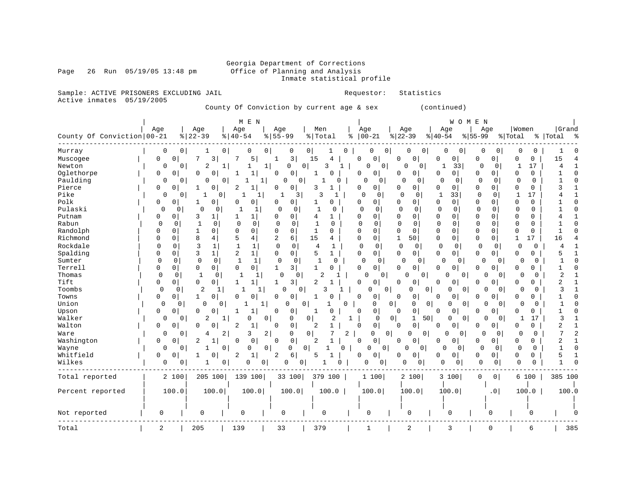### Georgia Department of Corrections<br>Office of Planning and Analysis Inmate statistical profile

Page 26 Run  $05/19/05$  13:48 pm

Sample: ACTIVE PRISONERS EXCLUDING JAIL **Requestor:** Statistics Active inmates 05/19/2005

County Of Conviction by current age & sex (continued)

|                            |                |                |                     | M E N                        |                               |                          |                            |                                        |                                       | WOMEN                      |                         |                  |
|----------------------------|----------------|----------------|---------------------|------------------------------|-------------------------------|--------------------------|----------------------------|----------------------------------------|---------------------------------------|----------------------------|-------------------------|------------------|
|                            | Age            |                | Age                 | Age                          | Age                           | Men                      | Age                        | Age                                    | Age                                   | Age                        | Women                   | Grand            |
| County Of Conviction 00-21 |                |                | $ 22-39$            | $8   40 - 54$                | $8155 - 99$                   | %   Total                | $ 00 - 21$<br>ႜ            | $ 22-39$                               | $ 40-54$                              | $8 55-99$                  | % Total                 | %   Total<br>್ಠಿ |
| Murray                     | 0              | $\overline{0}$ | 0<br>1              | 0                            | $\overline{0}$<br>0           | 0 <sup>1</sup><br>0<br>1 | 0                          | 0 <sub>1</sub><br>0<br>0               | 0<br>$\circ$                          | 0<br>0                     | 0<br>0                  |                  |
| Muscogee                   | $\mathbf{0}$   | $\mathbf 0$    | 3<br>7              | 5                            | 3<br>1                        | 15<br>4                  | 0<br>0                     | 0<br>0                                 | 0<br>$\mathbf 0$                      | $\mathbf 0$<br>0           | 0<br>$\mathbf 0$        | 15               |
| Newton                     | $\Omega$       | 0              | $\overline{2}$<br>1 |                              | 1<br>0                        | 0<br>3<br>1              | $\mathbf 0$<br>0           | $\Omega$<br>0                          | 33                                    | $\mathbf{0}$<br>0          | 17<br>1                 | 4                |
| Oglethorpe                 | 0              | 0              | 0<br>0              | 1                            | 0<br>0                        | -1                       | 0<br>0                     | 0<br>0                                 | 0<br>0                                | 0<br>0                     | 0<br>0                  | 1                |
| Paulding                   | 0              | 0              | 0<br>$\Omega$       |                              | 1 <br>0<br>0                  | 0                        | $\Omega$<br>0 <sup>1</sup> | $\mathbf 0$<br>0                       | $\mathbf 0$<br>0                      | $\mathbf 0$<br>0           | $\mathbf 0$<br>0        | $\mathbf{1}$     |
| Pierce                     | 0              | 0              | 0                   | 2<br>1                       | 0<br>0                        | 3                        | 0<br>0                     | 0<br>$\mathbf{0}$                      | 0<br>0                                | $\mathbf 0$<br>0           | 0<br>0                  | 3                |
| Pike                       | 0              | 0              | -1<br>0             | 1<br>1                       | 3                             | 3<br>$\mathbf{1}$        | $\Omega$<br>$\mathbf 0$    | $\Omega$<br>$\Omega$                   | $\mathbf 1$<br>33                     | $\mathbf 0$<br>0           | 17<br>1                 | 4                |
| Polk                       | 0              | $\Omega$       | 0<br>1              | $\Omega$<br>0                | 0<br>0                        | $\Omega$<br>1            | 0<br>0                     | 0<br>$\Omega$                          | 0<br>$\Omega$                         | $\mathbf 0$<br>$\Omega$    | $\Omega$<br>$\Omega$    |                  |
| Pulaski                    | $\Omega$       | 0              | $\Omega$<br>0       | 1                            | 0<br>0                        | $\mathbf{1}$<br>$\Omega$ | $\mathbf 0$<br>0           | $\Omega$<br>0                          | $\mathbf 0$<br>0                      | $\Omega$<br>$\mathbf 0$    | $\Omega$<br>$\Omega$    |                  |
| Putnam                     | 0              | 0              | 3<br>1              | 1                            | 0<br>0                        | 4                        | $\Omega$<br>0              | $\mathbf 0$<br>0                       | $\mathbf 0$<br>0                      | $\mathbf 0$<br>$\Omega$    | $\mathbf 0$<br>O        |                  |
| Rabun                      | $\mathbf 0$    | 0              | $\mathbf{1}$<br>0   | $\Omega$<br>0                | 0<br>0                        | $\mathbf{1}$<br>0        | $\Omega$<br>0              | $\mathbf 0$<br>0                       | $\mathbf 0$<br>0                      | $\Omega$<br>0              | $\Omega$<br>$\Omega$    |                  |
| Randolph                   | 0              | 0              | 0<br>1              | 0<br>$\mathbf 0$             | 0<br>0                        | $\mathbf{1}$<br>0        | 0<br>$\Omega$              | $\mathbf 0$<br>$\mathbf 0$             | $\mathsf 0$<br>0                      | 0<br>$\mathbf 0$           | 0<br>$\mathbf 0$        |                  |
| Richmond                   | $\Omega$       | 0              | 8<br>4              | 5<br>4                       | 2<br>6                        | 15<br>4                  | 0<br>0                     | 50 <br>1                               | $\mathbf 0$<br>0                      | $\mathbf 0$<br>$\mathbf 0$ | 17<br>$\mathbf{1}$      | 16               |
| Rockdale                   | 0              | 0              | 3<br>1              | $\mathbf{1}$<br>1            | $\mathbf 0$<br>0              | 4<br>1                   | $\mathbf 0$<br>0           | $\Omega$<br>0                          | 0<br>0                                | 0<br>0                     | 0<br>0                  | $\overline{4}$   |
| Spalding                   | $\Omega$       | $\Omega$       | 3<br>1              | 2<br>$\mathbf{1}$            | 0<br>0                        | 5<br>$\mathbf{1}$        | $\mathbf 0$<br>0           | $\Omega$<br>$\mathbf 0$                | 0<br>0                                | $\mathbf 0$<br>0           | $\Omega$<br>$\Omega$    | 5                |
| Sumter                     | 0              | $\mathbf 0$    | 0<br>0              | $\mathbf{1}$<br>$\mathbf{1}$ | 0<br>0                        | 0                        | 0<br>$\mathbf{0}$          | $\Omega$<br>0                          | $\Omega$<br>$\Omega$                  | 0<br>$\Omega$              | $\Omega$<br>$\Omega$    |                  |
| Terrell                    | 0              | 0              | 0<br>0              | $\mathbf 0$<br>$\mathbf 0$   | 3<br>1                        | $\mathbf{1}$<br>$\Omega$ | 0<br>0                     | 0<br>0                                 | 0<br>0                                | 0<br>0                     | 0<br>0                  | 1                |
| Thomas                     | $\mathbf 0$    | $\Omega$       | $\mathbf{1}$<br>0   | 1<br>1                       | $\Omega$<br>0                 | 2                        | $\Omega$<br>0              | $\Omega$<br>0                          | 0                                     | 0<br>0                     | $\Omega$<br>$\Omega$    | 2                |
| Tift                       | 0              | 0              | 0<br>0              | 1<br>1                       | 3<br>1                        | 2                        | 0<br>0                     | 0<br>0                                 | 0<br>0                                | 0<br>0                     | 0<br>0                  | 2                |
| Toombs                     | $\Omega$       | 0              | 2<br>$\mathbf{1}$   | $\mathbf{1}$<br>1            | $\Omega$<br>0                 | ੨                        | 0                          | $\overline{0}$<br>0                    | 0<br>0 <sup>1</sup><br>0              | $\Omega$<br>0              | $\Omega$<br>0           | 3                |
| Towns                      | 0              | 0              | 0<br>1              | 0<br>0                       | 0<br>0                        | $\Omega$<br>1            | 0<br>0                     | 0<br>0                                 | 0<br>0                                | 0<br>$\Omega$              | O<br>0                  |                  |
| Union                      | 0              | 0              | $\Omega$<br>0       | -1                           | 1<br>0                        | 0<br>$\Omega$            | 0                          | 0<br>0                                 | $\overline{0}$<br>$\overline{0}$<br>0 | 0<br>0                     | $\Omega$<br>$\Omega$    | -1               |
| Upson                      | $\mathbf 0$    | 0              | 0<br>0              | 1                            | 0<br>0                        | $\Omega$<br>-1           | $\mathbf 0$<br>0           | $\mathbf 0$<br>$\mathbf 0$             | $\mathbf 0$<br>0                      | 0<br>$\Omega$              | 0<br>0                  | 1                |
| Walker                     | $\mathbf 0$    | 0              | 2<br>1              | 0                            | 0<br>$\mathbf 0$              | 0<br>$\overline{2}$      | 1<br>0                     | 0 <sup>1</sup><br>1<br>50 <sub>1</sub> | 0<br>$\overline{0}$                   | $\Omega$<br>0              | 17<br>1                 | 3                |
| Walton                     | $\mathbf 0$    | 0              | 0<br>O              | 2<br>1                       | 0<br>0                        | $\overline{2}$           | 0<br>0                     | $\mathsf 0$<br>0                       | $\mathbf 0$<br>0                      | 0<br>$\Omega$              | $\Omega$<br>O           | $\overline{a}$   |
| Ware                       | $\Omega$       | 0              | 2<br>4              | 3                            | $\overline{2}$<br>$\mathbf 0$ | 0<br>7<br>2              | $\Omega$                   | $\overline{0}$<br>$\overline{0}$<br>0  | <sup>0</sup><br>$\Omega$              | $\Omega$<br>$\Omega$       | $\Omega$                | 7                |
| Washington                 | 0              | 0              | 2<br>1              | 0<br>0                       | 0<br>0                        | 2                        | 0<br>0                     | $\mathbf 0$<br>0                       | 0<br>0                                | 0<br>0                     | 0<br>0                  | 2                |
| Wayne                      | 0              | 0              | 0<br>$\mathbf{1}$   | $\mathbf 0$                  | 0<br>0                        | $\mathbf 0$<br>0<br>1    | 0<br>$\Omega$              | $\mathbf 0$<br>0                       | 0<br>0                                | $\mathbf 0$<br>0           | $\Omega$<br>$\mathbf 0$ | $\mathbf{1}$     |
| Whitfield                  | 0              | 0              | 0                   | 2<br>1                       | 6<br>2                        | 5                        | 0<br>O                     | 0<br>0                                 | 0<br>0                                | 0<br>0                     | 0<br>0                  | 5                |
| Wilkes                     | 0              | 0              | 0<br>-1             | 0                            | 0<br>0<br>$\Omega$            | U                        | O<br>0                     | 0<br>0                                 | $\Omega$<br>0                         | $\mathbf 0$<br>0           | $\mathbf 0$<br>0        | $\mathbf{1}$     |
| Total reported             |                | 2 100          | 205 100             | 139 100                      | 33 100                        | 379 100                  | 1 100                      | 2 100                                  | 3 100                                 | 0<br> 0                    | 6 100                   | 385 100          |
| Percent reported           |                | 100.0          | 100.0               | 100.0                        | 100.0                         | 100.0                    | 100.0                      | 100.0                                  | 100.0                                 | . 0                        | 100.0                   | 100.0            |
|                            |                |                |                     |                              |                               |                          |                            |                                        |                                       |                            |                         |                  |
|                            |                |                |                     |                              |                               |                          |                            |                                        |                                       |                            |                         |                  |
| Not reported               | 0              |                | $\Omega$            | $\mathbf 0$                  | 0                             | 0                        | 0                          | 0                                      | 0                                     | 0                          | $\Omega$                |                  |
|                            |                |                |                     |                              |                               |                          |                            |                                        |                                       |                            |                         |                  |
| Total                      | $\overline{a}$ |                | 205                 | 139                          | 33                            | 379                      | $\mathbf{1}$               | $\overline{2}$                         | 3                                     | $\mathbf 0$                | 6                       | 385              |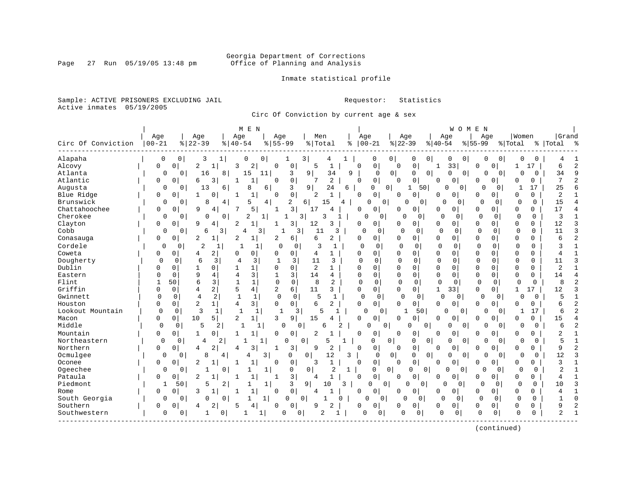Inmate statistical profile

Sample: ACTIVE PRISONERS EXCLUDING JAIL **Requestor:** Statistics Active inmates 05/19/2005

Circ Of Conviction by current age & sex

|                    |             |                               | M E N                                 |                                            |                                |              |                            |                                    |                            | WOMEN                            |                                        |                |                |
|--------------------|-------------|-------------------------------|---------------------------------------|--------------------------------------------|--------------------------------|--------------|----------------------------|------------------------------------|----------------------------|----------------------------------|----------------------------------------|----------------|----------------|
|                    | Age         | Age                           | Age                                   | Age                                        | Men                            |              | Age                        | Age                                | Age                        | Age                              | Women                                  | Grand          |                |
| Circ Of Conviction | $ 00 - 21$  | $8   22 - 39$                 | $8140 - 54$                           | $8155 - 99$                                | % Total                        | ႜ            | $00 - 21$                  | $ 22-39$                           | $8 40-54$                  | $ 55-99$                         | % Total                                | %   Total      | ႜ              |
| Alapaha            | 0           | 0<br>3                        | 1<br>0                                | 0                                          | 3<br>4                         |              | 0                          | 0 <sup>1</sup><br>0                | 0<br>0                     | 0<br>0                           | 0<br>$\Omega$<br>0                     | 4              |                |
| Alcovy             | 0           | 0<br>$\overline{c}$           | 2<br>3<br>$\mathbf{1}$                | $\mathbf 0$<br>0                           | $\mathbf{1}$<br>5              | $\Omega$     | 0                          | $\mathsf{O}\xspace$<br>$\mathbf 0$ | 33<br>$\mathbf{1}$         | 0<br>0                           | 17<br>1                                | 6              | 2              |
| Atlanta            | $\Omega$    | $\Omega$<br>16                | 15<br>8                               | 3<br>11                                    | 9 <sup>1</sup><br>34           | 9            | $\Omega$                   | $\overline{0}$<br>$\Omega$         | $\Omega$<br>$\overline{0}$ | $\overline{0}$<br>$\Omega$       | $\Omega$<br>$\Omega$<br>$\Omega$       | 34             | 9              |
| Atlantic           | 0           | 0<br>6                        | 3<br>1<br>-1                          | 0<br>$\Omega$                              | $\overline{a}$<br>7            | $\Omega$     | $\mathbf{0}$               | 0<br>$\Omega$                      | $\mathbf 0$<br>$\Omega$    | $\mathbf 0$<br>0                 | 0<br>0                                 | 7              | $\overline{2}$ |
| Augusta            | 0           | 13<br>0                       | 6<br>8                                | 6<br>3                                     | 9 <sup>1</sup><br>24           | 6            | 0                          | 0 <br>50<br>1                      | 0                          | $\overline{0}$<br>∩              | 17<br>0                                | 25             | 6              |
| Blue Ridge         | 0           | 0<br>1                        | 0<br>1<br>-1                          | $\mathbf 0$<br>$\Omega$                    | 2<br>$\mathbf{1}$              |              | $\Omega$<br>$\Omega$       | 0<br>$\Omega$                      | $\Omega$<br>0              | U<br>$\Omega$                    | $\Omega$<br>O                          | 2              |                |
| Brunswick          | 0           | 8<br>$\mathbf{0}$             | 4<br>5                                | $\overline{4}$<br>2                        | $6 \mid$<br>15                 | 4            | U<br>0 <sup>1</sup>        | 0<br>O                             | <sup>0</sup>               | $\Omega$<br>0<br>$\Omega$        | 0<br>0                                 | 15             | 4              |
| Chattahoochee      | 0           | q<br>0                        | 5<br>4                                | 3 <br>1                                    | 17<br>4                        | ∩            | 0                          | 0<br>O                             | 0<br>$\mathbf 0$           | U<br>0 <sub>1</sub>              | $\mathbf 0$<br>$\Omega$                | 17             | $\overline{4}$ |
| Cherokee           | 0           | 0<br>0                        | 2<br>0                                | $\mathbf{1}$<br>$\mathbf{1}$               | 3<br>3                         | -1           | $\cap$<br>0                | 0<br>$\circ$                       | $\Omega$                   | 0<br>$\Omega$<br>0               | 0<br>0                                 | 3              | 1              |
| Clayton            | $\Omega$    | 9<br>$\Omega$                 | 2<br>4<br>1                           | 3<br>1                                     | 12<br>3                        | 0            | $\Omega$                   | 0<br>n                             | 0<br>0                     | O<br>0                           | $\mathbf 0$<br><sup>0</sup>            | 12             | 3              |
| Cobb               | 0           | $\Omega$<br>6                 | 3<br>4                                | 3                                          | 3<br>11                        | 3            | $\Omega$<br>$\Omega$       | U<br>0                             | $\mathbf 0$<br>0           | $\Omega$<br>0                    | $\Omega$<br>$\Omega$                   | 11             | 3              |
| Conasauga          | 0           | 0<br>2                        | 1<br>2<br>1                           | 2<br>6                                     | 6<br>2                         |              | 0<br>0                     | $\Omega$<br>0                      | 0<br>0                     | 0<br>$\Omega$                    | $\mathbf 0$<br>$\Omega$                | 6              | $\overline{c}$ |
| Cordele            | $\Omega$    | $\overline{2}$<br>0           | $\mathbf{1}$                          | $\mathbf 0$<br>1<br>$\Omega$               | 3<br>$\mathbf{1}$              |              | $\Omega$<br>0              | $\Omega$<br>$\Omega$               | $\Omega$<br>$\Omega$       | $\Omega$<br>$\Omega$             | $\mathbf 0$<br>$\Omega$                | 3              | 1              |
| Coweta             | 0           | $\Omega$<br>4                 | 2<br>$\mathbf 0$<br>$\Omega$          | $\Omega$<br>$\mathbf 0$                    | 4<br>$\mathbf{1}$              | $\Omega$     | $\Omega$                   | $\Omega$<br>0                      | $\Omega$<br>$\mathbf 0$    | $\Omega$<br>$\Omega$             | $\mathbf 0$<br>$\Omega$                | 4              | $\mathbf{1}$   |
| Dougherty          | $\Omega$    | 6<br>$\Omega$                 | 3<br>4                                | 3<br>$\mathbf{1}$<br>3                     | 11<br>3                        |              | $\Omega$<br>$\Omega$       | $\Omega$<br>$\Omega$               | $\Omega$<br>$\mathbf 0$    | $\Omega$<br>$\Omega$             | $\Omega$<br>$\Omega$                   | 11             | 3              |
| Dublin             | O           | $\Omega$                      | $\mathbf 1$<br>0                      | $\Omega$<br>$\Omega$                       | $\overline{2}$<br>$\mathbf{1}$ | $\Omega$     | 0                          | $\Omega$<br>$\Omega$               | $\Omega$<br>$\mathbf 0$    | $\Omega$<br>$\Omega$             | $\Omega$<br>$\Omega$                   | $\overline{a}$ | 1              |
| Eastern            | U           | 9<br>$\Omega$                 | 3<br>4<br>$\overline{4}$              | 3                                          | 14<br>4                        |              | $\Omega$<br>$\Omega$       | $\Omega$<br>$\Omega$               | $\Omega$<br>$\Omega$       | $\Omega$<br>O                    | $\Omega$<br>$\Omega$                   | 14             | $\overline{4}$ |
| Flint              |             | 6<br>50                       | 3<br>$\mathbf{1}$<br>$\mathbf{1}$     | $\mathbf 0$<br>$\mathbf{0}$                | 8<br>2                         |              | $\Omega$<br>$\Omega$       | $\mathbf 0$<br>$\Omega$            | $\Omega$<br>$\Omega$       | $\Omega$<br>$\mathbf 0$          | $\Omega$<br>$\Omega$                   | 8              | $\overline{a}$ |
| Griffin            | O           | $\mathbf 0$<br>$\overline{4}$ | $\overline{4}$<br>$\overline{a}$<br>5 | 6<br>$\overline{2}$                        | 11<br>3                        |              | $\overline{0}$<br>0        | $\Omega$<br>$\overline{0}$         | $\mathbf{1}$<br>33         | 0<br>0 <sup>1</sup>              | $\mathbf{1}$<br>17                     | 12             | 3              |
| Gwinnett           | $\Omega$    | 4<br>$\mathbf 0$              | 2<br>$\mathbf{1}$                     | $\mathbf 0$<br>$\mathbf{1}$<br>$\mathbf 0$ | 5<br>1                         |              | $\Omega$<br>$\mathbf{0}$   | <sup>0</sup><br>$\Omega$           | $\mathbf 0$                | $\mathbf 0$<br>$\Omega$          | 0<br>$\Omega$<br>0                     | 5              | $\mathbf{1}$   |
| Houston            | 0           | $\overline{2}$<br>0           | 3 <br>$\mathbf{1}$<br>4               | $\Omega$<br>0                              | 6<br>$\overline{2}$            |              | $\Omega$<br>$\Omega$       | $\Omega$<br>0                      | $\mathbf 0$<br>$\Omega$    | U<br>$\mathbf{0}$                | O<br>0                                 | б              | $\overline{c}$ |
| Lookout Mountain   | $\Omega$    | 3<br>$\Omega$                 | $\mathbf{1}$<br>$\overline{1}$        | $\mathbf{1}$<br>-1                         | 3<br>5                         | 1            | O<br>$\Omega$              | 50<br>$\mathbf{1}$                 | 0                          | $\Omega$<br>0                    | 17<br>1<br>$\Omega$                    | б              | $\overline{a}$ |
| Macon              | U           | 10<br>$\mathbf 0$             | $\overline{2}$<br>5<br>$\mathbf{1}$   | 9<br>3                                     | 15                             | $\Omega$     | $\Omega$                   | 0<br>$\Omega$                      | $\Omega$<br>0              | U<br>0                           | $\Omega$<br>O                          | 15             | 4              |
| Middle             | $\Omega$    | 5<br>0                        | 2                                     | 0<br>1                                     | $\Omega$<br>6                  | 2            | 0<br>$\mathbf{0}$          | 0<br>O                             | O                          | $\overline{0}$<br>0              | $\Omega$<br>$\overline{0}$<br>$\Omega$ | 6              | $\overline{a}$ |
| Mountain           | 0           | 0 <sup>1</sup><br>1           | 0<br>$\mathbf{1}$<br>1                | $\mathbf 0$<br>$\Omega$                    | 2                              | $\Omega$     | 0                          | 0<br>0                             | $\Omega$<br>0              | 0<br>0                           | 0<br>0                                 | 2              |                |
| Northeastern       | $\Omega$    | 0<br>4                        | 2                                     | $\mathbf{1}$<br>0                          | $\mathbf 0$<br>5               |              | 0                          | $\mathbf 0$<br>$\mathbf 0$         | 0<br>0                     | $\mathbf 0$<br>0                 | $\Omega$<br>0<br>$\Omega$              | 5              | $\mathbf{1}$   |
| Northern           | 0           | $\mathbf 0$<br>4              | 2<br>3<br>4                           | 3<br>$\mathbf{1}$                          | 9<br>2                         | $\Omega$     | 0                          | 0<br>0                             | $\mathbf 0$<br>$\Omega$    | $\mathbf 0$<br>U                 | 0<br>0                                 | 9              | 2              |
| Ocmulgee           | $\Omega$    | 8<br>0                        | 4                                     | 3<br>$\Omega$                              | 0<br>12                        | 3            | $\Omega$                   | $\mathbf 0$<br>$\Omega$            | $\overline{0}$<br>$\Omega$ | $\Omega$<br>$\Omega$             | $\Omega$<br>$\Omega$<br>$\Omega$       | 12             | 3              |
| Oconee             | 0           | $\overline{c}$<br>$\Omega$    | $\mathbf{1}$<br>$\mathbf{1}$          | $\Omega$<br>$\mathbf 0$                    | 3<br>$\mathbf{1}$              | $\Omega$     | $\Omega$                   | 0<br>$\Omega$                      | $\Omega$<br>$\Omega$       | $\mathbf 0$<br>0                 | 0<br>0                                 | 3              | $\mathbf{1}$   |
| Ogeechee           | 0           | $\Omega$<br>1                 | $\Omega$<br>1                         | 0<br>1                                     | $\overline{0}$<br>2            | 1            | 0                          | $\Omega$<br>$\mathbf 0$<br>0       | $\Omega$                   | $\Omega$<br>$\Omega$             | $\Omega$<br>$\Omega$<br>$\Omega$       | 2              |                |
| Pataula            | 0           | $\overline{c}$<br>0           | $\mathbf{1}$<br>1                     | 3<br>$\mathbf{1}$                          | 4                              |              | $\Omega$<br>$\Omega$       | 0<br>$\Omega$                      | $\mathbf 0$<br>0           | 0 <sub>1</sub><br>0              | $\Omega$<br>$\Omega$                   | 4              |                |
| Piedmont           | 1           | 5<br>50                       | $\overline{a}$<br>1                   | 3<br>$\mathbf{1}$                          | 9<br>10                        | 3            | $\Omega$<br>0 <sup>1</sup> | $\Omega$<br>0                      | $\cap$                     | $\mathbf 0$<br>0                 | $\Omega$<br>$\Omega$<br>0              | 10             | 3              |
| Rome               | 0           | 3<br>0                        | $\mathbf{1}$<br>$\mathbf 1$           | $\mathbf 0$<br>$\Omega$                    | 4                              |              | $\Omega$<br>$\Omega$       | 0<br>0                             | $\Omega$<br>0              | 0<br>$\overline{0}$              | $\Omega$<br>$\Omega$                   | 4              |                |
| South Georgia      | $\Omega$    | $\Omega$<br>U                 | $\Omega$                              | 1 <br>$\Omega$                             | 0<br>1                         | 0            | $\Omega$<br>O              | $\Omega$<br>$\Omega$               | $\Omega$                   | $\Omega$<br>$\Omega$<br>$\Omega$ | $\Omega$<br>$\Omega$                   | $\mathbf{1}$   | $\Omega$       |
| Southern           | 0           | <sup>0</sup><br>4             | 2<br>5<br>4                           | 0<br>O                                     | $\overline{2}$<br>9            | <sup>0</sup> | $\Omega$                   | 0<br>0                             | $\mathbf 0$<br>0           | 0<br>$\mathbf{0}$                | $\mathbf 0$<br>$\Omega$                | 9              | 2              |
| Southwestern       | $\mathbf 0$ | $\mathbf{0}$<br>1             | 0                                     | O<br>1                                     | 2<br>0                         | 1            | O<br>0                     | $\Omega$<br>0                      | $\Omega$                   | $\mathbf 0$<br>$\mathbf 0$<br>0  | $\Omega$<br>0                          | $\overline{a}$ | $\mathbf{1}$   |
|                    |             |                               |                                       |                                            |                                |              |                            |                                    |                            |                                  |                                        |                |                |

(continued)

Page 27 Run 05/19/05 13:48 pm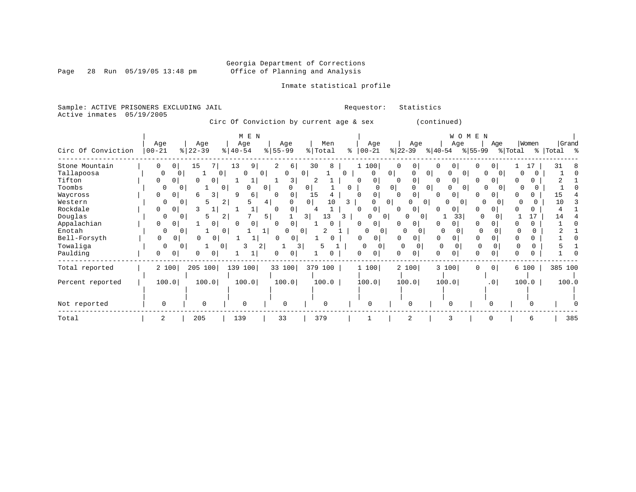Page 28 Run 05/19/05 13:48 pm

### Inmate statistical profile

Sample: ACTIVE PRISONERS EXCLUDING JAIL Requestor: Statistics Active inmates 05/19/2005

Circ Of Conviction by current age & sex (continued)

|                    |                   |                            | M E N                      |           |                      |                            |                               | W O M E N                       |                      |         |             |
|--------------------|-------------------|----------------------------|----------------------------|-----------|----------------------|----------------------------|-------------------------------|---------------------------------|----------------------|---------|-------------|
|                    | Age               | Age                        | Age                        | Age       | Men                  | Age                        | Age                           | Age                             | Age                  | Women   | Grand       |
| Circ Of Conviction | $ 00 - 21$        | $ 22-39 $                  | $\frac{1}{6}$   40-54      | $8 55-99$ | % Total              | $00 - 21$<br>$\frac{1}{6}$ | $ 22-39 $                     | $ 40-54 $                       | $ 55-99 $            | % Total | %   Total % |
| Stone Mountain     | 0<br>$\mathbf{0}$ | 15                         | 9<br>13                    | 2<br>6    | 30<br>8              | 1 100                      | $\circ$                       | $\Omega$                        |                      |         | 31          |
| Tallapoosa         | $\Omega$          | 0 <sup>1</sup><br>$\Omega$ | $\Omega$<br>$\overline{0}$ | $\Omega$  | $\Omega$             | $\Omega$<br>0              | 0 <sup>1</sup><br>O           | $\overline{0}$<br>O<br>$\Omega$ | $\Omega$<br>$\Omega$ |         |             |
| Tifton             | 0<br>$\Omega$     | $\Omega$<br>0              | Τ.                         | 3         | 2                    | 0<br>∩                     | $\Omega$                      | 0<br>0                          | $\Omega$             |         |             |
| Toombs             |                   |                            |                            | 0         | 0                    | 0                          | 0 <sup>1</sup>                | 0 <sup>1</sup><br>$\Omega$      | 01                   |         |             |
| Waycross           | 0<br>0            |                            | q<br>6                     | 0         | 15                   | 0                          | 0                             | 0<br>0                          |                      |         |             |
| Western            | 0                 | 0                          | $^{2}$                     | 4         | $\overline{0}$<br>10 | 3                          | $\Omega$                      | $\Omega$                        |                      |         | 10          |
| Rockdale           | 0<br>$\Omega$     | κ                          |                            |           |                      | 0<br>U                     | 0                             |                                 |                      |         |             |
| Douglas            | 0                 | Һ                          | 2                          | 5         | 13<br>31             | <sup>0</sup><br>З.         | <sup>n</sup><br>0<br>$\Omega$ | 33                              |                      | 17      | 14          |
| Appalachian        | 0<br>$\Omega$     | $\Omega$                   | 0                          |           |                      | 0                          | $\Omega$                      | 0                               | 0                    |         |             |
| Enotah             | 0                 |                            | 0                          |           | 0                    |                            | 0<br>0                        | C                               |                      |         |             |
| Bell-Forsyth       | $\Omega$          |                            |                            | 0<br>0    |                      | 0<br>0                     | 0                             | $\Omega$                        |                      |         |             |
| Towaliga           | 0                 | $\Omega$                   | 2<br>0                     | 3         |                      | 0<br>$\Omega$              | 0                             | $\Omega$                        | $\Omega$             |         |             |
| Paulding           | 0                 |                            |                            |           |                      | 0                          |                               | U                               |                      |         |             |
| Total reported     | 2 100             | 205 100                    | 139 100                    | 33 100    | 379 100              | 1 100                      | 2 100                         | 3 100                           | 0 <sup>1</sup><br>0  | 6 100   | 385 100     |
| Percent reported   | 100.0             | 100.0                      | 100.0                      | 100.0     | 100.0                | 100.0                      | 100.0                         | 100.0                           | .0 <sub>1</sub>      | 100.0   | 100.0       |
|                    |                   |                            |                            |           |                      |                            |                               |                                 |                      |         |             |
| Not reported       | $\Omega$          | ∩                          | $\Omega$                   | $\Omega$  | $\Omega$             | $\cap$                     | $\cap$                        | $\Omega$                        |                      |         |             |
| Total              |                   | 205                        | 139                        | 33        | 379                  |                            | $\overline{2}$                |                                 |                      |         | 385         |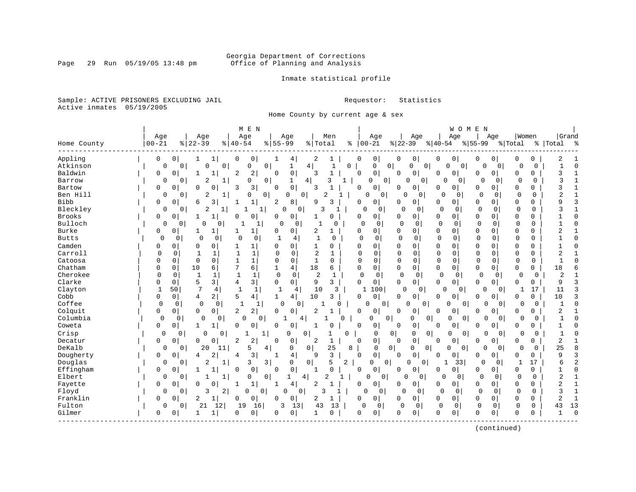### Georgia Department of Corrections<br>Page 29 Run 05/19/05 13:48 pm office of Planning and Analysis Office of Planning and Analysis

Inmate statistical profile

Sample: ACTIVE PRISONERS EXCLUDING JAIL **Requestor:** Statistics Active inmates 05/19/2005

Home County by current age & sex

| Grand<br>Age<br>Men<br>Age<br>Women<br>Age<br>Age<br>Age<br>Age<br>Age<br>Age<br>$ 22-39 $<br>$00 - 21$<br>$ 22-39$<br>% Total<br>$8   00 - 21$<br>$8 55-99$<br>Home County<br>$8   40 - 54$<br>$8 55-99$<br>$ 40-54$<br>% Total<br>%   Total<br>Appling<br>2<br>0<br>0<br>1<br>0<br>0<br>0<br>0<br>0<br>0<br>0<br>0<br>0<br>1<br>4<br>0<br>0<br>2<br>0<br>Atkinson<br>$\mathbf 0$<br>0<br>0<br>4<br>0<br>$\mathbf 0$<br>$\mathbf 0$<br>0<br>0<br>0<br>0<br>1<br>$\mathbf{1}$<br>0<br>U<br>0<br>$\Omega$<br>$\Omega$<br>$\circ$<br>$\cap$<br>Baldwin<br>2<br>$\mathsf 0$<br>3<br>$\mathbf{1}$<br>$\Omega$<br>0<br>0<br>0<br>3<br>0<br>0<br>2<br>$\Omega$<br>$\Omega$<br>0<br>0<br>$\Omega$<br>0<br>$\Omega$<br>$\overline{2}$<br>3<br>3<br>0<br>0<br>1<br>$\mathbf{1}$<br>$\mathbf{0}$<br>0<br>$\Omega$<br>$\Omega$<br>Barrow<br>0<br>1<br>0<br>$\Omega$<br>$\Omega$<br>$\Omega$<br>$\Omega$<br>41<br>0<br>0<br>3<br>$\mathbf 0$<br>Bartow<br>3<br>0<br>$\mathbf 0$<br>3<br>0<br>0<br>$\Omega$<br>3<br>$\Omega$<br>0<br>0<br>0<br>0<br>0<br>0<br>0<br>O<br>Ben Hill<br>2<br>$\mathbf{1}$<br>$\mathbf 0$<br>$\overline{0}$<br>0<br>$\Omega$<br>$\mathbf 0$<br>$\Omega$<br>2<br>O<br>$\Omega$<br>0<br>0<br>2<br>O<br>$\Omega$<br>$\Omega$<br>$\Omega$<br>$\Omega$<br>Bibb<br>3<br>$\mathbf{1}$<br>8<br>9<br>ζ<br>0<br>9<br>0<br>0<br>6<br>2<br>0<br>0<br>0<br>0<br>$\Omega$<br>0<br>$\Omega$<br>0<br>O<br>Bleckley<br>$\Omega$<br>2<br>$\Omega$<br>$\Omega$<br>$\mathbf 0$<br>$\mathbf 0$<br>$\Omega$<br>3<br>0<br>0<br>1 <br>1<br>0<br> 0 <br>3<br>0<br>0<br>0<br>0<br>1<br>Brooks<br>0<br>0<br>0<br>$\Omega$<br>0<br>$\Omega$<br>0<br>0<br>0<br>1<br>$\Omega$<br>0<br>1<br>$\Omega$<br>$\Omega$<br>0<br>0<br>0<br>-1<br>0<br>Bulloch<br>0<br>$\Omega$<br>$\Omega$<br>$\mathbf 0$<br>$\Omega$<br>0<br>$\Omega$<br>$\mathbf 0$<br>$\mathbf 0$<br>$\Omega$<br>0<br>$\Omega$<br>0<br>$\Omega$<br>0<br>0<br>0<br>1<br>Burke<br>2<br>0<br>$\Omega$<br>$\Omega$<br>$\mathbf 0$<br>0<br>2<br>0<br>1<br>$\Omega$<br>0<br>$\Omega$<br>0<br>0<br>0<br>$\Omega$<br>0<br>1<br>$\mathbf 0$<br><b>Butts</b><br>$\Omega$<br>$\Omega$<br>$\Omega$<br>0<br>$\mathbf{1}$<br>$\Omega$<br>$\Omega$<br>$\Omega$<br>$\Omega$<br>$\Omega$<br>$\Omega$<br>0<br>0<br>$\Omega$<br>$\mathbf{1}$<br>$\Omega$<br>$\Omega$<br>0<br>$\mathbf{1}$<br>4<br>Camden<br>$\mathbf 0$<br>0<br>0<br>0<br>$\Omega$<br>0<br>1<br>$\Omega$<br>$\Omega$<br>0<br>0<br>$\Omega$<br>$\Omega$<br>$\Omega$<br>0<br>0<br>0<br>1<br>0<br>-1<br>Carroll<br>$\overline{2}$<br>0<br>$\mathbf 0$<br>$\Omega$<br>$\mathbf{1}$<br>1<br>$\mathbf 1$<br>0<br>0<br>$\Omega$<br>$\Omega$<br>0<br>$\mathbf 0$<br>$\Omega$<br>$\mathbf 0$<br>0<br>2<br>0<br>1<br>1<br>0<br>0<br>$\mathbf 1$<br>$1\,$<br>$\Omega$<br>$\mathbf{1}$<br>$\Omega$<br>$\mathbf 0$<br>$\Omega$<br>0<br>$\Omega$<br>$\mathbf 0$<br>$\mathbf 0$<br>$\mathbf 0$<br>0<br>$\mathbf 0$<br>$\mathbf{1}$<br>Catoosa<br>U<br>0<br>$\Omega$<br>0<br>$\Omega$<br>Chatham<br>б<br>18<br>10<br>7<br>4<br>$\mathbf 0$<br>0<br>0<br>0<br>0<br>0<br>0<br>18<br>0<br>0<br>6<br>0<br>0<br>0<br>6<br>Cherokee<br>$\overline{1}$<br>$\mathbf 0$<br>$\Omega$<br>2<br>$\Omega$<br>$\mathbf{1}$<br>$\mathbf{1}$<br>2<br>$\Omega$<br>0<br>$\mathbf 0$<br>0<br>0<br>1<br>0<br>1<br>0<br>$\Omega$<br>$\Omega$<br>$\mathbf 0$<br>$\Omega$<br>Clarke<br>5<br>3<br>3 <br>$\mathbf 0$<br>$\mathbf 0$<br>9<br>3<br>$\mathbf 0$<br>0<br>0<br>0<br>$\Omega$<br>9<br>0<br>0<br>0<br>0<br>0<br>0<br>0<br>4<br>$\overline{7}$<br>50<br>10<br>3<br>$\mathbf{1}$<br>$\mathbf{1}$<br>100<br>0<br>17<br>Clayton<br>$\mathbf 1$<br>4<br>$\mathbf 1$<br>4<br>0<br>U<br>0 <sup>1</sup><br>0<br>0 <sup>1</sup><br>1<br>11 |              |
|-----------------------------------------------------------------------------------------------------------------------------------------------------------------------------------------------------------------------------------------------------------------------------------------------------------------------------------------------------------------------------------------------------------------------------------------------------------------------------------------------------------------------------------------------------------------------------------------------------------------------------------------------------------------------------------------------------------------------------------------------------------------------------------------------------------------------------------------------------------------------------------------------------------------------------------------------------------------------------------------------------------------------------------------------------------------------------------------------------------------------------------------------------------------------------------------------------------------------------------------------------------------------------------------------------------------------------------------------------------------------------------------------------------------------------------------------------------------------------------------------------------------------------------------------------------------------------------------------------------------------------------------------------------------------------------------------------------------------------------------------------------------------------------------------------------------------------------------------------------------------------------------------------------------------------------------------------------------------------------------------------------------------------------------------------------------------------------------------------------------------------------------------------------------------------------------------------------------------------------------------------------------------------------------------------------------------------------------------------------------------------------------------------------------------------------------------------------------------------------------------------------------------------------------------------------------------------------------------------------------------------------------------------------------------------------------------------------------------------------------------------------------------------------------------------------------------------------------------------------------------------------------------------------------------------------------------------------------------------------------------------------------------------------------------------------------------------------------------------------------------------------------------------------------------------------------------------------------------------------------------------------------------------------------------------------------------------------------------------------------------------------------------------------------------------------------------------------------------------------------------------------------------------------------------------------------------------------------------------------------------------------------------------------------------------------------|--------------|
|                                                                                                                                                                                                                                                                                                                                                                                                                                                                                                                                                                                                                                                                                                                                                                                                                                                                                                                                                                                                                                                                                                                                                                                                                                                                                                                                                                                                                                                                                                                                                                                                                                                                                                                                                                                                                                                                                                                                                                                                                                                                                                                                                                                                                                                                                                                                                                                                                                                                                                                                                                                                                                                                                                                                                                                                                                                                                                                                                                                                                                                                                                                                                                                                                                                                                                                                                                                                                                                                                                                                                                                                                                                                                         |              |
|                                                                                                                                                                                                                                                                                                                                                                                                                                                                                                                                                                                                                                                                                                                                                                                                                                                                                                                                                                                                                                                                                                                                                                                                                                                                                                                                                                                                                                                                                                                                                                                                                                                                                                                                                                                                                                                                                                                                                                                                                                                                                                                                                                                                                                                                                                                                                                                                                                                                                                                                                                                                                                                                                                                                                                                                                                                                                                                                                                                                                                                                                                                                                                                                                                                                                                                                                                                                                                                                                                                                                                                                                                                                                         | း -          |
|                                                                                                                                                                                                                                                                                                                                                                                                                                                                                                                                                                                                                                                                                                                                                                                                                                                                                                                                                                                                                                                                                                                                                                                                                                                                                                                                                                                                                                                                                                                                                                                                                                                                                                                                                                                                                                                                                                                                                                                                                                                                                                                                                                                                                                                                                                                                                                                                                                                                                                                                                                                                                                                                                                                                                                                                                                                                                                                                                                                                                                                                                                                                                                                                                                                                                                                                                                                                                                                                                                                                                                                                                                                                                         |              |
|                                                                                                                                                                                                                                                                                                                                                                                                                                                                                                                                                                                                                                                                                                                                                                                                                                                                                                                                                                                                                                                                                                                                                                                                                                                                                                                                                                                                                                                                                                                                                                                                                                                                                                                                                                                                                                                                                                                                                                                                                                                                                                                                                                                                                                                                                                                                                                                                                                                                                                                                                                                                                                                                                                                                                                                                                                                                                                                                                                                                                                                                                                                                                                                                                                                                                                                                                                                                                                                                                                                                                                                                                                                                                         | $\Omega$     |
|                                                                                                                                                                                                                                                                                                                                                                                                                                                                                                                                                                                                                                                                                                                                                                                                                                                                                                                                                                                                                                                                                                                                                                                                                                                                                                                                                                                                                                                                                                                                                                                                                                                                                                                                                                                                                                                                                                                                                                                                                                                                                                                                                                                                                                                                                                                                                                                                                                                                                                                                                                                                                                                                                                                                                                                                                                                                                                                                                                                                                                                                                                                                                                                                                                                                                                                                                                                                                                                                                                                                                                                                                                                                                         | $\mathbf{1}$ |
|                                                                                                                                                                                                                                                                                                                                                                                                                                                                                                                                                                                                                                                                                                                                                                                                                                                                                                                                                                                                                                                                                                                                                                                                                                                                                                                                                                                                                                                                                                                                                                                                                                                                                                                                                                                                                                                                                                                                                                                                                                                                                                                                                                                                                                                                                                                                                                                                                                                                                                                                                                                                                                                                                                                                                                                                                                                                                                                                                                                                                                                                                                                                                                                                                                                                                                                                                                                                                                                                                                                                                                                                                                                                                         | $\mathbf{1}$ |
|                                                                                                                                                                                                                                                                                                                                                                                                                                                                                                                                                                                                                                                                                                                                                                                                                                                                                                                                                                                                                                                                                                                                                                                                                                                                                                                                                                                                                                                                                                                                                                                                                                                                                                                                                                                                                                                                                                                                                                                                                                                                                                                                                                                                                                                                                                                                                                                                                                                                                                                                                                                                                                                                                                                                                                                                                                                                                                                                                                                                                                                                                                                                                                                                                                                                                                                                                                                                                                                                                                                                                                                                                                                                                         |              |
|                                                                                                                                                                                                                                                                                                                                                                                                                                                                                                                                                                                                                                                                                                                                                                                                                                                                                                                                                                                                                                                                                                                                                                                                                                                                                                                                                                                                                                                                                                                                                                                                                                                                                                                                                                                                                                                                                                                                                                                                                                                                                                                                                                                                                                                                                                                                                                                                                                                                                                                                                                                                                                                                                                                                                                                                                                                                                                                                                                                                                                                                                                                                                                                                                                                                                                                                                                                                                                                                                                                                                                                                                                                                                         |              |
|                                                                                                                                                                                                                                                                                                                                                                                                                                                                                                                                                                                                                                                                                                                                                                                                                                                                                                                                                                                                                                                                                                                                                                                                                                                                                                                                                                                                                                                                                                                                                                                                                                                                                                                                                                                                                                                                                                                                                                                                                                                                                                                                                                                                                                                                                                                                                                                                                                                                                                                                                                                                                                                                                                                                                                                                                                                                                                                                                                                                                                                                                                                                                                                                                                                                                                                                                                                                                                                                                                                                                                                                                                                                                         | 3            |
|                                                                                                                                                                                                                                                                                                                                                                                                                                                                                                                                                                                                                                                                                                                                                                                                                                                                                                                                                                                                                                                                                                                                                                                                                                                                                                                                                                                                                                                                                                                                                                                                                                                                                                                                                                                                                                                                                                                                                                                                                                                                                                                                                                                                                                                                                                                                                                                                                                                                                                                                                                                                                                                                                                                                                                                                                                                                                                                                                                                                                                                                                                                                                                                                                                                                                                                                                                                                                                                                                                                                                                                                                                                                                         | $\mathbf{1}$ |
|                                                                                                                                                                                                                                                                                                                                                                                                                                                                                                                                                                                                                                                                                                                                                                                                                                                                                                                                                                                                                                                                                                                                                                                                                                                                                                                                                                                                                                                                                                                                                                                                                                                                                                                                                                                                                                                                                                                                                                                                                                                                                                                                                                                                                                                                                                                                                                                                                                                                                                                                                                                                                                                                                                                                                                                                                                                                                                                                                                                                                                                                                                                                                                                                                                                                                                                                                                                                                                                                                                                                                                                                                                                                                         | $\cap$       |
|                                                                                                                                                                                                                                                                                                                                                                                                                                                                                                                                                                                                                                                                                                                                                                                                                                                                                                                                                                                                                                                                                                                                                                                                                                                                                                                                                                                                                                                                                                                                                                                                                                                                                                                                                                                                                                                                                                                                                                                                                                                                                                                                                                                                                                                                                                                                                                                                                                                                                                                                                                                                                                                                                                                                                                                                                                                                                                                                                                                                                                                                                                                                                                                                                                                                                                                                                                                                                                                                                                                                                                                                                                                                                         | $\Omega$     |
|                                                                                                                                                                                                                                                                                                                                                                                                                                                                                                                                                                                                                                                                                                                                                                                                                                                                                                                                                                                                                                                                                                                                                                                                                                                                                                                                                                                                                                                                                                                                                                                                                                                                                                                                                                                                                                                                                                                                                                                                                                                                                                                                                                                                                                                                                                                                                                                                                                                                                                                                                                                                                                                                                                                                                                                                                                                                                                                                                                                                                                                                                                                                                                                                                                                                                                                                                                                                                                                                                                                                                                                                                                                                                         |              |
|                                                                                                                                                                                                                                                                                                                                                                                                                                                                                                                                                                                                                                                                                                                                                                                                                                                                                                                                                                                                                                                                                                                                                                                                                                                                                                                                                                                                                                                                                                                                                                                                                                                                                                                                                                                                                                                                                                                                                                                                                                                                                                                                                                                                                                                                                                                                                                                                                                                                                                                                                                                                                                                                                                                                                                                                                                                                                                                                                                                                                                                                                                                                                                                                                                                                                                                                                                                                                                                                                                                                                                                                                                                                                         | $\Omega$     |
|                                                                                                                                                                                                                                                                                                                                                                                                                                                                                                                                                                                                                                                                                                                                                                                                                                                                                                                                                                                                                                                                                                                                                                                                                                                                                                                                                                                                                                                                                                                                                                                                                                                                                                                                                                                                                                                                                                                                                                                                                                                                                                                                                                                                                                                                                                                                                                                                                                                                                                                                                                                                                                                                                                                                                                                                                                                                                                                                                                                                                                                                                                                                                                                                                                                                                                                                                                                                                                                                                                                                                                                                                                                                                         |              |
|                                                                                                                                                                                                                                                                                                                                                                                                                                                                                                                                                                                                                                                                                                                                                                                                                                                                                                                                                                                                                                                                                                                                                                                                                                                                                                                                                                                                                                                                                                                                                                                                                                                                                                                                                                                                                                                                                                                                                                                                                                                                                                                                                                                                                                                                                                                                                                                                                                                                                                                                                                                                                                                                                                                                                                                                                                                                                                                                                                                                                                                                                                                                                                                                                                                                                                                                                                                                                                                                                                                                                                                                                                                                                         |              |
|                                                                                                                                                                                                                                                                                                                                                                                                                                                                                                                                                                                                                                                                                                                                                                                                                                                                                                                                                                                                                                                                                                                                                                                                                                                                                                                                                                                                                                                                                                                                                                                                                                                                                                                                                                                                                                                                                                                                                                                                                                                                                                                                                                                                                                                                                                                                                                                                                                                                                                                                                                                                                                                                                                                                                                                                                                                                                                                                                                                                                                                                                                                                                                                                                                                                                                                                                                                                                                                                                                                                                                                                                                                                                         | $\sqrt{ }$   |
|                                                                                                                                                                                                                                                                                                                                                                                                                                                                                                                                                                                                                                                                                                                                                                                                                                                                                                                                                                                                                                                                                                                                                                                                                                                                                                                                                                                                                                                                                                                                                                                                                                                                                                                                                                                                                                                                                                                                                                                                                                                                                                                                                                                                                                                                                                                                                                                                                                                                                                                                                                                                                                                                                                                                                                                                                                                                                                                                                                                                                                                                                                                                                                                                                                                                                                                                                                                                                                                                                                                                                                                                                                                                                         |              |
|                                                                                                                                                                                                                                                                                                                                                                                                                                                                                                                                                                                                                                                                                                                                                                                                                                                                                                                                                                                                                                                                                                                                                                                                                                                                                                                                                                                                                                                                                                                                                                                                                                                                                                                                                                                                                                                                                                                                                                                                                                                                                                                                                                                                                                                                                                                                                                                                                                                                                                                                                                                                                                                                                                                                                                                                                                                                                                                                                                                                                                                                                                                                                                                                                                                                                                                                                                                                                                                                                                                                                                                                                                                                                         |              |
|                                                                                                                                                                                                                                                                                                                                                                                                                                                                                                                                                                                                                                                                                                                                                                                                                                                                                                                                                                                                                                                                                                                                                                                                                                                                                                                                                                                                                                                                                                                                                                                                                                                                                                                                                                                                                                                                                                                                                                                                                                                                                                                                                                                                                                                                                                                                                                                                                                                                                                                                                                                                                                                                                                                                                                                                                                                                                                                                                                                                                                                                                                                                                                                                                                                                                                                                                                                                                                                                                                                                                                                                                                                                                         |              |
|                                                                                                                                                                                                                                                                                                                                                                                                                                                                                                                                                                                                                                                                                                                                                                                                                                                                                                                                                                                                                                                                                                                                                                                                                                                                                                                                                                                                                                                                                                                                                                                                                                                                                                                                                                                                                                                                                                                                                                                                                                                                                                                                                                                                                                                                                                                                                                                                                                                                                                                                                                                                                                                                                                                                                                                                                                                                                                                                                                                                                                                                                                                                                                                                                                                                                                                                                                                                                                                                                                                                                                                                                                                                                         |              |
| Cobb<br>$\overline{2}$<br>10<br>0<br>$\overline{4}$<br>5<br>$\overline{4}$<br>4<br>10<br>0<br>0<br>0<br>0<br>1<br>3<br>$\Omega$<br><sup>0</sup><br>0<br>0<br>$\Omega$<br>$\overline{0}$<br>O                                                                                                                                                                                                                                                                                                                                                                                                                                                                                                                                                                                                                                                                                                                                                                                                                                                                                                                                                                                                                                                                                                                                                                                                                                                                                                                                                                                                                                                                                                                                                                                                                                                                                                                                                                                                                                                                                                                                                                                                                                                                                                                                                                                                                                                                                                                                                                                                                                                                                                                                                                                                                                                                                                                                                                                                                                                                                                                                                                                                                                                                                                                                                                                                                                                                                                                                                                                                                                                                                            |              |
| Coffee<br>$\Omega$<br>$\mathbf 0$<br>$\mathbf{1}$<br>$\Omega$<br>$\mathbf 0$<br>0<br>0<br>1<br>$\Omega$<br>$\overline{0}$<br>$\Omega$<br>0<br>O<br>$\circ$<br>$\Omega$<br>$\overline{0}$<br>O<br>0<br>$\mathbf{1}$<br>1<br><sup>0</sup>                                                                                                                                                                                                                                                                                                                                                                                                                                                                                                                                                                                                                                                                                                                                                                                                                                                                                                                                                                                                                                                                                                                                                                                                                                                                                                                                                                                                                                                                                                                                                                                                                                                                                                                                                                                                                                                                                                                                                                                                                                                                                                                                                                                                                                                                                                                                                                                                                                                                                                                                                                                                                                                                                                                                                                                                                                                                                                                                                                                                                                                                                                                                                                                                                                                                                                                                                                                                                                                 | $\sqrt{ }$   |
| Colquit<br>$\overline{2}$<br>2<br>$\overline{2}$<br>$\mathbf 0$<br>$\mathbf 0$<br>$\Omega$<br>$\mathbf 0$<br>2<br>0<br>0<br>0<br>0<br>0<br>$\Omega$<br><sup>0</sup><br>0<br>0<br>$\Omega$<br>0<br>Ω                                                                                                                                                                                                                                                                                                                                                                                                                                                                                                                                                                                                                                                                                                                                                                                                                                                                                                                                                                                                                                                                                                                                                                                                                                                                                                                                                                                                                                                                                                                                                                                                                                                                                                                                                                                                                                                                                                                                                                                                                                                                                                                                                                                                                                                                                                                                                                                                                                                                                                                                                                                                                                                                                                                                                                                                                                                                                                                                                                                                                                                                                                                                                                                                                                                                                                                                                                                                                                                                                     |              |
| Columbia<br>$\Omega$<br>$\Omega$<br>$\mathbf 0$<br>$\mathbf 0$<br>$\Omega$<br>0<br>0<br>$\Omega$<br>4<br>0<br>U<br>0<br>0<br>$\Omega$<br>$\mathbf 0$<br>$\Omega$<br>O<br>$\mathbf{1}$<br>-1                                                                                                                                                                                                                                                                                                                                                                                                                                                                                                                                                                                                                                                                                                                                                                                                                                                                                                                                                                                                                                                                                                                                                                                                                                                                                                                                                                                                                                                                                                                                                                                                                                                                                                                                                                                                                                                                                                                                                                                                                                                                                                                                                                                                                                                                                                                                                                                                                                                                                                                                                                                                                                                                                                                                                                                                                                                                                                                                                                                                                                                                                                                                                                                                                                                                                                                                                                                                                                                                                             | $\sqrt{ }$   |
| Coweta<br>0<br>$\mathbf 0$<br>0<br>0<br>0<br>$\Omega$<br>0<br>0<br>$\Omega$<br>0<br>0<br>0<br>0<br>$\Omega$<br>0<br>$\Omega$<br>0                                                                                                                                                                                                                                                                                                                                                                                                                                                                                                                                                                                                                                                                                                                                                                                                                                                                                                                                                                                                                                                                                                                                                                                                                                                                                                                                                                                                                                                                                                                                                                                                                                                                                                                                                                                                                                                                                                                                                                                                                                                                                                                                                                                                                                                                                                                                                                                                                                                                                                                                                                                                                                                                                                                                                                                                                                                                                                                                                                                                                                                                                                                                                                                                                                                                                                                                                                                                                                                                                                                                                       |              |
| Crisp<br>0<br> 0 <br>0<br>0<br>1<br>0<br>0<br>0<br>$\Omega$<br>$\mathbf 0$<br>$\overline{0}$<br>0<br>0<br>1<br>0<br>0<br>0<br>0<br>1<br>O                                                                                                                                                                                                                                                                                                                                                                                                                                                                                                                                                                                                                                                                                                                                                                                                                                                                                                                                                                                                                                                                                                                                                                                                                                                                                                                                                                                                                                                                                                                                                                                                                                                                                                                                                                                                                                                                                                                                                                                                                                                                                                                                                                                                                                                                                                                                                                                                                                                                                                                                                                                                                                                                                                                                                                                                                                                                                                                                                                                                                                                                                                                                                                                                                                                                                                                                                                                                                                                                                                                                               |              |
| 2<br>$\mathsf 0$<br>$\overline{2}$<br>$\overline{2}$<br>0<br>2<br>1<br>0<br>Decatur<br>0<br>0<br>0<br>0<br>$\Omega$<br>0<br>0<br>0<br>0<br>$\Omega$<br>0<br>$\Omega$<br>0                                                                                                                                                                                                                                                                                                                                                                                                                                                                                                                                                                                                                                                                                                                                                                                                                                                                                                                                                                                                                                                                                                                                                                                                                                                                                                                                                                                                                                                                                                                                                                                                                                                                                                                                                                                                                                                                                                                                                                                                                                                                                                                                                                                                                                                                                                                                                                                                                                                                                                                                                                                                                                                                                                                                                                                                                                                                                                                                                                                                                                                                                                                                                                                                                                                                                                                                                                                                                                                                                                               |              |
| DeKalb<br>25<br>20<br>5<br>0<br>8<br>$\mathbf 0$<br>25<br>0<br>4<br>0<br>0 <sup>1</sup><br>0<br>0<br>0<br>0<br>$\Omega$<br>$\Omega$<br>0<br>0<br>11<br>0                                                                                                                                                                                                                                                                                                                                                                                                                                                                                                                                                                                                                                                                                                                                                                                                                                                                                                                                                                                                                                                                                                                                                                                                                                                                                                                                                                                                                                                                                                                                                                                                                                                                                                                                                                                                                                                                                                                                                                                                                                                                                                                                                                                                                                                                                                                                                                                                                                                                                                                                                                                                                                                                                                                                                                                                                                                                                                                                                                                                                                                                                                                                                                                                                                                                                                                                                                                                                                                                                                                                | 8            |
| $^{\circ}$<br>3<br>3<br>9<br>Dougherty<br>2<br>4<br>9<br>$\Omega$<br>0<br>0<br>0<br>4<br>$\Omega$<br>0<br>0<br>$\Omega$<br>0<br>$\Omega$<br>0<br>4<br>1                                                                                                                                                                                                                                                                                                                                                                                                                                                                                                                                                                                                                                                                                                                                                                                                                                                                                                                                                                                                                                                                                                                                                                                                                                                                                                                                                                                                                                                                                                                                                                                                                                                                                                                                                                                                                                                                                                                                                                                                                                                                                                                                                                                                                                                                                                                                                                                                                                                                                                                                                                                                                                                                                                                                                                                                                                                                                                                                                                                                                                                                                                                                                                                                                                                                                                                                                                                                                                                                                                                                 | 3            |
| Douglas<br>$\mathbf{3}$<br> 0 <br>5<br>2<br>$\mathbf 0$<br>17<br>0<br>0<br>2<br>1<br>3<br>0<br>0<br>$\Omega$<br>1<br>33<br>$\Omega$<br>0<br>1<br>6<br>O                                                                                                                                                                                                                                                                                                                                                                                                                                                                                                                                                                                                                                                                                                                                                                                                                                                                                                                                                                                                                                                                                                                                                                                                                                                                                                                                                                                                                                                                                                                                                                                                                                                                                                                                                                                                                                                                                                                                                                                                                                                                                                                                                                                                                                                                                                                                                                                                                                                                                                                                                                                                                                                                                                                                                                                                                                                                                                                                                                                                                                                                                                                                                                                                                                                                                                                                                                                                                                                                                                                                 | 2            |
| 0 <sup>1</sup><br>Effingham<br>0<br>O<br>0<br>0<br>0<br>0<br>0<br>0<br>$\Omega$<br>$\Omega$<br>0<br>$\Omega$<br>0<br>0<br>0<br>$\Omega$<br>1<br>1                                                                                                                                                                                                                                                                                                                                                                                                                                                                                                                                                                                                                                                                                                                                                                                                                                                                                                                                                                                                                                                                                                                                                                                                                                                                                                                                                                                                                                                                                                                                                                                                                                                                                                                                                                                                                                                                                                                                                                                                                                                                                                                                                                                                                                                                                                                                                                                                                                                                                                                                                                                                                                                                                                                                                                                                                                                                                                                                                                                                                                                                                                                                                                                                                                                                                                                                                                                                                                                                                                                                       | $\cap$       |
| 2<br>$\overline{0}$<br>4 <sup>1</sup><br>$\overline{2}$<br>0<br>$\mathbf 0$<br>Elbert<br>0<br>0<br>1<br>0<br>1<br>0<br>$\Omega$<br>0<br>0<br>0<br>0<br>$\Omega$<br>0<br>-1                                                                                                                                                                                                                                                                                                                                                                                                                                                                                                                                                                                                                                                                                                                                                                                                                                                                                                                                                                                                                                                                                                                                                                                                                                                                                                                                                                                                                                                                                                                                                                                                                                                                                                                                                                                                                                                                                                                                                                                                                                                                                                                                                                                                                                                                                                                                                                                                                                                                                                                                                                                                                                                                                                                                                                                                                                                                                                                                                                                                                                                                                                                                                                                                                                                                                                                                                                                                                                                                                                              |              |
| 2<br>0<br>$\overline{2}$<br>Fayette<br>$\mathbf{1}$<br>$\overline{4}$<br>$\Omega$<br>$\Omega$<br>0<br>0<br>0<br>$\Omega$<br>$\Omega$<br><sup>0</sup><br>0<br>0<br>$\mathbf{0}$<br>0<br>$\Omega$<br>-1<br>1                                                                                                                                                                                                                                                                                                                                                                                                                                                                                                                                                                                                                                                                                                                                                                                                                                                                                                                                                                                                                                                                                                                                                                                                                                                                                                                                                                                                                                                                                                                                                                                                                                                                                                                                                                                                                                                                                                                                                                                                                                                                                                                                                                                                                                                                                                                                                                                                                                                                                                                                                                                                                                                                                                                                                                                                                                                                                                                                                                                                                                                                                                                                                                                                                                                                                                                                                                                                                                                                              | $\mathbf{1}$ |
| 2<br>3<br>0<br>3<br>Floyd<br>0<br>3<br>$\Omega$<br>0<br>O<br>0<br>$\Omega$<br>0<br>0<br>0<br>0<br>$\Omega$<br>0<br>0<br>0<br>0                                                                                                                                                                                                                                                                                                                                                                                                                                                                                                                                                                                                                                                                                                                                                                                                                                                                                                                                                                                                                                                                                                                                                                                                                                                                                                                                                                                                                                                                                                                                                                                                                                                                                                                                                                                                                                                                                                                                                                                                                                                                                                                                                                                                                                                                                                                                                                                                                                                                                                                                                                                                                                                                                                                                                                                                                                                                                                                                                                                                                                                                                                                                                                                                                                                                                                                                                                                                                                                                                                                                                          | $\mathbf{1}$ |
| Franklin<br>2<br>0<br>2<br>$\overline{0}$<br>$\mathbf 0$<br>0<br>0<br>2<br>$\Omega$<br>0<br>1<br>0<br>0<br>0<br>0<br>0<br>$\Omega$<br>0<br>O<br>Ω                                                                                                                                                                                                                                                                                                                                                                                                                                                                                                                                                                                                                                                                                                                                                                                                                                                                                                                                                                                                                                                                                                                                                                                                                                                                                                                                                                                                                                                                                                                                                                                                                                                                                                                                                                                                                                                                                                                                                                                                                                                                                                                                                                                                                                                                                                                                                                                                                                                                                                                                                                                                                                                                                                                                                                                                                                                                                                                                                                                                                                                                                                                                                                                                                                                                                                                                                                                                                                                                                                                                       | $\mathbf{1}$ |
| Fulton<br>43<br>21<br>12<br>19<br>16<br>3<br>13<br>43<br>13<br>0<br>0<br>$\mathbf 0$<br>$\mathbf 0$<br>$\mathbf{0}$<br>$\mathbf{0}$<br>$\mathbf 0$<br>0<br>0<br>$\Omega$<br>$\Omega$<br>0                                                                                                                                                                                                                                                                                                                                                                                                                                                                                                                                                                                                                                                                                                                                                                                                                                                                                                                                                                                                                                                                                                                                                                                                                                                                                                                                                                                                                                                                                                                                                                                                                                                                                                                                                                                                                                                                                                                                                                                                                                                                                                                                                                                                                                                                                                                                                                                                                                                                                                                                                                                                                                                                                                                                                                                                                                                                                                                                                                                                                                                                                                                                                                                                                                                                                                                                                                                                                                                                                               | 13           |
| $\mathbf 0$<br>$\mathbf 0$<br>Gilmer<br>0<br>$\mathbf 0$<br>0<br>0<br>0<br>$\Omega$<br>$\Omega$<br>0<br>0<br>0<br>$\Omega$<br>0<br>0<br>0<br>0<br>$\mathbf{1}$<br>1<br>1                                                                                                                                                                                                                                                                                                                                                                                                                                                                                                                                                                                                                                                                                                                                                                                                                                                                                                                                                                                                                                                                                                                                                                                                                                                                                                                                                                                                                                                                                                                                                                                                                                                                                                                                                                                                                                                                                                                                                                                                                                                                                                                                                                                                                                                                                                                                                                                                                                                                                                                                                                                                                                                                                                                                                                                                                                                                                                                                                                                                                                                                                                                                                                                                                                                                                                                                                                                                                                                                                                                | $\Omega$     |

(continued)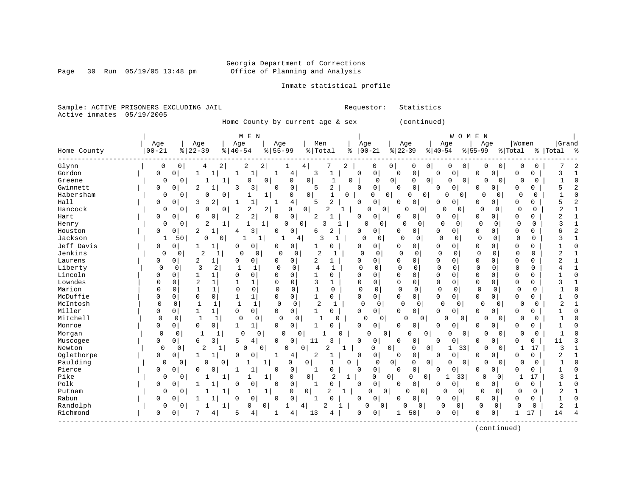Page 30 Run 05/19/05 13:48 pm

### Inmate statistical profile

Sample: ACTIVE PRISONERS EXCLUDING JAIL **Requestor:** Statistics Active inmates 05/19/2005

Home County by current age & sex (continued)

|             |              |                     | M E N                                     |                            |                     |              |                      |                                       |                         | E N<br>W O M                     |                                  |                                |
|-------------|--------------|---------------------|-------------------------------------------|----------------------------|---------------------|--------------|----------------------|---------------------------------------|-------------------------|----------------------------------|----------------------------------|--------------------------------|
|             | Age          | Age                 | Age                                       | Age                        | Men                 |              | Age                  | Age                                   | Age                     | Age                              | Women                            | Grand                          |
| Home County | $00 - 21$    | $8   22 - 39$       | $8   40 - 54$                             | $8155 - 99$                | %   Total           | ి            | $ 00-21$             | $ 22-39$                              | $ 40-54$                | $ 55-99$                         | % Total                          | %   Total<br>ಿ                 |
| Glynn       | 0            | 0<br>4              | 2<br>2                                    | 2                          | 4                   | 2            | 0                    | 0<br>0                                | $\circ$<br>0            | 0                                | $\mathbf 0$<br>0<br>0            |                                |
| Gordon      | 0            | 0<br>1              | 1<br>1                                    | 4<br>1                     | 3<br>$\mathbf{1}$   | $\Omega$     | 0                    | $\mathsf 0$<br>$\Omega$               | $\mathbf 0$<br>0        | $\Omega$<br>$\Omega$             | 0<br>0                           | 3                              |
| Greene      | 0            | $\mathbf{0}$        | 0<br>1                                    | 0<br>0                     | 0<br>$\mathbf{1}$   | 0            | $\Omega$             | $\circ$<br>0                          | 0<br>0                  | $\overline{0}$<br>$\Omega$       | 0<br>0<br>0                      | 1<br>C                         |
| Gwinnett    | 0            | 0<br>2              | 3<br>3                                    | 0<br>0                     | 2<br>5              | 0            | 0                    | $\mathsf 0$<br>0                      | 0<br>0                  | $\Omega$<br>0                    | 0<br>0                           | 5                              |
| Habersham   | 0            | $\Omega$<br>0       | 0<br>1                                    | 0<br>1                     | $\mathbf 0$<br>1    | 0            | $\mathbf 0$          | 0<br>0<br>0                           | $\Omega$                | 0<br>$\Omega$                    | $\Omega$<br>$\Omega$<br>$\Omega$ |                                |
| Hall        | $\Omega$     | $\mathbf 0$<br>κ    | 2<br>$\mathbf{1}$                         | 4<br>1                     | $\overline{a}$<br>5 | $\Omega$     | 0                    | $\mathbf 0$<br>n                      | 0<br>0                  | $\Omega$<br>0                    | 0<br>O                           | 5<br>2                         |
| Hancock     | 0            | 0<br>$\Omega$       | 0<br>2                                    | 2<br>$\Omega$              | 0<br>2              |              | $\Omega$<br>$\Omega$ | 0<br>0                                | U                       | 0<br>0<br>$\mathbf 0$            | $\Omega$<br>$\Omega$             | $\overline{2}$                 |
| Hart        | 0            | 0<br>$\Omega$       | 2<br>0<br>2                               | $\mathbf 0$<br>0           | 2                   | 0            | 0                    | 0<br><sup>0</sup>                     | 0<br>0                  | $\Omega$<br>$\Omega$             | 0<br>0                           |                                |
| Henry       | 0            | 2<br>$\Omega$       | 1<br>1                                    | $\mathbf{1}$<br>$\Omega$   | $\mathbf 0$<br>3    |              | $\Omega$<br>0        | $\Omega$<br>0                         | $\Omega$<br>$\Omega$    | $\Omega$<br>$\Omega$             | 0<br>$\Omega$                    | ζ                              |
| Houston     | 0            | $\Omega$<br>2       | 3<br>4                                    | 0<br>0                     | 2<br>6              | 0            | 0                    | 0<br>0                                | 0<br>0                  | 0<br>0                           | $\Omega$<br>0                    | б                              |
| Jackson     | 1            | 50<br>0             | 0                                         | 1                          | 3<br>4              | 1            | $\Omega$<br>0        | $\Omega$<br>0                         | $\mathbf 0$<br>$\Omega$ | $\mathbf 0$<br>$\Omega$          | $\Omega$<br>$\Omega$             | 3                              |
| Jeff Davis  | 0            | 0                   | 0<br>0                                    | 0<br>O                     | 0<br>1              | 0            | 0                    | 0<br>$\Omega$                         | 0<br>0                  | $\Omega$<br>0                    | 0<br>0                           |                                |
| Jenkins     | 0            | 2<br>0              | 0<br>1                                    | $\Omega$<br>0<br>0         | 2<br>-1             |              | $\mathbf 0$<br>0     | $\mathbf 0$<br>0                      | $\mathbf 0$<br>0        | $\Omega$<br>0                    | $\Omega$<br>$\Omega$             | 2                              |
| Laurens     | 0            | 2<br>0              | 0<br>1<br>O                               | $\Omega$<br>0              | 2<br>1              | $\Omega$     | 0                    | $\mathbf 0$<br>0                      | 0<br>0                  | $\Omega$<br>0                    | $\Omega$<br>0                    | $\overline{a}$<br>$\mathbf{1}$ |
| Liberty     | $\Omega$     | ζ<br>$\mathbf 0$    | $\overline{2}$<br>$\mathbf{1}$            | $\mathbf 0$<br>0           | 4<br>1              | $\Omega$     | 0                    | $\Omega$<br>$\Omega$                  | $\mathbf 0$<br>0        | $\Omega$<br>0                    | $\mathbf 0$<br>$\mathbf 0$       |                                |
| Lincoln     | 0            | $\Omega$<br>1       | 0<br>0                                    | $\Omega$<br>0              | 1<br>$\Omega$       | $\Omega$     | 0                    | $\Omega$<br>$\Omega$                  | 0<br>0                  | $\Omega$<br>$\Omega$             | $\Omega$<br>0                    | $\cap$                         |
| Lowndes     | U            | $\overline{2}$<br>0 | $\mathbf 1$<br>1<br>-1                    | $\Omega$<br>0              | 3<br>1              | $\Omega$     | 0                    | $\Omega$<br>$\mathbf 0$               | 0<br>0                  | $\mathbf 0$<br>$\Omega$          | 0<br>0                           | 3                              |
| Marion      | U            | $\mathbf{1}$<br>0   | $\mathbf 0$<br>$\mathbf 1$<br>$\mathbf 0$ | $\Omega$<br>$\Omega$       | $\mathbf{1}$<br>0   | $\Omega$     | $\mathbf 0$          | $\mathbf 0$<br>$\Omega$               | $\mathbf 0$<br>$\Omega$ | $\Omega$<br>$\Omega$             | 0<br>$\Omega$                    |                                |
| McDuffie    | 0            | 0<br>0              | 0<br>1<br>1                               | 0<br>$\mathbf 0$           | 1<br>0              | $\mathbf 0$  | 0                    | 0<br>$\mathbf 0$                      | 0<br>0                  | 0<br>0                           | 0<br>0                           |                                |
| McIntosh    | $\Omega$     | 1<br>0              | $\mathbf{1}$<br>$\mathbf{1}$<br>1         | $\mathbf 0$<br>0           | 2<br>-1             |              | $\mathbf 0$<br>0     | 0<br>0                                | $\Omega$<br>0           | $\Omega$                         | $\Omega$<br>0<br>$\Omega$        | $\overline{c}$                 |
| Miller      | 0            | 0<br>1              | 0<br>0<br>$\mathbf{1}$                    | $\Omega$<br>$\mathbf 0$    | 0<br>1              | $\Omega$     | $\mathbf{0}$         | $\Omega$<br>0                         | 0<br>$\Omega$           | 0<br>$\Omega$                    | O<br>0                           |                                |
| Mitchell    | $\mathbf{0}$ | 0<br>$\mathbf{1}$   | $\mathbf 0$<br>0<br>1                     | 0<br>$\Omega$              |                     | <sup>0</sup> | $\Omega$<br>0        | U<br>0                                | U                       | $\cap$<br>0                      | U<br>$\Omega$<br>0               |                                |
| Monroe      | 0            | 0<br>0              | 0<br>$\mathbf{1}$<br>1                    | $\mathbf 0$<br>$\Omega$    | O                   | $\Omega$     | 0                    | $\Omega$<br>0                         | 0<br>0                  | $\Omega$<br>0                    | 0<br>0                           |                                |
| Morgan      | $\Omega$     | $\mathbf 0$<br>1    | $\mathbf{1}$<br>$\Omega$                  | $\Omega$<br>O              | $\Omega$            | U            | $\Omega$<br>0        | $\Omega$<br>$\Omega$                  | O                       | 0<br>O                           | $\Omega$<br>$\Omega$<br>O        |                                |
| Muscogee    | 0            | 0<br>6              | 5<br>3<br>4                               | $\Omega$<br>$\Omega$       | 11<br>3             | $\Omega$     | 0                    | $\mathbf 0$<br>$\Omega$               | 0<br>0                  | $\Omega$<br><sup>0</sup>         | 0<br>0                           | 11                             |
| Newton      | $\Omega$     | 2<br>0              | $\Omega$<br>1                             | 0<br>O                     | 2<br>0              | 1            | 0                    | 0<br>0<br>0                           | 1                       | 33<br>$\Omega$                   | 17<br>0<br>1                     | 3                              |
| Oglethorpe  | 0            | 0                   | 0<br>0                                    | 4                          | 2                   | 0            | 0                    | $\mathsf 0$<br>0                      | 0<br>0                  | 0<br>0                           | 0<br>0                           | 2                              |
| Paulding    | $\Omega$     | 0<br>$\Omega$       | 0<br>1                                    | 1<br>$\Omega$              | 0                   | $\cap$       | $\mathbf 0$          | 0 <br>0<br>0                          | 0                       | 0<br>$\Omega$                    | 0<br>$\Omega$<br>0               | $\mathbf{1}$                   |
| Pierce      | 0            | 0<br>O              | $\mathbf{1}$<br>$\Omega$<br>1             | $\mathbf 0$<br>$\Omega$    | $\Omega$<br>1       | $\Omega$     | $\mathsf{O}$         | $\mathbf 0$<br>0                      | 0<br>0                  | $\Omega$<br>0                    | 0<br>O                           | C                              |
| Pike        | $\mathbf 0$  | 0                   | 1<br>1                                    | 1<br>0                     | 0<br>2              | 1            | $\Omega$             | $\overline{0}$<br>0<br>0 <sup>1</sup> |                         | 33<br>$\Omega$                   | 0<br>17                          | 3                              |
| Polk        | O            | $\Omega$            | 0<br>0                                    | $\mathbf 0$<br>$\mathbf 0$ | O                   | $\mathbf 0$  | 0                    | 0<br>$\Omega$                         | 0<br>0                  | 0<br>0                           | 0<br>O                           |                                |
| Putnam      | $\Omega$     | $\Omega$            | 1<br>1                                    | 1<br>0                     | 0<br>2              | 1            | $\Omega$<br>O        | $\Omega$<br>$\Omega$                  | 0                       | $\Omega$<br>$\Omega$<br>$\Omega$ | $\Omega$<br>$\Omega$             | $\overline{c}$                 |
| Rabun       | 0            | 0                   | $\mathbf 0$<br>$\Omega$                   | $\mathbf 0$<br>0           | $\cap$<br>1         | 0            | 0                    | $\mathbf 0$<br>0                      | 0<br>0                  | 0<br>0                           | 0<br>0                           | 1                              |
| Randolph    | 0            | $\overline{0}$      | 1<br>0                                    | $\circ$                    | 4                   |              | 0                    | 0<br>0                                | $\mathbf 0$<br>0        | $\mathbf 0$<br>0                 | 0<br>0                           | $\overline{2}$                 |
| Richmond    | 0            | 0                   | 5<br>4<br>4                               | 4                          | 13<br>4             | 0            | 0                    | 50<br>$\mathbf{1}$                    | $\Omega$<br>$\Omega$    | $\Omega$<br>0                    | $\mathbf{1}$<br>17               | 14                             |

(continued)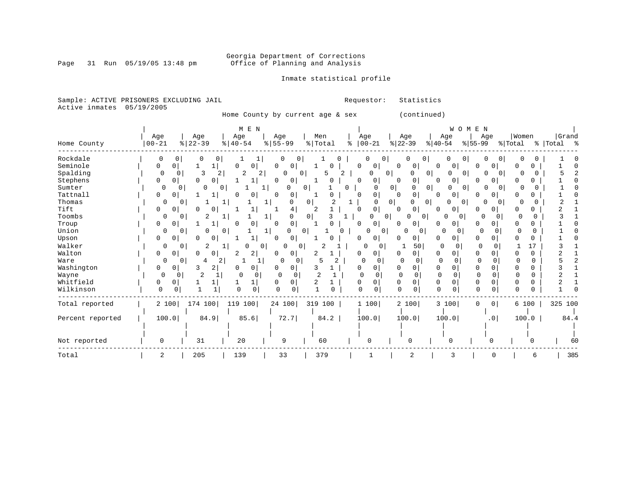Page 31 Run 05/19/05 13:48 pm

### Inmate statistical profile

Sample: ACTIVE PRISONERS EXCLUDING JAIL **Requestor:** Statistics Active inmates 05/19/2005

Home County by current age & sex (continued)

|                  |               |                   | M E N                         |                          |          |                      |                                 | WOMEN                |                   |               |           |
|------------------|---------------|-------------------|-------------------------------|--------------------------|----------|----------------------|---------------------------------|----------------------|-------------------|---------------|-----------|
|                  | Age           | Age               | Age                           | Age                      | Men      | Age                  | Age                             | Age                  | Age               | Women         | Grand     |
| Home County      | $00 - 21$     | $ 22-39 $         | $8   40 - 54$                 | $\frac{1}{6}$   55-99    | % Total  | $8   00 - 21$        | $ 22-39 $                       | $ 40-54$             | $ 55-99$          | % Total       | % Total % |
| Rockdale         | 0<br>0        | 0                 |                               | 0<br>0                   |          | 0<br>0               | 0                               | 0                    | 0                 |               |           |
| Seminole         | 0<br>0        |                   | 0<br>0                        | 0<br>0                   |          | $\Omega$<br>0        | 0<br>0                          | 0<br>$\circ$         | 0                 |               |           |
| Spalding         | 0<br>$\Omega$ | 3                 | 2<br>2                        | 0<br>0                   | 5        |                      | 0<br>0<br>O                     | $\Omega$<br>0        | 0<br>$\Omega$     | O             |           |
| Stephens         | 0<br>$\Omega$ | $\Omega$<br>0     | 1                             | 0<br>0                   | C        | $\mathbf 0$<br>0     | 0<br>$\Omega$                   | $\overline{0}$<br>0  | O                 | O             |           |
| Sumter           | 0<br>0        | 0<br>0            | $\mathbf{1}$                  | 0                        | 0        | 0                    | 0<br>0 <sup>1</sup><br>0        | $\Omega$<br>0        | U<br>0            |               |           |
| Tattnall         | 0<br>$\Omega$ |                   | 0                             | $\cap$<br>0              |          | 0                    | 0<br>$\Omega$                   | 0<br>$\overline{0}$  | 0                 |               |           |
| Thomas           | 0<br>0        |                   |                               | 0                        | $\Omega$ | U                    | 0 <sup>1</sup><br>U<br>$\Omega$ | 0<br>O               | 0<br>$\Omega$     |               |           |
| Tift             | 0<br>0        |                   |                               | 4                        |          | 0                    | 0<br>0                          | 0<br>$\circ$         | 0                 | 0             |           |
| Toombs           | 0<br>0        | 2                 |                               | 0                        |          | 0                    | $\overline{0}$<br>0<br>0        | 0<br>0               | <sup>0</sup><br>O |               |           |
| Troup            | 0<br>0        | $\mathbf{1}$      | $\Omega$<br>$\cap$            | 0<br>$\Omega$            |          | 0<br>$\Omega$        | 0<br>$\Omega$                   | 0<br>0               | $\Omega$<br>O     | 0<br>$\Omega$ |           |
| Union            | 0<br>0        | U<br>$\mathbf{0}$ |                               | $\Omega$<br>$\Omega$     |          | 0<br>0 <sup>1</sup>  | O<br>0                          | $\cap$               | ∩                 | O<br>$\Omega$ |           |
| Upson            | 0<br>0        |                   |                               | 0<br>0 <sup>1</sup>      |          | 0                    | 0<br>U                          | $\Omega$<br>0        | 0                 |               |           |
| Walker           | 0<br>0        | 2                 | $\Omega$                      | O<br>0                   |          | $\Omega$<br>0        | 50                              | 0<br>$\Omega$        | 0<br>O            | 17            |           |
| Walton           | 0<br>0        | 0<br>0            | $\overline{2}$ $\overline{1}$ | 0                        |          | 0                    | 0                               | 0<br>$\Omega$        | 0                 | 0             |           |
| Ware             | $\Omega$<br>0 | 2<br>4            |                               | $\Omega$<br>0            | 5        | $\Omega$<br>$\Omega$ | $\Omega$<br>O                   | $\Omega$<br>$\Omega$ | $\Omega$          | 0<br>O        |           |
| Washington       | 0<br>0        | 3<br>2            | 0                             | 0<br>0                   | 3        | $\Omega$<br>0        | 0<br>0                          | 0                    | 0                 | 0             |           |
| Wayne            | $\Omega$      | $\overline{2}$    | $\Omega$<br>0                 | $\mathbf{0}$<br>$\Omega$ |          | O<br>∩               | $\Omega$<br><sup>0</sup>        | $\Omega$             | <sup>0</sup>      | 0             |           |
| Whitfield        | 0<br>0        |                   | 1                             | 0                        |          | 0                    | 0                               | 0<br>$\Omega$        |                   | O.            |           |
| Wilkinson        | $\Omega$<br>0 |                   | $\mathbf 0$<br>U              | $\Omega$                 |          | <sup>n</sup><br>0    | $\Omega$                        | $\Omega$<br>$\cap$   | $\Omega$<br>U     | $\cap$<br>0   |           |
| Total reported   | 2 100         | 174 100           | 119 100                       | 24 100                   | 319 100  | 1 100                | 2 100                           | 3 100                | 0<br>0            | 6 100         | 325 100   |
|                  |               |                   |                               |                          |          |                      |                                 |                      |                   |               |           |
| Percent reported | 100.0         | 84.9              | 85.6                          | 72.7                     | 84.2     | 100.0                | 100.0                           | 100.0                | .0 <sub>1</sub>   | 100.0         | 84.4      |
|                  |               |                   |                               |                          |          |                      |                                 |                      |                   |               |           |
| Not reported     | 0             | 31                | 20                            | 9                        | 60       | $\Omega$             | ∩                               | n                    |                   |               | 60        |
| Total            | 2             | 205               | 139                           | 33                       | 379      |                      | 2                               | 3                    |                   | 6             | 385       |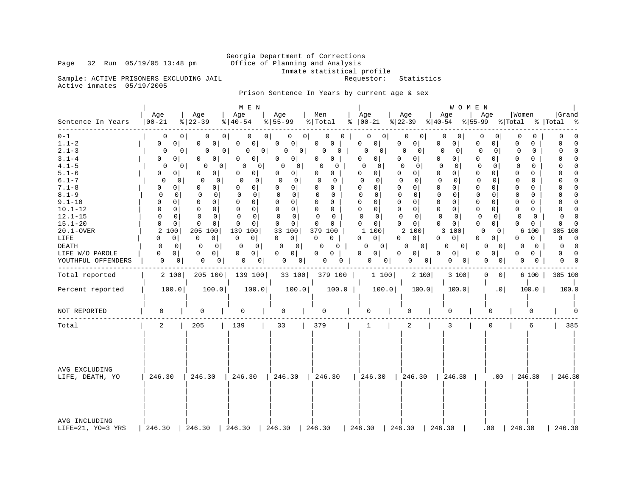Inmate statistical profile

Sample: ACTIVE PRISONERS EXCLUDING JAIL Requestor: Statistics Active inmates 05/19/2005

Page 32 Run 05/19/05 13:48 pm

Prison Sentence In Years by current age & sex

|                                                                                                                                                                                                                                                          |                                                                                                                                                                                                                                                                                                                                 |                                                                                                                                                                                                                                                                                                                         | M E N                                                                                                                                                                                                                                                                                                                        |                                                                                                                                                                                                                                                                                                                                                                                                                              |                                                                                                                                                                                                                                                                                                |                                                                                                                                                                                                                                                                                                                                                                                                   |                                                                                                                                                                                                                                                                                                                                                                                                                                                          | WOMEN                                                                                                                                                                                                                                                                                                                                                                            |                                                                                                                                                                                                                                                                                                                                                                                                                                                                                 |                                                                                                                                                                                                                                                                                                                                                                                                                 |
|----------------------------------------------------------------------------------------------------------------------------------------------------------------------------------------------------------------------------------------------------------|---------------------------------------------------------------------------------------------------------------------------------------------------------------------------------------------------------------------------------------------------------------------------------------------------------------------------------|-------------------------------------------------------------------------------------------------------------------------------------------------------------------------------------------------------------------------------------------------------------------------------------------------------------------------|------------------------------------------------------------------------------------------------------------------------------------------------------------------------------------------------------------------------------------------------------------------------------------------------------------------------------|------------------------------------------------------------------------------------------------------------------------------------------------------------------------------------------------------------------------------------------------------------------------------------------------------------------------------------------------------------------------------------------------------------------------------|------------------------------------------------------------------------------------------------------------------------------------------------------------------------------------------------------------------------------------------------------------------------------------------------|---------------------------------------------------------------------------------------------------------------------------------------------------------------------------------------------------------------------------------------------------------------------------------------------------------------------------------------------------------------------------------------------------|----------------------------------------------------------------------------------------------------------------------------------------------------------------------------------------------------------------------------------------------------------------------------------------------------------------------------------------------------------------------------------------------------------------------------------------------------------|----------------------------------------------------------------------------------------------------------------------------------------------------------------------------------------------------------------------------------------------------------------------------------------------------------------------------------------------------------------------------------|---------------------------------------------------------------------------------------------------------------------------------------------------------------------------------------------------------------------------------------------------------------------------------------------------------------------------------------------------------------------------------------------------------------------------------------------------------------------------------|-----------------------------------------------------------------------------------------------------------------------------------------------------------------------------------------------------------------------------------------------------------------------------------------------------------------------------------------------------------------------------------------------------------------|
| Sentence In Years                                                                                                                                                                                                                                        | Age<br>$00 - 21$                                                                                                                                                                                                                                                                                                                | Age<br>$ 22-39 $                                                                                                                                                                                                                                                                                                        | Age<br>$ 40-54 $                                                                                                                                                                                                                                                                                                             | Age<br>$8 55-99$                                                                                                                                                                                                                                                                                                                                                                                                             | Men<br>%   Total                                                                                                                                                                                                                                                                               | Age<br>$8   00 - 21$                                                                                                                                                                                                                                                                                                                                                                              | Age<br>$ 22-39 $<br>$ 40-54 $                                                                                                                                                                                                                                                                                                                                                                                                                            | Age<br>Age<br>$\frac{1}{6}$ 55-99                                                                                                                                                                                                                                                                                                                                                | Women<br>% Total                                                                                                                                                                                                                                                                                                                                                                                                                                                                | Grand<br>%   Total<br>- %                                                                                                                                                                                                                                                                                                                                                                                       |
| $0 - 1$<br>$1.1 - 2$<br>$2.1 - 3$<br>$3.1 - 4$<br>$4.1 - 5$<br>$5.1 - 6$<br>$6.1 - 7$<br>$7.1 - 8$<br>$8.1 - 9$<br>$9.1 - 10$<br>$10.1 - 12$<br>$12.1 - 15$<br>$15.1 - 20$<br>20.1-OVER<br>LIFE<br><b>DEATH</b><br>LIFE W/O PAROLE<br>YOUTHFUL OFFENDERS | 0<br>$\mathbf 0$<br>0 <sup>1</sup><br>0<br>0<br>0 <sup>1</sup><br>0<br>0<br>01<br>$\Omega$<br>0<br>$\Omega$<br>0<br>$\Omega$<br>$\mathbf 0$<br>0<br>$\Omega$<br>0<br>$\Omega$<br>$\mathbf 0$<br>$\Omega$<br>$\mathbf 0$<br>$\Omega$<br>2<br>100<br>$\Omega$<br>0<br>$\Omega$<br>0<br>0<br>$\overline{0}$<br>0<br>0 <sup>1</sup> | 0<br>0<br>$^{\circ}$<br>0<br>0<br>0 <sup>1</sup><br>0 <sup>1</sup><br>0<br>0<br>0<br>0<br>0<br>0<br>0<br>0<br>0<br>0<br>$\Omega$<br>0<br>$\Omega$<br>$\mathbf 0$<br>$\Omega$<br>0<br>0<br>0<br>$\mathbf 0$<br>$\mathbf 0$<br>$\Omega$<br>0<br>205<br>100<br>$\mathbf 0$<br>0<br>0<br>0<br>0<br>0 <sup>1</sup><br>0<br>0 | 0<br>0<br>0<br>0 <sup>1</sup><br>0<br>0<br>O<br>0<br>0<br>0<br>0 <sup>1</sup><br>0<br>$\Omega$<br>0<br><sup>0</sup><br>$\mathbf 0$<br>0<br>0<br>0<br>$\mathbf 0$<br>$\Omega$<br>$\Omega$<br>$\mathbf 0$<br>$\mathbf 0$<br>0<br>139<br>100<br>$\mathbf 0$<br> 0 <br>$\mathbf{0}$<br>$\Omega$<br>0<br>0<br>0<br>0 <sup>1</sup> | 0 <sup>1</sup><br>0<br>$\mathbf 0$<br>0 <sup>1</sup><br>0<br>0 <sup>1</sup><br>0<br>0 <sup>1</sup><br>0 <sup>1</sup><br>O<br>0<br>$\circ$<br>$\Omega$<br>0<br>0<br>0<br>$\Omega$<br>$\mathbf 0$<br>$\mathbf 0$<br>0<br>$\overline{0}$<br>0<br>$\mathbf 0$<br>$\mathbf 0$<br>$\mathbf 0$<br>$\overline{0}$<br>33<br>100<br>$\mathbf 0$<br>$\overline{0}$<br>0<br>0 <sup>1</sup><br>0 <sup>1</sup><br>0<br>0<br>0 <sub>1</sub> | 0<br>0<br>0<br>0<br>0<br>$\Omega$<br>0<br>0<br>0<br>U<br>∩<br>0<br>0<br>$\Omega$<br>0<br>$\Omega$<br>0<br>$\Omega$<br>$\Omega$<br>0<br>$\mathbf{0}$<br>0<br>$\Omega$<br>$\mathbf 0$<br>$\Omega$<br>$\Omega$<br>0<br>379<br>100<br>$\Omega$<br>$\mathbf 0$<br>$\Omega$<br>0<br>0<br>0<br>0<br>0 | 0<br>0<br>0<br>0<br>0<br> 0 <br>O<br>0 <sup>1</sup><br>$\Omega$<br>$\Omega$<br>0<br>0 <sup>1</sup><br>$\Omega$<br>$\overline{0}$<br>$\Omega$<br>$\Omega$<br>$\mathbf 0$<br>$\Omega$<br>$\mathbf{0}$<br>0<br>$\mathbf 0$<br>$\mathbf 0$<br>$\Omega$<br>$\mathbf 0$<br>$\overline{0}$<br>$\Omega$<br>100<br>1<br>0<br>$\circ$<br>0<br>$\Omega$<br>$\Omega$<br>0 <sup>1</sup><br>0<br>0 <sup>1</sup> | 0<br>0<br>0<br>0<br>0<br>$\Omega$<br>0<br>0<br>0<br>0<br>$\cap$<br>$\Omega$<br>$\Omega$<br>0<br>0<br>0<br>$\mathbf 0$<br>0<br>0<br>$\Omega$<br>0<br>0<br>$\mathbf 0$<br>$\mathbf 0$<br>$\mathbf 0$<br>$\mathbf{0}$<br>0<br>$\mathbf 0$<br>$\mathbf 0$<br>0<br>0<br>$\mathbf 0$<br>$\mathbf 0$<br>$\mathbf 0$<br>$\overline{0}$<br>0<br>$\Omega$<br>2 100<br>0<br>$\overline{0}$<br>0<br>O<br>0 <sup>1</sup><br>0<br>$\circ$<br>0<br>0<br>$\vert 0 \vert$ | 0<br>0<br>0 <sup>1</sup><br>0<br>0<br>0<br>0<br>$\overline{0}$<br>$\Omega$<br>$\cap$<br>0<br>$\mathbf{0}$<br>0<br>$\mathbf 0$<br>0<br>0<br>$\Omega$<br>$\mathbf 0$<br>$\mathsf 0$<br>0<br>$\mathbf{0}$<br>0<br>$\mathbf{0}$<br>$\mathbf 0$<br>$\mathbf 0$<br>0<br>$\Omega$<br>3<br>100<br>$\Omega$<br>0<br>$\Omega$<br>0<br>$\overline{0}$<br>$\Omega$<br>0<br>0<br>0<br>0<br> 0 | O<br>0<br>0<br>0<br>0<br>0<br>$\Omega$<br>$\Omega$<br>0<br>$\Omega$<br>0<br>0<br>$\Omega$<br>$\Omega$<br>$\Omega$<br>0<br>0<br>$\mathbf 0$<br>$\mathbf 0$<br>0<br>0<br>$\Omega$<br>$\Omega$<br>$\Omega$<br>$\Omega$<br>0<br>$\mathbf 0$<br>$\mathbf 0$<br>0<br>0<br>$\Omega$<br>$\Omega$<br>$\Omega$<br>$\mathbf 0$<br>$\Omega$<br>0<br>$\Omega$<br>O<br>0<br>6<br>100<br>$\Omega$<br>0<br>0 <sup>1</sup><br>0<br>0<br>$\Omega$<br>0<br>0<br>0<br>0<br>0<br>0 <sup>1</sup><br>0 | $\Omega$<br>0<br>$\mathbf 0$<br>$\Omega$<br>$\Omega$<br>$\cap$<br>$\mathbf 0$<br>$\Omega$<br>$\Omega$<br>$\mathbf 0$<br>$\Omega$<br>$\mathbf 0$<br>$\mathbf 0$<br>$\Omega$<br>$\mathbf 0$<br>$\Omega$<br>$\mathbf 0$<br>$\Omega$<br>$\Omega$<br>$\Omega$<br>$\Omega$<br>$\Omega$<br>$\Omega$<br>$\Omega$<br>385<br>100<br>$\Omega$<br>$\Omega$<br>$\Omega$<br>$\Omega$<br>$\Omega$<br>$\Omega$<br>$\Omega$<br>0 |
| Total reported                                                                                                                                                                                                                                           | 2 100                                                                                                                                                                                                                                                                                                                           | 205 100                                                                                                                                                                                                                                                                                                                 | 139 100                                                                                                                                                                                                                                                                                                                      | 33 100                                                                                                                                                                                                                                                                                                                                                                                                                       | 379 100                                                                                                                                                                                                                                                                                        | 1 100                                                                                                                                                                                                                                                                                                                                                                                             | 2 100                                                                                                                                                                                                                                                                                                                                                                                                                                                    | 3 100<br>0                                                                                                                                                                                                                                                                                                                                                                       | 6 100<br> 0                                                                                                                                                                                                                                                                                                                                                                                                                                                                     | 385 100                                                                                                                                                                                                                                                                                                                                                                                                         |
| Percent reported                                                                                                                                                                                                                                         | 100.0                                                                                                                                                                                                                                                                                                                           | 100.0                                                                                                                                                                                                                                                                                                                   | 100.0                                                                                                                                                                                                                                                                                                                        | 100.0                                                                                                                                                                                                                                                                                                                                                                                                                        | 100.0                                                                                                                                                                                                                                                                                          | 100.0                                                                                                                                                                                                                                                                                                                                                                                             | 100.0                                                                                                                                                                                                                                                                                                                                                                                                                                                    | 100.0                                                                                                                                                                                                                                                                                                                                                                            | .0 <sub>1</sub><br>100.0                                                                                                                                                                                                                                                                                                                                                                                                                                                        | 100.0                                                                                                                                                                                                                                                                                                                                                                                                           |
| NOT REPORTED                                                                                                                                                                                                                                             | 0                                                                                                                                                                                                                                                                                                                               | $\Omega$                                                                                                                                                                                                                                                                                                                | 0                                                                                                                                                                                                                                                                                                                            | $\mathbf 0$                                                                                                                                                                                                                                                                                                                                                                                                                  | 0                                                                                                                                                                                                                                                                                              | O                                                                                                                                                                                                                                                                                                                                                                                                 | O                                                                                                                                                                                                                                                                                                                                                                                                                                                        | 0                                                                                                                                                                                                                                                                                                                                                                                | O                                                                                                                                                                                                                                                                                                                                                                                                                                                                               |                                                                                                                                                                                                                                                                                                                                                                                                                 |
| Total                                                                                                                                                                                                                                                    | $\overline{a}$                                                                                                                                                                                                                                                                                                                  | 205                                                                                                                                                                                                                                                                                                                     | 139                                                                                                                                                                                                                                                                                                                          | 33                                                                                                                                                                                                                                                                                                                                                                                                                           | 379                                                                                                                                                                                                                                                                                            | 1                                                                                                                                                                                                                                                                                                                                                                                                 | 2                                                                                                                                                                                                                                                                                                                                                                                                                                                        | 3                                                                                                                                                                                                                                                                                                                                                                                | $\Omega$<br>6                                                                                                                                                                                                                                                                                                                                                                                                                                                                   | 385                                                                                                                                                                                                                                                                                                                                                                                                             |
| AVG EXCLUDING<br>LIFE, DEATH, YO                                                                                                                                                                                                                         | 246.30                                                                                                                                                                                                                                                                                                                          | 246.30                                                                                                                                                                                                                                                                                                                  | 246.30                                                                                                                                                                                                                                                                                                                       | 246.30                                                                                                                                                                                                                                                                                                                                                                                                                       | 246.30                                                                                                                                                                                                                                                                                         | 1246.30                                                                                                                                                                                                                                                                                                                                                                                           | 246.30                                                                                                                                                                                                                                                                                                                                                                                                                                                   | 1246.30                                                                                                                                                                                                                                                                                                                                                                          | .00<br>246.30                                                                                                                                                                                                                                                                                                                                                                                                                                                                   | 246.30                                                                                                                                                                                                                                                                                                                                                                                                          |
| AVG INCLUDING<br>LIFE=21, YO=3 YRS                                                                                                                                                                                                                       | 246.30                                                                                                                                                                                                                                                                                                                          | 246.30                                                                                                                                                                                                                                                                                                                  | 246.30                                                                                                                                                                                                                                                                                                                       | 246.30                                                                                                                                                                                                                                                                                                                                                                                                                       | 246.30                                                                                                                                                                                                                                                                                         | 246.30                                                                                                                                                                                                                                                                                                                                                                                            | 246.30                                                                                                                                                                                                                                                                                                                                                                                                                                                   | 246.30                                                                                                                                                                                                                                                                                                                                                                           | 246.30<br>.00                                                                                                                                                                                                                                                                                                                                                                                                                                                                   | 246.30                                                                                                                                                                                                                                                                                                                                                                                                          |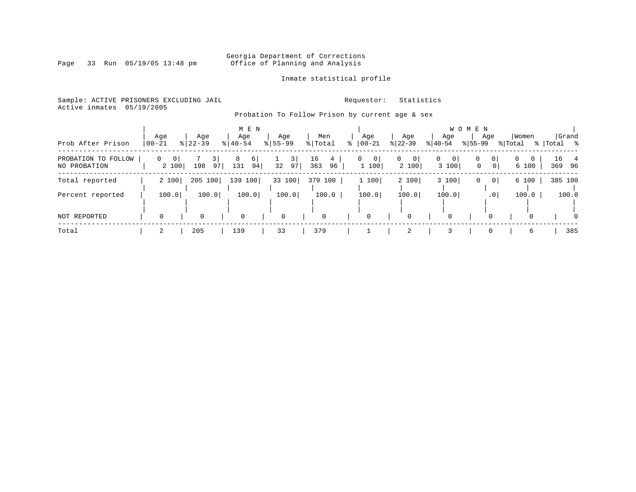Page 33 Run 05/19/05 13:48 pm

### Inmate statistical profile

Sample: ACTIVE PRISONERS EXCLUDING JAIL **Requestor:** Statistics Active inmates 05/19/2005

### Probation To Follow Prison by current age & sex

| Prob After Prison                   | Age<br>$ 00 - 21$          | Age<br>$8$   22-39 | M E N<br>Age<br>$8   40 - 54$ | Age<br>$8155 - 99$ | Men<br>% Total       | Age<br>$ 00 - 21$                | Age<br>$ 22 - 39 $                        | Age<br>$8 40-54$                          | W O M E N<br>Age<br>$8155 - 99$         | Women<br>% Total | Grand<br>%   Total % |
|-------------------------------------|----------------------------|--------------------|-------------------------------|--------------------|----------------------|----------------------------------|-------------------------------------------|-------------------------------------------|-----------------------------------------|------------------|----------------------|
| PROBATION TO FOLLOW<br>NO PROBATION | 0<br>$\mathbf{0}$<br>2 100 | 3 <br>97<br>198    | 8<br>$6 \mid$<br>131<br>94    | 3 <br>32<br>97     | 16<br>4<br>363<br>96 | $\mathbf{0}$<br>$\circ$<br>1 100 | 0 <sup>1</sup><br>$\overline{0}$<br>2 100 | $\overline{0}$<br>0 <sup>1</sup><br>3 100 | 0 <sup>1</sup><br>0<br>0<br>$\mathbf 0$ | 0<br>0<br>6 100  | 16 4<br>369 96       |
| Total reported                      | 2 100                      | 205 100            | 139<br>100                    | 33 100             | 379<br>100           | 1 100                            | 2 100                                     | 3 100                                     | 0<br>$\mathbf{0}$                       | 6 100            | 385 100              |
| Percent reported                    | 100.0                      | 100.0              | 100.0                         | 100.0              | 100.0                | 100.0                            | 100.0                                     | 100.0                                     | .0 <sup>1</sup>                         | 100.0            | 100.0                |
| NOT REPORTED                        | $\Omega$                   | $\Omega$           | $\mathbf 0$                   | $\mathbf 0$        | $\Omega$             |                                  | 0                                         | $\mathbf 0$                               | $\Omega$                                | $\Omega$         | $\Omega$             |
| Total                               | 2                          | 205                | 139                           | 33                 | 379                  |                                  | 2                                         | 3                                         | $\Omega$                                | 6                | 385                  |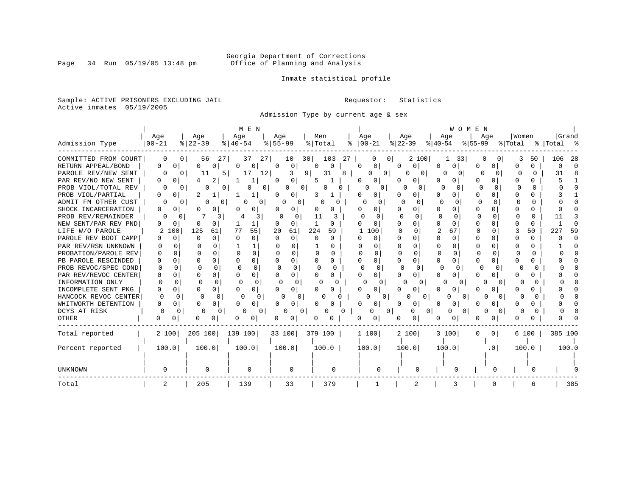Inmate statistical profile

Sample: ACTIVE PRISONERS EXCLUDING JAIL **Requestor:** Statistics Active inmates 05/19/2005

Admission Type by current age & sex

|                      |                     |                          | M E N                 |                      |                        |                            |                    | WOMEN                    |                 |              |            |
|----------------------|---------------------|--------------------------|-----------------------|----------------------|------------------------|----------------------------|--------------------|--------------------------|-----------------|--------------|------------|
|                      | Age                 | Age                      | Age                   | Aqe                  | Men                    | Age                        | Aqe                | Aqe                      | Aqe             | Women        | Grand      |
| Admission Type       | $00 - 21$           | $8   22 - 39$            | $\frac{1}{6}$   40-54 | $8 55-99$            | % Total<br>ႜ           | $ 00-21 $                  | $ 22-39$           | $ 40-54$                 | $ 55-99$        | % Total      | % Total %  |
| COMMITTED FROM COURT | 0                   | 56<br>271                | 27<br>37              | 30 <br>10            | 103<br>27              | 01<br>0                    | 2 100              | 33                       |                 | 50           | 106<br>-28 |
| RETURN APPEAL/BOND   | 0<br>0 <sup>1</sup> | O<br>0                   | 0<br>$\Omega$         | 0<br>O               | U<br>O                 | 0 <sup>1</sup><br>$\Omega$ | $\Omega$<br>0      | ∩<br>O                   | O               | 0<br>U       |            |
| PAROLE REV/NEW SENT  |                     | $\Omega$                 | 5 I<br>12<br>17       | 9.<br>3              | 31<br>R                | O<br>$\Omega$              | U<br>$\Omega$      | 0                        |                 | ∩            | 31         |
| PAR REV/NO NEW SENT  |                     |                          |                       | 0<br>0               | 5                      | O<br>0                     | 0                  |                          | U               | U            |            |
| PROB VIOL/TOTAL REV  |                     | 0                        | 0                     | 0                    |                        | $\Omega$<br>O              |                    | O                        |                 |              |            |
| PROB VIOL/PARTIAL    |                     |                          |                       | 0                    |                        |                            | 0                  |                          | O               |              |            |
| ADMIT FM OTHER CUST  |                     | $\Omega$<br>0            | 0                     | 0                    |                        | $\Omega$                   | $\Omega$           |                          |                 |              |            |
| SHOCK INCARCERATION  | 0<br>0              | U                        | 0                     | 0<br>0               | O<br>O                 | U<br>0                     | 0                  | O<br>$\Omega$            | $\Omega$        | O            |            |
| PROB REV/REMAINDER   | U                   | 3<br>0                   | 3                     | $\Omega$             | 11                     | <sup>0</sup><br>n          | $\Omega$           | $\Omega$<br><sup>0</sup> | ∩<br>0          | U<br>O       |            |
| NEW SENT/PAR REV PND | n<br>0              | U<br>0                   | 1                     | 0<br>n               | O                      | 0                          | 0                  | $\Omega$                 | ∩               | 0            |            |
| LIFE W/O PAROLE      | 100                 | 125<br>61                | 55<br>77              | 20<br>61             | 224<br>59              | 100                        | $\Omega$<br>U      | $\overline{2}$<br>67     |                 | 50           | 59<br>227  |
| PAROLE REV BOOT CAMP | 0                   | O                        | $\Omega$<br>0         | $\Omega$<br>$\Omega$ | 0<br>$\Omega$          | $\Omega$                   | 0                  | <sup>0</sup><br>0        | O               | 0            |            |
| PAR REV/RSN UNKNOWN  |                     |                          | 1                     |                      |                        | U                          | $\Omega$           |                          |                 | O            |            |
| PROBATION/PAROLE REV | U                   |                          | $\cap$<br>$\Omega$    | U<br>$\cap$          | $\cap$<br><sup>n</sup> | U<br>U                     | $\Omega$<br>$\cap$ | $\cap$                   |                 | <sup>n</sup> |            |
| PB PAROLE RESCINDED  |                     |                          | 0<br>$\cap$           | $\Omega$             | U<br>0                 | 0<br>∩                     | 0                  | <sup>0</sup>             |                 | U            |            |
| PROB REVOC/SPEC COND | U                   |                          | $\cap$                | $\cap$<br>$\cap$     | n                      | ∩                          |                    |                          |                 |              |            |
| PAR REV/REVOC CENTER | <sup>0</sup><br>∩   | <sup>n</sup><br>U        | $\cap$<br>0           | 0                    | U<br>0                 | n<br>0                     |                    |                          | 0<br>U          | n            |            |
| INFORMATION ONLY     | U                   |                          | O<br>∩                | n                    |                        | $\Omega$                   | O                  |                          |                 |              |            |
| INCOMPLETE SENT PKG  | O                   | U<br>0                   | U                     | 0                    |                        |                            |                    |                          |                 |              |            |
| HANCOCK REVOC CENTER | ∩                   | <sup>0</sup>             | $\Omega$              | C<br>0               |                        | $\Omega$                   | 0                  | $\Omega$                 |                 |              |            |
| WHITWORTH DETENTION  | O                   | 0<br>0                   | 0                     | 0                    |                        |                            | 0                  | O<br>0                   |                 |              |            |
| DCYS AT RISK         | 0                   | $\Omega$<br><sup>0</sup> | 0                     | O<br>0               | Ω                      | O                          | 0                  | 0<br>0                   | 0               |              |            |
| <b>OTHER</b>         | O                   |                          | 0                     | 0                    |                        | O<br>0                     | 0                  |                          |                 |              |            |
| Total reported       | 2 100               | 205 100                  | 139 100               | 33 100               | 379 100                | 1 100                      | 2 100              | 3 100                    | 0<br>0          | 6 100        | 385 100    |
|                      |                     |                          |                       |                      |                        |                            |                    |                          |                 |              |            |
| Percent reported     | 100.0               | 100.0                    | 100.0                 | 100.0                | 100.0                  | 100.0                      | 100.0              | 100.0                    | .0 <sub>1</sub> | 100.0        | 100.0      |
|                      |                     |                          |                       |                      |                        |                            |                    |                          |                 |              |            |
|                      |                     |                          |                       |                      |                        |                            |                    |                          |                 |              |            |
| UNKNOWN              |                     | 0                        | 0                     | $\Omega$             | $\Omega$               |                            |                    |                          |                 |              |            |
| Total                | 2                   | 205                      | 139                   | 33                   | 379                    |                            | 2                  |                          | 0               | 6            | 385        |

Page 34 Run 05/19/05 13:48 pm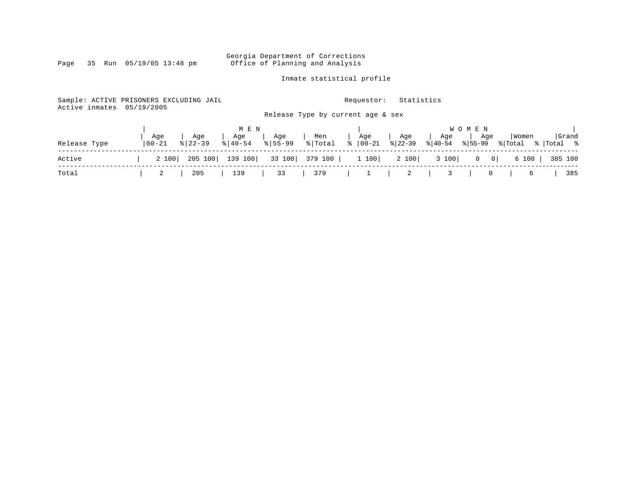#### Georgia Department of Corrections Page 35 Run 05/19/05 13:48 pm Office of Planning and Analysis

Inmate statistical profile

Sample: ACTIVE PRISONERS EXCLUDING JAIL **Requestor:** Statistics Active inmates 05/19/2005 Release Type by current age & sex | M E N | W O M E N | | Age | Age | Age | Age | Men | Age | Age | Age | Age |Women |Grand Release Type |00-21 %|22-39 %|40-54 %|55-99 %|Total % |00-21 %|22-39 %|40-54 %|55-99 %|Total % |Total % ------------------------------------------------------------------------------------------------------------------------------------ Active | 2 100| 205 100| 139 100| 33 100| 379 100 | 1 100| 2 100| 3 100| 0 0| 6 100 | 385 100 ------------------------------------------------------------------------------------------------------------------------------------ Total | 2 | 205 | 139 | 33 | 379 | 1 | 2 | 3 | 0 | 6 | 385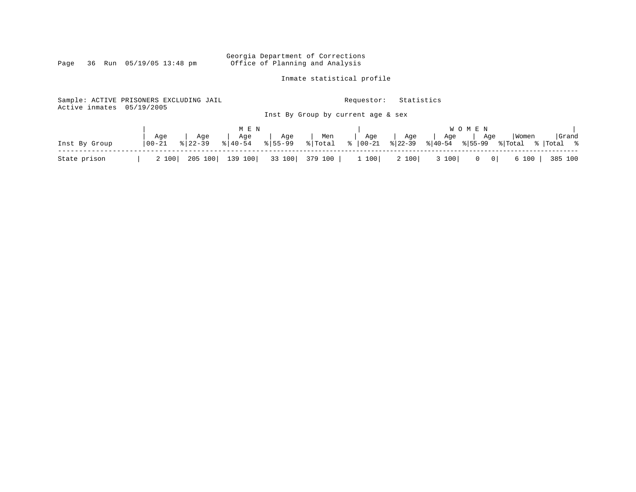Georgia Department of Corrections<br>Page 36 Run 05/19/05 13:48 pm office of Planning and Analysis Office of Planning and Analysis

Inmate statistical profile

Sample: ACTIVE PRISONERS EXCLUDING JAIL **Requestor:** Statistics Active inmates 05/19/2005 Inst By Group by current age & sex

|               |       |     |                                      |     |     |               |     |             | <b>WOMEN</b> |                                                                                         |       |
|---------------|-------|-----|--------------------------------------|-----|-----|---------------|-----|-------------|--------------|-----------------------------------------------------------------------------------------|-------|
|               | Aqe   | Aqe | Aqe                                  | Aqe | Men | Age           | Age | $ $ Aqe $ $ | Age          | Women                                                                                   | Grand |
| Inst By Group |       |     |                                      |     |     |               |     |             |              | 00-21 % 22-39 % 40-54 % 55-99 % Total % 00-21 % 22-39 % 40-54 % 55-99 % Total % Total % |       |
| State prison  | 2 100 |     | 205 100   139 100   33 100   379 100 |     |     | $1 100$ 2 100 |     |             |              | 3 100   0 0   6 100   385 100                                                           |       |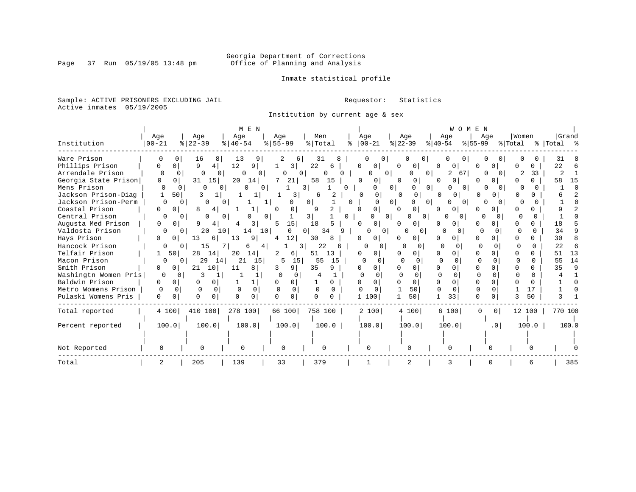Inmate statistical profile

Sample: ACTIVE PRISONERS EXCLUDING JAIL **Requestor:** Statistics Active inmates 05/19/2005

Institution by current age & sex

|                      |                      |                        | M E N                 |                |                     |                   |                     | WOMEN               |                            |         |           |
|----------------------|----------------------|------------------------|-----------------------|----------------|---------------------|-------------------|---------------------|---------------------|----------------------------|---------|-----------|
|                      | Age                  | Age                    | Age                   | Age            | Men                 | Age               | Age                 | Age                 | Age                        | Women   | Grand     |
| Institution          | $00 - 21$            | $ 22-39 $              | $\frac{1}{6}$   40-54 | $ 55 - 99 $    | $\frac{1}{2}$ Total | $ 00-21 $<br>ႜ    | $ 22-39 $           | $ 40-54 $           | $ 55-99$                   | % Total | % Total % |
| Ware Prison          | O                    | 16<br>8                | -13<br>9              | 6              | 31<br>8             | 0<br>$\Omega$     | 0                   | 0                   |                            |         | 31        |
| Phillips Prison      | 0<br>U               | 9<br>4                 | 12<br>9               | 3              | 22<br>6             | <sup>0</sup><br>0 | 0<br>0              | 0<br>0              | O                          |         | 22        |
| Arrendale Prison     | 0<br>$\Omega$        | 0<br>0                 | 0<br><sup>0</sup>     | 0              | <sup>0</sup>        | 0                 | $\mathbf{0}$<br>0   | 67<br>2             |                            | 33      | 2         |
| Georgia State Prison | 0<br>0 <sup>1</sup>  | 15<br>31               | 20<br>14              | 21             | 58<br>15            | 0<br>$\circ$      | 0                   | 0<br>0              | 0<br>O                     | 0       | 58<br>15  |
| Mens Prison          | O                    | 0<br><sup>0</sup><br>0 | U                     | $\Omega$       | 3<br>0.             |                   | 0 <sup>1</sup><br>0 | 0 I<br><sup>0</sup> |                            |         |           |
| Jackson Prison-Diag  | 501                  | 3                      |                       | 3              | 6                   | 0<br>01           | 0<br><sup>o</sup>   | 0<br><sup>0</sup>   | O.<br>n                    |         |           |
| Jackson Prison-Perm  | $\Omega$             | $\Omega$<br>U          |                       | 0              | 0 <sup>1</sup>      | 0                 | 0 <sup>1</sup><br>0 | O<br>$\Omega$       | O                          |         |           |
| Coastal Prison       | 0<br>$\circ$         | 8<br>4                 |                       | $\Omega$<br>0  | 9                   | $\overline{0}$    | 0<br>0              | 0<br>$\mathbf{0}$   | 0                          |         |           |
| Central Prison       | O                    | 0<br><sup>0</sup>      |                       | $\Omega$       | 3 I<br>0            |                   | $\Omega$<br>01      |                     | 0<br>O                     |         |           |
| Augusta Med Prison   | 0<br>0               | q                      | 3                     | 15<br>5        | 18                  | $\Omega$<br>0     | 0                   |                     |                            |         | 18        |
| Valdosta Prison      | $\Omega$             | 20<br>$\Omega$         | 10 <sup>1</sup><br>14 | 10<br>$\Omega$ | 34<br>9<br>$\Omega$ | O.<br>01          | 0<br>O              | <sup>0</sup><br>0   | $\Omega$                   |         | 34        |
| Hays Prison          | 0<br>0               | 13<br>6                | 13<br>9               | 12<br>4        | 30<br>8             | 01                | 0                   | O                   |                            |         | 30        |
| Hancock Prison       | 0                    | 15<br>0                | 6                     | 4              | 22                  | n<br>0            | n                   | ∩<br>O              | U                          | O       | 22        |
| Telfair Prison       | 50                   | 28<br>14               | 20<br>14              | 2<br>6         | 51<br>13            | O<br>0.           | 0                   | O<br>O              | O                          |         | 51<br>13  |
| Macon Prison         | 0                    | 29<br>14<br>$^{\circ}$ | 21<br>15              | 5<br>15        | 55<br>15            | $\Omega$<br>0     | $\Omega$            |                     |                            | 0       | 14<br>55  |
| Smith Prison         | 0                    | 21<br>10               | 8<br>11               | 9              | 35<br>9             |                   | 0                   |                     |                            |         | q<br>35   |
| Washingtn Women Pris | 0<br>0               | κ                      |                       | U              |                     |                   |                     | $\Omega$            |                            | U       |           |
| Baldwin Prison       | 0<br>0               | O<br>0                 |                       | 0<br>0         | 0                   |                   | 0                   | $\Omega$            |                            | U       |           |
| Metro Womens Prison  | $\Omega$<br>0        | $\Omega$<br>$\Omega$   | $\Omega$<br>$\Omega$  | $\Omega$       | $\Omega$            | $\Omega$          | 50                  | 0<br>$\Omega$       | O                          | 17      |           |
| Pulaski Womens Pris  | $\Omega$<br>$\Omega$ | 0<br>$\Omega$          | $\Omega$<br>0         | $\Omega$<br>0  |                     | 1 100             | 50                  | 33                  | 0                          | 50      |           |
| Total reported       | 4 100                | 410 100                | 278 100               | 66 100         | 758 100             | 2 100             | 4 100               | 6 100               | $\Omega$<br>0 <sup>1</sup> | 12 100  | 770 100   |
|                      |                      |                        |                       |                |                     |                   |                     |                     |                            |         |           |
| Percent reported     | 100.0                | 100.0                  | 100.0                 | 100.0          | 100.0               | 100.0             | 100.0               | 100.0               | .0 <sub>1</sub>            | 100.0   | 100.0     |
|                      |                      |                        |                       |                |                     |                   |                     |                     |                            |         |           |
| Not Reported         |                      |                        | 0                     | 0              | U                   | U                 | O                   |                     |                            |         |           |
| Total                | 2                    | 205                    | 139                   | 33             | 379                 |                   | 2                   | 3                   |                            |         | 385       |

Page 37 Run 05/19/05 13:48 pm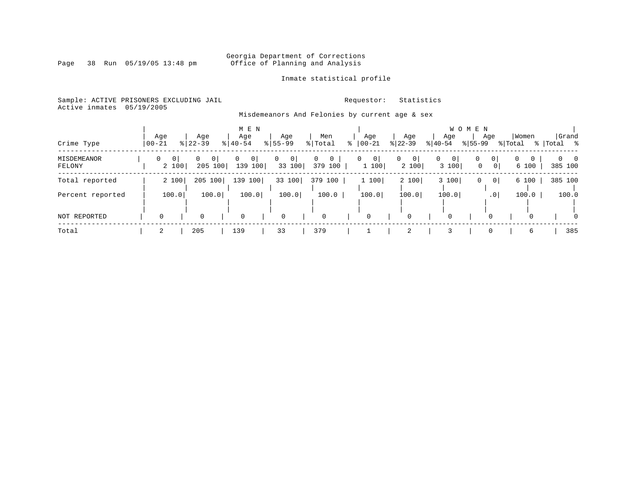#### Georgia Department of Corrections Page 38 Run 05/19/05 13:48 pm Office of Planning and Analysis

### Inmate statistical profile

Sample: ACTIVE PRISONERS EXCLUDING JAIL **Requestor:** Statistics Active inmates 05/19/2005 Misdemeanors And Felonies by current age & sex

### | M E N | W O M E N | Age | Age | Age | Age | Men | Age | Age | Age | Age | Women |Grand Crime Type |00-21 %|22-39 %|40-54 %|55-99 %|Total % |00-21 %|22-39 %|40-54 %|55-99 %|Total % |Total % ------------------------------------------------------------------------------------------------------------------------------------ MISDEMEANOR | 0 0| 0 0| 0 0| 0 0| 0 0 | 0 0| 0 0| 0 0| 0 0| 0 0 | 0 0 FELONY | 2 100| 205 100| 139 100| 33 100| 379 100 | 1 100| 2 100| 3 100| 0 0| 6 100 | 385 100 ------------------------------------------------------------------------------------------------------------------------------------ Total reported | 2 100| 205 100| 139 100| 33 100| 379 100 | 1 100| 2 100| 3 100| 0 0| 6 100 | 385 100 | | | | | | | | | | | Percent reported | 100.0| 100.0| 100.0| 100.0| 100.0 | 100.0| 100.0| 100.0| .0| 100.0 | 100.0 | | | | | | | | | | | | | | | | | | | | | | NOT REPORTED | 0 | 0 | 0 | 0 | 0 | 0 | 0 | 0 | 0 | 0 | 0 ------------------------------------------------------------------------------------------------------------------------------------ Total | 2 | 205 | 139 | 33 | 379 | 1 | 2 | 3 | 0 | 6 | 385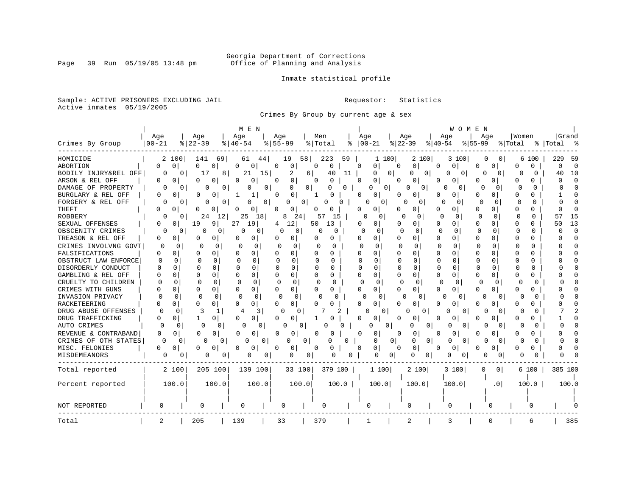Inmate statistical profile

Sample: ACTIVE PRISONERS EXCLUDING JAIL **Requestor:** Statistics Active inmates 05/19/2005

Crimes By Group by current age & sex

|                      |                   | M E N                |                   |                      |                |                      |                |              |    |              |              |                |                |              | WOMEN    |              |                 |              |              |          |          |
|----------------------|-------------------|----------------------|-------------------|----------------------|----------------|----------------------|----------------|--------------|----|--------------|--------------|----------------|----------------|--------------|----------|--------------|-----------------|--------------|--------------|----------|----------|
|                      | Age               | Age                  |                   | Age                  | Age            |                      | Men            |              |    | Age          |              | Age            |                | Age          |          | Age          |                 | Women        |              |          | Grand    |
| Crimes By Group      | $00 - 21$         | $8$   22-39          |                   | $ 40-54$             | $8 55-99$      |                      | % Total        |              | ႜ  | $ 00-21 $    |              | $ 22-39 $      |                | $ 40-54$     |          | $ 55-99$     |                 | % Total      |              | %  Total | - 2      |
| HOMICIDE             | 2                 | 100<br>141           | 69                | 61                   | 44             | 19                   | 58             | 223          | 59 |              | 100<br>1     |                | 2 100          |              | 3 100    | 0            | $\sigma$        |              | 6 100        | 229      | 59       |
| <b>ABORTION</b>      | 0<br>0            | 0                    | 0                 | 0<br>0               | 0              | 0                    | $\Omega$       | $\mathbf 0$  |    | O            | 0            | 0              | 0              | $\Omega$     | 0        | 0            | 0               | O            | <sup>0</sup> | $\Omega$ | $\Omega$ |
| BODILY INJRY&REL OFF | 0                 | $\mathbf{0}$<br>17   | 8                 | 21                   | 15             | 2                    | 6              | 40           | 11 |              | 0            | $\circ$        | 0<br>0         | O            | 0        | 0            | 0               | U            | <sup>0</sup> | 40       | 10       |
| ARSON & REL OFF      | 0<br>0            | O                    | 0                 | 0<br>n               | 0              | 0                    | $\Omega$       | 0            |    | $\Omega$     | 0            | O              | 0              |              | $\Omega$ | 0            | 0               | O            | 0            |          | $\Omega$ |
| DAMAGE OF PROPERTY   | O                 | 0                    | <sup>0</sup><br>O | O                    | 0              | O                    | 0 <sup>1</sup> |              | 0  | 0            | $\Omega$     | O              | 0              | U            | 0        | U            | $\Omega$        |              | O            |          |          |
| BURGLARY & REL OFF   | O<br><sup>0</sup> | $\Omega$             | O                 | 1<br>1               | $\Omega$       | 0                    |                | ٢            |    | O            | 0            |                | 0              | O            | O        | O            | 0               | ∩            | U            |          |          |
| FORGERY & REL OFF    | O                 | 0                    | 0<br>O            | O                    | 0 <sup>1</sup> | 0                    | 0              | 0<br>O       |    |              | 0            | O              | $\Omega$       | n            | O        | <sup>0</sup> | <sup>0</sup>    | O            | $\Omega$     |          |          |
| <b>THEFT</b>         | 0<br>0            | O                    | 0                 | 0<br>O               | O              | 0                    |                | O            |    | O            | 0            | O              | 0              | O            | $\Omega$ | O            | 0               | O            | U            |          |          |
| <b>ROBBERY</b>       | $\Omega$          | $^{\circ}$           | 24<br>12          | 25                   | 18             | 8<br>24              | 57             | 15           |    | O            | $\Omega$     | O              | $\Omega$       | $\Omega$     | $\Omega$ | $\Omega$     | $\Omega$        | U            | 0            | 57       | 15       |
| SEXUAL OFFENSES      | U<br>0            | 19                   | 9                 | 27<br>19             | 4              | 12                   | 50             | 13           |    | O            | 0            | U              | 0              | $\Omega$     | 0        | U            | 0               | O            |              | 50       | 13       |
| OBSCENITY CRIMES     | 0                 | Ω<br>$\Omega$        | $\Omega$          | 0<br>0               |                | 0<br>0               | O              | 0            |    | ∩            | n            | n              | $\Omega$       | $\Omega$     | $\Omega$ | U            | 0               | $\Omega$     | 0            |          | $\Omega$ |
| TREASON & REL OFF    | 0<br>0            | 0                    | 0                 | 0<br>n               |                | 0                    | U              | 0            |    | U            | 0            | O              | 0              | O            | O        | U            | 0               | n            | U            |          | $\Omega$ |
| CRIMES INVOLVNG GOVT | Ω                 | 0<br>0               | 0                 | n<br>0               | $\Omega$       | 0                    | U              | 0            |    | <sup>0</sup> | U            | O              | $\Omega$       | O            | ∩        | $\Omega$     | <sup>n</sup>    | U            | 0            |          |          |
| FALSIFICATIONS       | 0<br>O            | O                    | 0                 | $\Omega$<br>0        | <sup>0</sup>   | 0                    | O              | 0            |    | U            | $\Omega$     | O              | 0              | $\Omega$     | $\Omega$ | U            | 0               | <sup>0</sup> |              |          |          |
| OBSTRUCT LAW ENFORCE | $\cap$            | ∩                    | $\Omega$          | 0                    | U              | O                    | ∩              | <sup>0</sup> |    |              | 0            |                | 0              | O            | O        | O            | 0               | ∩            | 0            |          |          |
| DISORDERLY CONDUCT   | O                 | U<br>n               | <sup>n</sup>      | 0<br>O               | U              | $\Omega$             | U              | O            |    | Ω            | 0            | O              | $\Omega$       | O            | O        | ∩            | 0               | U            | 0            |          |          |
| GAMBLING & REL OFF   | $\Omega$          | U                    |                   | 0<br>∩               | U              | 0                    | $\Omega$       | <sup>0</sup> |    | $\cap$       | 0            | U              | 0              | O            | O        | O            |                 |              |              |          |          |
| CRUELTY TO CHILDREN  | O                 | n<br>U               | <sup>0</sup>      | $\cap$<br>$\Omega$   | $\Omega$       | $\Omega$             | n              | 0            |    | O            | 0            | n              | $\Omega$       | $\Omega$     | $\Omega$ | $\Omega$     | <sup>n</sup>    | ∩            | U            |          |          |
| CRIMES WITH GUNS     | O                 | O                    | 0                 | $\Omega$<br>0        | $\Omega$       | 0                    | O              | 0            |    | O            | $\Omega$     | O              | 0              | U            | $\Omega$ | U            | 0               | 0            | O            |          |          |
| INVASION PRIVACY     |                   | $\Omega$<br>$\Omega$ | $\Omega$          | $\Omega$<br>$\Omega$ |                | $\Omega$<br>$\Omega$ | O              |              |    |              | $\Omega$     | O              | 0              | O            | 0        | 0            | $\Omega$        |              | O            |          |          |
| RACKETEERING         | 0                 | O                    | 0                 | <sup>0</sup><br>0    | <sup>0</sup>   | 0                    |                |              |    |              | 0            |                | 0              | U            | O        | 0            | 0               |              | 0            |          |          |
| DRUG ABUSE OFFENSES  |                   | $\Omega$<br>3        |                   | 3                    |                | n<br>0               |                | 2            |    |              | 0            | O              | 0              |              | $\Omega$ | Ω            | $\Omega$        |              | O            |          |          |
| DRUG TRAFFICKING     | O<br><sup>0</sup> |                      | 0                 | $\Omega$<br>0        | <sup>0</sup>   | 0                    |                |              |    | U            | 0            | 0              | U              | <sup>0</sup> |          | O            |                 | O            | 0            |          |          |
| AUTO CRIMES          |                   | $\Omega$<br>0        | 0                 | $\Omega$             | 0              | 0<br>$\Omega$        |                |              | O  | 0            | 0            |                | 0<br>O         | O            | $\Omega$ | 0            | $\Omega$        | O            | $^{(1)}$     |          |          |
| REVENUE & CONTRABAND | 0                 | 0<br>$\Omega$        | 0                 | 0<br>O               | O              | 0                    | 0              | O            |    | 0            | 0            | 0              | 0              | O            | 0        | O            | 0               | $\Omega$     | O            |          |          |
| CRIMES OF OTH STATES | 0                 | 0                    | 0<br>0            | 0                    | 0              | 0                    | $\Omega$       | ი            | O  |              | 0            | 0 <sup>1</sup> | U<br>0         | O            | 0        | 0            | $\Omega$        | U            | O            |          |          |
| MISC. FELONIES       | U                 | $\circ$<br>O         | 0                 | 0<br>$\cap$          | U              | 0                    | 0              | 0            |    | ∩            | $\mathbf{0}$ | O              | 0              |              | 0 I      |              | 0               | U            | 0            |          |          |
| MISDEMEANORS         | 0                 | 0                    | 0<br>0            | 0                    | 0              | 0                    | 0              | Ω            | 0  |              | 0            | 0              | 0<br>0         | 0            | 0        | 0            | 0               |              |              |          |          |
| Total reported       | 2 100             |                      | 205 100           | 139 100              |                | 33 100               |                | 379 100      |    |              | 1100         |                | 2 100          |              | 3 100    | $\Omega$     | 0 <sup>1</sup>  |              | 6 100        | 385 100  |          |
| Percent reported     | 100.0             |                      | 100.0             | 100.0                |                | 100.0                |                | 100.0        |    |              | 100.0        |                | 100.0          |              | 100.0    |              | .0 <sub>1</sub> |              | 100.0        |          | 100.0    |
|                      |                   |                      |                   |                      |                |                      |                |              |    |              |              |                |                |              |          |              |                 |              |              |          |          |
| NOT REPORTED         | 0                 | 0                    |                   | 0                    |                | O                    |                | O            |    | 0            |              |                | 0              | 0            |          |              | O               |              | $\Omega$     |          |          |
| Total                | 2                 | 205                  |                   | 139                  |                | 33                   | 379            |              |    | 1            |              |                | $\overline{a}$ | 3            |          |              |                 |              | 6            |          | 385      |

Page 39 Run 05/19/05 13:48 pm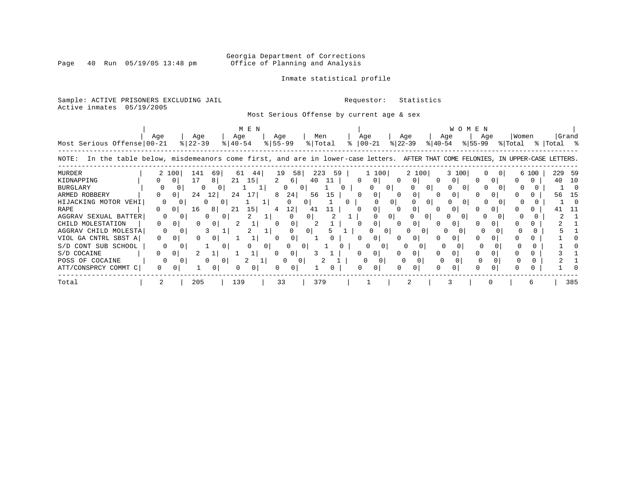Inmate statistical profile

Page 40 Run 05/19/05 13:48 pm

### Sample: ACTIVE PRISONERS EXCLUDING JAIL **Requestor:** Statistics

Active inmates 05/19/2005

### Most Serious Offense by current age & sex

| Most Serious Offense 00-21                                                                                                            | Aqe      |          | Age<br>$ 22-39$ |                            | Age<br>$8140 - 54$ | M E N |    | Age<br>$8 55-99$ |          | Men<br>% Total |    | Aqe          | $ 00-21 $ |                | Age<br>$ 22-39 $ | $ 40-54 $ | Age      |       | W O M E N<br>Age<br>$ 55-99 $ |   | Women<br>% Total |       | %  Total % | Grand |
|---------------------------------------------------------------------------------------------------------------------------------------|----------|----------|-----------------|----------------------------|--------------------|-------|----|------------------|----------|----------------|----|--------------|-----------|----------------|------------------|-----------|----------|-------|-------------------------------|---|------------------|-------|------------|-------|
| In the table below, misdemeanors come first, and are in lower-case letters. AFTER THAT COME FELONIES, IN UPPER-CASE LETTERS.<br>NOTE: |          |          |                 |                            |                    |       |    |                  |          |                |    |              |           |                |                  |           |          |       |                               |   |                  |       |            |       |
| MURDER                                                                                                                                |          | 2 100    | 141             | 69                         | 61                 | 44    |    | 19               | 58       | 223            | 59 |              | 1 100     |                | 2 100            |           |          | 3 100 | 0                             |   |                  | 6 100 | 229        | -59   |
| KIDNAPPING                                                                                                                            |          | 0        |                 | 81                         | 21                 | 15    |    | 6                |          | 40             |    | 0            | 0         |                | 0                |           | 0        |       |                               | 0 |                  |       | 40         | 10    |
| <b>BURGLARY</b>                                                                                                                       |          | 0        |                 |                            |                    |       |    | $\Omega$         | 0        |                |    |              | $\Omega$  |                |                  | 0         |          |       |                               |   |                  |       |            |       |
| ARMED ROBBERY                                                                                                                         |          | 0        | 24              | 12                         | 24                 | 17    | 8  | 24               |          | 56             | 15 | 0            | 0         |                | 0                |           | 0        |       |                               |   |                  |       | 56         | 15    |
| HIJACKING MOTOR VEHI                                                                                                                  | $\Omega$ | $\Omega$ |                 | $\Omega$<br>$\Omega$       |                    |       |    |                  | 0        |                |    |              |           |                |                  | 0         |          | 0 I   |                               |   |                  |       |            |       |
| RAPE                                                                                                                                  |          | 01       | 16              | 8                          | -21                | 15    | 4  | 12               |          | 41             |    |              |           |                | 0                |           | U        |       |                               |   |                  |       | 41         |       |
| AGGRAV SEXUAL BATTER                                                                                                                  |          |          |                 | 0<br>0                     |                    |       |    | 0                |          |                |    |              |           | $\overline{0}$ |                  |           |          |       |                               |   |                  |       |            |       |
| CHILD MOLESTATION                                                                                                                     | 0        |          |                 |                            |                    |       |    |                  |          |                |    | <sup>0</sup> | 0         |                | $\Omega$         |           | $\Omega$ |       | O                             |   |                  |       |            |       |
| AGGRAV CHILD MOLESTA                                                                                                                  |          |          |                 |                            |                    |       |    |                  |          |                |    |              | 0         |                | 0                |           |          |       |                               |   |                  |       |            |       |
| VIOL GA CNTRL SBST A                                                                                                                  | 0        |          |                 |                            |                    |       |    |                  |          |                |    |              | O         |                |                  |           |          |       |                               |   |                  |       |            |       |
| S/D CONT SUB SCHOOL                                                                                                                   |          |          |                 | $\Omega$                   |                    |       | 01 |                  | 0        |                |    |              | 0         |                |                  |           |          |       |                               |   |                  |       |            |       |
| S/D COCAINE                                                                                                                           | 0        | 0        |                 |                            |                    |       |    | 0                |          |                |    |              |           |                |                  |           |          |       |                               |   |                  |       |            |       |
| POSS OF COCAINE                                                                                                                       |          |          |                 | $\Omega$<br>0 <sup>1</sup> |                    |       |    | 0                | $\Omega$ |                |    | O            |           |                | 0<br>0           |           | 0        |       | $\Omega$                      |   |                  |       |            |       |
| ATT/CONSPRCY COMMT C                                                                                                                  | 0        |          |                 |                            |                    |       |    |                  |          |                |    |              |           |                |                  |           |          |       |                               |   |                  |       |            |       |
| Total                                                                                                                                 |          |          | 205             |                            | 139                |       |    | 33               |          | 379            |    |              |           |                |                  |           |          |       |                               |   |                  |       |            | 385   |